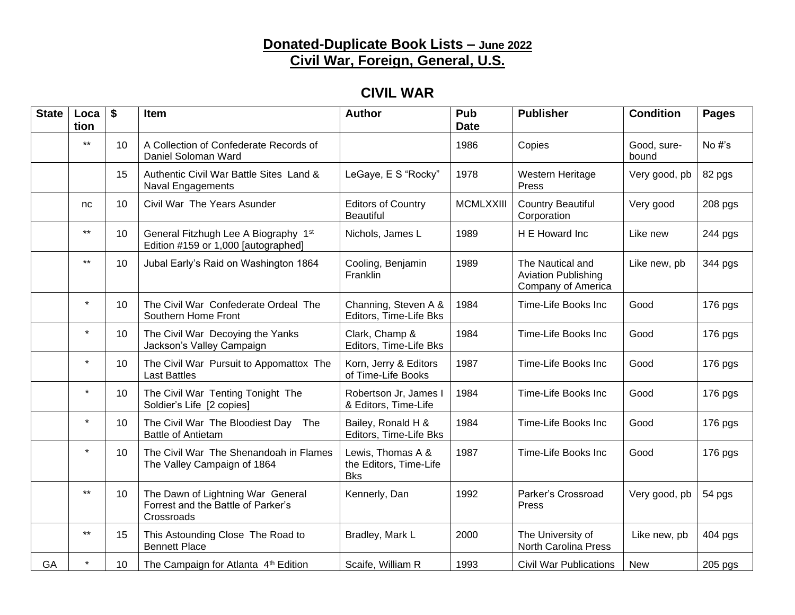#### **Donated-Duplicate Book Lists – June 2022 Civil War, Foreign, General, U.S.**

## **CIVIL WAR**

| <b>State</b> | Loca<br>tion | \$ | Item                                                                                  | <b>Author</b>                                             | Pub<br><b>Date</b> | <b>Publisher</b>                                                     | <b>Condition</b>     | <b>Pages</b> |
|--------------|--------------|----|---------------------------------------------------------------------------------------|-----------------------------------------------------------|--------------------|----------------------------------------------------------------------|----------------------|--------------|
|              | $***$        | 10 | A Collection of Confederate Records of<br>Daniel Soloman Ward                         |                                                           | 1986               | Copies                                                               | Good, sure-<br>bound | No #'s       |
|              |              | 15 | Authentic Civil War Battle Sites Land &<br><b>Naval Engagements</b>                   | LeGaye, E S "Rocky"                                       | 1978               | Western Heritage<br>Press                                            | Very good, pb        | 82 pgs       |
|              | nc.          | 10 | Civil War The Years Asunder                                                           | <b>Editors of Country</b><br><b>Beautiful</b>             | <b>MCMLXXIII</b>   | <b>Country Beautiful</b><br>Corporation                              | Very good            | 208 pgs      |
|              | $***$        | 10 | General Fitzhugh Lee A Biography 1st<br>Edition #159 or 1,000 [autographed]           | Nichols, James L                                          | 1989               | H E Howard Inc                                                       | Like new             | 244 pgs      |
|              | $***$        | 10 | Jubal Early's Raid on Washington 1864                                                 | Cooling, Benjamin<br>Franklin                             | 1989               | The Nautical and<br><b>Aviation Publishing</b><br>Company of America | Like new, pb         | 344 pgs      |
|              | $\star$      | 10 | The Civil War Confederate Ordeal The<br>Southern Home Front                           | Channing, Steven A &<br>Editors, Time-Life Bks            | 1984               | Time-Life Books Inc                                                  | Good                 | 176 pgs      |
|              | $\star$      | 10 | The Civil War Decoying the Yanks<br>Jackson's Valley Campaign                         | Clark, Champ &<br>Editors, Time-Life Bks                  | 1984               | Time-Life Books Inc                                                  | Good                 | 176 pgs      |
|              | $\star$      | 10 | The Civil War Pursuit to Appomattox The<br><b>Last Battles</b>                        | Korn, Jerry & Editors<br>of Time-Life Books               | 1987               | Time-Life Books Inc                                                  | Good                 | 176 pgs      |
|              | $\star$      | 10 | The Civil War Tenting Tonight The<br>Soldier's Life [2 copies]                        | Robertson Jr, James I<br>& Editors, Time-Life             | 1984               | Time-Life Books Inc                                                  | Good                 | 176 pgs      |
|              | $\star$      | 10 | The Civil War The Bloodiest Day The<br><b>Battle of Antietam</b>                      | Bailey, Ronald H &<br>Editors, Time-Life Bks              | 1984               | Time-Life Books Inc                                                  | Good                 | 176 pgs      |
|              | $\star$      | 10 | The Civil War The Shenandoah in Flames<br>The Valley Campaign of 1864                 | Lewis, Thomas A &<br>the Editors, Time-Life<br><b>Bks</b> | 1987               | Time-Life Books Inc                                                  | Good                 | 176 pgs      |
|              | $***$        | 10 | The Dawn of Lightning War General<br>Forrest and the Battle of Parker's<br>Crossroads | Kennerly, Dan                                             | 1992               | Parker's Crossroad<br>Press                                          | Very good, pb        | 54 pgs       |
|              | $***$        | 15 | This Astounding Close The Road to<br><b>Bennett Place</b>                             | Bradley, Mark L                                           | 2000               | The University of<br>North Carolina Press                            | Like new, pb         | $404$ pgs    |
| GA           |              | 10 | The Campaign for Atlanta 4th Edition                                                  | Scaife, William R                                         | 1993               | <b>Civil War Publications</b>                                        | <b>New</b>           | 205 pgs      |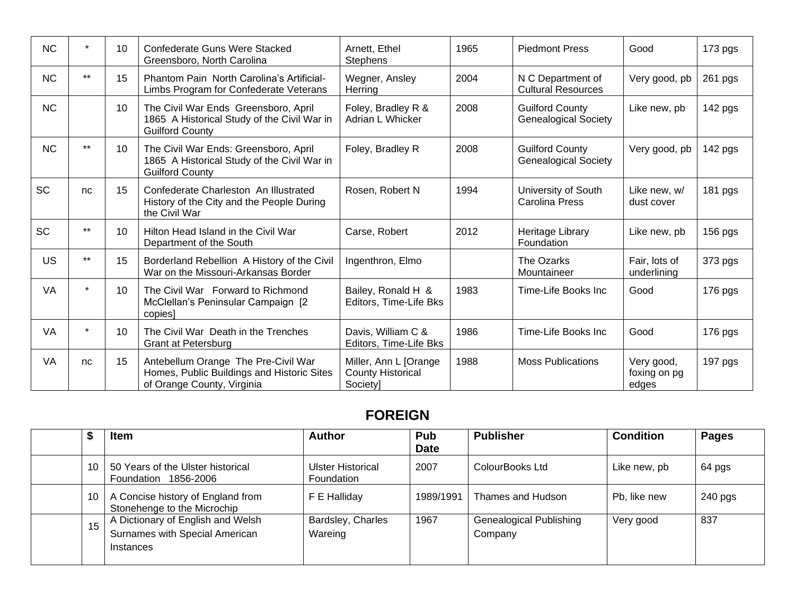| <b>NC</b> | $\star$ | 10 | Confederate Guns Were Stacked<br>Greensboro, North Carolina                                                     | Arnett, Ethel<br><b>Stephens</b>                              | 1965 | <b>Piedmont Press</b>                                 | Good                                | 173 pgs   |
|-----------|---------|----|-----------------------------------------------------------------------------------------------------------------|---------------------------------------------------------------|------|-------------------------------------------------------|-------------------------------------|-----------|
| <b>NC</b> | $***$   | 15 | Phantom Pain North Carolina's Artificial-<br>Limbs Program for Confederate Veterans                             | Wegner, Ansley<br>Herring                                     | 2004 | N C Department of<br><b>Cultural Resources</b>        | Very good, pb                       | 261 pgs   |
| NC        |         | 10 | The Civil War Ends Greensboro, April<br>1865 A Historical Study of the Civil War in<br><b>Guilford County</b>   | Foley, Bradley R &<br>Adrian L Whicker                        | 2008 | <b>Guilford County</b><br><b>Genealogical Society</b> | Like new, pb                        | 142 pgs   |
| <b>NC</b> | $***$   | 10 | The Civil War Ends: Greensboro, April<br>1865 A Historical Study of the Civil War in<br><b>Guilford County</b>  | Foley, Bradley R                                              | 2008 | <b>Guilford County</b><br><b>Genealogical Society</b> | Very good, pb                       | 142 pgs   |
| <b>SC</b> | nc      | 15 | Confederate Charleston An Illustrated<br>History of the City and the People During<br>the Civil War             | Rosen, Robert N                                               | 1994 | University of South<br>Carolina Press                 | Like new, w/<br>dust cover          | 181 pgs   |
| <b>SC</b> | $***$   | 10 | Hilton Head Island in the Civil War<br>Department of the South                                                  | Carse, Robert                                                 | 2012 | Heritage Library<br>Foundation                        | Like new, pb                        | 156 pgs   |
| US        | $***$   | 15 | Borderland Rebellion A History of the Civil<br>War on the Missouri-Arkansas Border                              | Ingenthron, Elmo                                              |      | The Ozarks<br>Mountaineer                             | Fair, lots of<br>underlining        | 373 pgs   |
| <b>VA</b> | ÷       | 10 | The Civil War Forward to Richmond<br>McClellan's Peninsular Campaign [2<br>copies]                              | Bailey, Ronald H &<br>Editors, Time-Life Bks                  | 1983 | Time-Life Books Inc                                   | Good                                | 176 pgs   |
| VA        | *       | 10 | The Civil War Death in the Trenches<br>Grant at Petersburg                                                      | Davis, William C &<br>Editors, Time-Life Bks                  | 1986 | Time-Life Books Inc                                   | Good                                | $176$ pgs |
| VA        | nc      | 15 | Antebellum Orange The Pre-Civil War<br>Homes, Public Buildings and Historic Sites<br>of Orange County, Virginia | Miller, Ann L [Orange<br><b>County Historical</b><br>Society] | 1988 | <b>Moss Publications</b>                              | Very good,<br>foxing on pg<br>edges | 197 pgs   |

## **FOREIGN**

| D  | <b>Item</b>                                                                             | <b>Author</b>                   | Pub<br><b>Date</b> | <b>Publisher</b>                          | <b>Condition</b> | <b>Pages</b> |
|----|-----------------------------------------------------------------------------------------|---------------------------------|--------------------|-------------------------------------------|------------------|--------------|
| 10 | 50 Years of the Ulster historical<br>Foundation 1856-2006                               | Ulster Historical<br>Foundation | 2007               | ColourBooks Ltd                           | Like new, pb     | 64 pgs       |
| 10 | A Concise history of England from<br>Stonehenge to the Microchip                        | F E Halliday                    | 1989/1991          | Thames and Hudson                         | Pb, like new     | $240$ pgs    |
| 15 | A Dictionary of English and Welsh<br>Surnames with Special American<br><b>Instances</b> | Bardsley, Charles<br>Wareing    | 1967               | <b>Genealogical Publishing</b><br>Company | Very good        | 837          |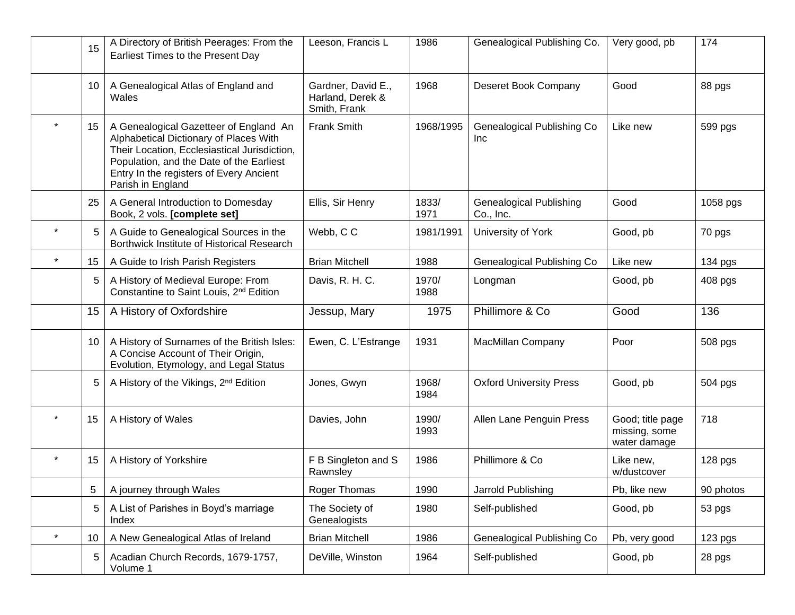|         | 15 | A Directory of British Peerages: From the<br>Earliest Times to the Present Day                                                                                                                                                               | Leeson, Francis L                                      | 1986          | Genealogical Publishing Co.                 | Very good, pb                                     | 174       |
|---------|----|----------------------------------------------------------------------------------------------------------------------------------------------------------------------------------------------------------------------------------------------|--------------------------------------------------------|---------------|---------------------------------------------|---------------------------------------------------|-----------|
|         | 10 | A Genealogical Atlas of England and<br>Wales                                                                                                                                                                                                 | Gardner, David E.,<br>Harland, Derek &<br>Smith, Frank | 1968          | Deseret Book Company                        | Good                                              | 88 pgs    |
| $\star$ | 15 | A Genealogical Gazetteer of England An<br>Alphabetical Dictionary of Places With<br>Their Location, Ecclesiastical Jurisdiction,<br>Population, and the Date of the Earliest<br>Entry In the registers of Every Ancient<br>Parish in England | <b>Frank Smith</b>                                     | 1968/1995     | Genealogical Publishing Co<br><b>Inc</b>    | Like new                                          | 599 pgs   |
|         | 25 | A General Introduction to Domesday<br>Book, 2 vols. [complete set]                                                                                                                                                                           | Ellis, Sir Henry                                       | 1833/<br>1971 | <b>Genealogical Publishing</b><br>Co., Inc. | Good                                              | 1058 pgs  |
|         | 5  | A Guide to Genealogical Sources in the<br>Borthwick Institute of Historical Research                                                                                                                                                         | Webb, CC                                               | 1981/1991     | University of York                          | Good, pb                                          | 70 pgs    |
|         | 15 | A Guide to Irish Parish Registers                                                                                                                                                                                                            | <b>Brian Mitchell</b>                                  | 1988          | Genealogical Publishing Co                  | Like new                                          | 134 pgs   |
|         | 5  | A History of Medieval Europe: From<br>Constantine to Saint Louis, 2 <sup>nd</sup> Edition                                                                                                                                                    | Davis, R. H. C.                                        | 1970/<br>1988 | Longman                                     | Good, pb                                          | 408 pgs   |
|         | 15 | A History of Oxfordshire                                                                                                                                                                                                                     | Jessup, Mary                                           | 1975          | Phillimore & Co                             | Good                                              | 136       |
|         | 10 | A History of Surnames of the British Isles:<br>A Concise Account of Their Origin,<br>Evolution, Etymology, and Legal Status                                                                                                                  | Ewen, C. L'Estrange                                    | 1931          | MacMillan Company                           | Poor                                              | 508 pgs   |
|         |    | A History of the Vikings, 2 <sup>nd</sup> Edition                                                                                                                                                                                            | Jones, Gwyn                                            | 1968/<br>1984 | <b>Oxford University Press</b>              | Good, pb                                          | 504 pgs   |
|         | 15 | A History of Wales                                                                                                                                                                                                                           | Davies, John                                           | 1990/<br>1993 | Allen Lane Penguin Press                    | Good; title page<br>missing, some<br>water damage | 718       |
|         | 15 | A History of Yorkshire                                                                                                                                                                                                                       | F B Singleton and S<br>Rawnsley                        | 1986          | Phillimore & Co                             | Like new,<br>w/dustcover                          | 128 pgs   |
|         | 5  | A journey through Wales                                                                                                                                                                                                                      | Roger Thomas                                           | 1990          | Jarrold Publishing                          | Pb, like new                                      | 90 photos |
|         | 5  | A List of Parishes in Boyd's marriage<br>Index                                                                                                                                                                                               | The Society of<br>Genealogists                         | 1980          | Self-published                              | Good, pb                                          | 53 pgs    |
| $\star$ | 10 | A New Genealogical Atlas of Ireland                                                                                                                                                                                                          | <b>Brian Mitchell</b>                                  | 1986          | Genealogical Publishing Co                  | Pb, very good                                     | 123 pgs   |
|         | 5  | Acadian Church Records, 1679-1757,<br>Volume 1                                                                                                                                                                                               | DeVille, Winston                                       | 1964          | Self-published                              | Good, pb                                          | 28 pgs    |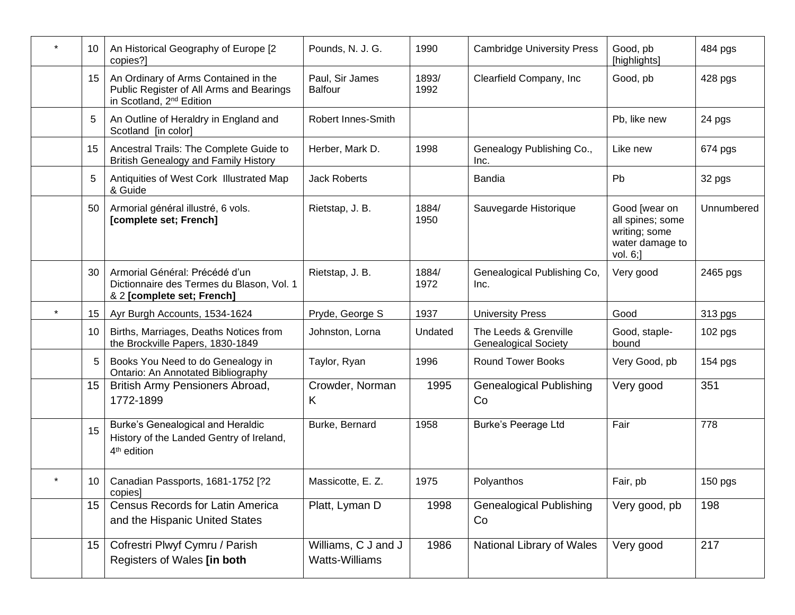|         | 10 | An Historical Geography of Europe [2<br>copies?]                                                                         | Pounds, N. J. G.                      | 1990          | <b>Cambridge University Press</b>                    | Good, pb<br>[highlights]                                                          | 484 pgs    |
|---------|----|--------------------------------------------------------------------------------------------------------------------------|---------------------------------------|---------------|------------------------------------------------------|-----------------------------------------------------------------------------------|------------|
|         | 15 | An Ordinary of Arms Contained in the<br>Public Register of All Arms and Bearings<br>in Scotland, 2 <sup>nd</sup> Edition | Paul, Sir James<br><b>Balfour</b>     | 1893/<br>1992 | Clearfield Company, Inc.                             | Good, pb                                                                          | 428 pgs    |
|         | 5  | An Outline of Heraldry in England and<br>Scotland [in color]                                                             | Robert Innes-Smith                    |               |                                                      | Pb, like new                                                                      | 24 pgs     |
|         | 15 | Ancestral Trails: The Complete Guide to<br><b>British Genealogy and Family History</b>                                   | Herber, Mark D.                       | 1998          | Genealogy Publishing Co.,<br>Inc.                    | Like new                                                                          | 674 pgs    |
|         | 5  | Antiquities of West Cork Illustrated Map<br>& Guide                                                                      | <b>Jack Roberts</b>                   |               | Bandia                                               | Pb                                                                                | 32 pgs     |
|         | 50 | Armorial général illustré, 6 vols.<br>[complete set; French]                                                             | Rietstap, J. B.                       | 1884/<br>1950 | Sauvegarde Historique                                | Good [wear on<br>all spines; some<br>writing; some<br>water damage to<br>vol. 6;] | Unnumbered |
|         | 30 | Armorial Général: Précédé d'un<br>Dictionnaire des Termes du Blason, Vol. 1<br>& 2 [complete set; French]                | Rietstap, J. B.                       | 1884/<br>1972 | Genealogical Publishing Co,<br>Inc.                  | Very good                                                                         | 2465 pgs   |
|         | 15 | Ayr Burgh Accounts, 1534-1624                                                                                            | Pryde, George S                       | 1937          | <b>University Press</b>                              | Good                                                                              | 313 pgs    |
|         | 10 | Births, Marriages, Deaths Notices from<br>the Brockville Papers, 1830-1849                                               | Johnston, Lorna                       | Undated       | The Leeds & Grenville<br><b>Genealogical Society</b> | Good, staple-<br>bound                                                            | 102 pgs    |
|         | 5  | Books You Need to do Genealogy in<br>Ontario: An Annotated Bibliography                                                  | Taylor, Ryan                          | 1996          | <b>Round Tower Books</b>                             | Very Good, pb                                                                     | 154 pgs    |
|         | 15 | British Army Pensioners Abroad,<br>1772-1899                                                                             | Crowder, Norman<br>Κ                  | 1995          | <b>Genealogical Publishing</b><br>Co                 | Very good                                                                         | 351        |
|         | 15 | Burke's Genealogical and Heraldic<br>History of the Landed Gentry of Ireland,<br>4 <sup>th</sup> edition                 | Burke, Bernard                        | 1958          | <b>Burke's Peerage Ltd</b>                           | Fair                                                                              | 778        |
| $\star$ | 10 | Canadian Passports, 1681-1752 [?2<br>copies]                                                                             | Massicotte, E. Z.                     | 1975          | Polyanthos                                           | Fair, pb                                                                          | $150$ pgs  |
|         | 15 | <b>Census Records for Latin America</b><br>and the Hispanic United States                                                | Platt, Lyman D                        | 1998          | <b>Genealogical Publishing</b><br>Co                 | Very good, pb                                                                     | 198        |
|         | 15 | Cofrestri Plwyf Cymru / Parish<br>Registers of Wales [in both                                                            | Williams, C J and J<br>Watts-Williams | 1986          | National Library of Wales                            | Very good                                                                         | 217        |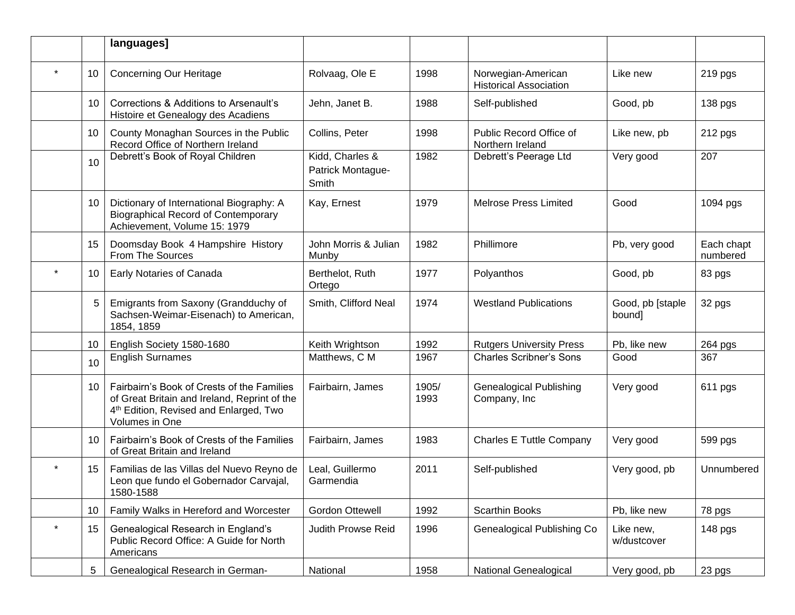|         |    | languages]                                                                                                                                                         |                                               |               |                                                     |                            |                        |
|---------|----|--------------------------------------------------------------------------------------------------------------------------------------------------------------------|-----------------------------------------------|---------------|-----------------------------------------------------|----------------------------|------------------------|
|         | 10 | <b>Concerning Our Heritage</b>                                                                                                                                     | Rolvaag, Ole E                                | 1998          | Norwegian-American<br><b>Historical Association</b> | Like new                   | 219 pgs                |
|         | 10 | Corrections & Additions to Arsenault's<br>Histoire et Genealogy des Acadiens                                                                                       | Jehn, Janet B.                                | 1988          | Self-published                                      | Good, pb                   | 138 pgs                |
|         | 10 | County Monaghan Sources in the Public<br>Record Office of Northern Ireland                                                                                         | Collins, Peter                                | 1998          | Public Record Office of<br>Northern Ireland         | Like new, pb               | 212 pgs                |
|         | 10 | Debrett's Book of Royal Children                                                                                                                                   | Kidd, Charles &<br>Patrick Montague-<br>Smith | 1982          | Debrett's Peerage Ltd                               | Very good                  | 207                    |
|         | 10 | Dictionary of International Biography: A<br><b>Biographical Record of Contemporary</b><br>Achievement, Volume 15: 1979                                             | Kay, Ernest                                   | 1979          | <b>Melrose Press Limited</b>                        | Good                       | 1094 pgs               |
|         | 15 | Doomsday Book 4 Hampshire History<br>From The Sources                                                                                                              | John Morris & Julian<br>Munby                 | 1982          | Phillimore                                          | Pb, very good              | Each chapt<br>numbered |
|         | 10 | Early Notaries of Canada                                                                                                                                           | Berthelot, Ruth<br>Ortego                     | 1977          | Polyanthos                                          | Good, pb                   | 83 pgs                 |
|         | 5  | Emigrants from Saxony (Grandduchy of<br>Sachsen-Weimar-Eisenach) to American,<br>1854, 1859                                                                        | Smith, Clifford Neal                          | 1974          | <b>Westland Publications</b>                        | Good, pb [staple<br>bound] | 32 pgs                 |
|         | 10 | English Society 1580-1680                                                                                                                                          | Keith Wrightson                               | 1992          | <b>Rutgers University Press</b>                     | Pb, like new               | 264 pgs                |
|         | 10 | <b>English Surnames</b>                                                                                                                                            | Matthews, C M                                 | 1967          | <b>Charles Scribner's Sons</b>                      | Good                       | 367                    |
|         | 10 | Fairbairn's Book of Crests of the Families<br>of Great Britain and Ireland, Reprint of the<br>4 <sup>th</sup> Edition, Revised and Enlarged, Two<br>Volumes in One | Fairbairn, James                              | 1905/<br>1993 | <b>Genealogical Publishing</b><br>Company, Inc      | Very good                  | 611 pgs                |
|         | 10 | Fairbairn's Book of Crests of the Families<br>of Great Britain and Ireland                                                                                         | Fairbairn, James                              | 1983          | <b>Charles E Tuttle Company</b>                     | Very good                  | 599 pgs                |
|         | 15 | Familias de las Villas del Nuevo Reyno de<br>Leon que fundo el Gobernador Carvajal,<br>1580-1588                                                                   | Leal, Guillermo<br>Garmendia                  | 2011          | Self-published                                      | Very good, pb              | Unnumbered             |
|         | 10 | Family Walks in Hereford and Worcester                                                                                                                             | <b>Gordon Ottewell</b>                        | 1992          | Scarthin Books                                      | Pb, like new               | 78 pgs                 |
| $\star$ | 15 | Genealogical Research in England's<br>Public Record Office: A Guide for North<br>Americans                                                                         | Judith Prowse Reid                            | 1996          | Genealogical Publishing Co                          | Like new,<br>w/dustcover   | 148 pgs                |
|         | 5  | Genealogical Research in German-                                                                                                                                   | National                                      | 1958          | National Genealogical                               | Very good, pb              | 23 pgs                 |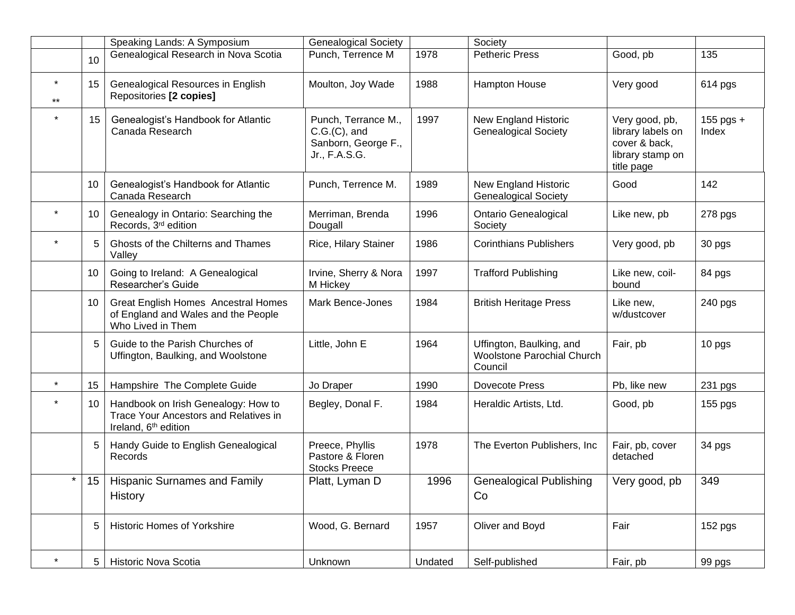|                  |                 | Speaking Lands: A Symposium                                                                                      | <b>Genealogical Society</b>                                                    |         | Society                                                                  |                                                                                        |                    |
|------------------|-----------------|------------------------------------------------------------------------------------------------------------------|--------------------------------------------------------------------------------|---------|--------------------------------------------------------------------------|----------------------------------------------------------------------------------------|--------------------|
|                  | 10              | Genealogical Research in Nova Scotia                                                                             | Punch, Terrence M                                                              | 1978    | <b>Petheric Press</b>                                                    | Good, pb                                                                               | 135                |
| $\star$<br>$***$ | 15              | Genealogical Resources in English<br>Repositories [2 copies]                                                     | Moulton, Joy Wade                                                              | 1988    | Hampton House                                                            | Very good                                                                              | 614 pgs            |
|                  | 15              | Genealogist's Handbook for Atlantic<br>Canada Research                                                           | Punch, Terrance M.,<br>$C.G.(C)$ , and<br>Sanborn, George F.,<br>Jr., F.A.S.G. | 1997    | <b>New England Historic</b><br><b>Genealogical Society</b>               | Very good, pb,<br>library labels on<br>cover & back,<br>library stamp on<br>title page | 155 pgs +<br>Index |
|                  | 10              | Genealogist's Handbook for Atlantic<br>Canada Research                                                           | Punch, Terrence M.                                                             | 1989    | <b>New England Historic</b><br><b>Genealogical Society</b>               | Good                                                                                   | 142                |
|                  | 10              | Genealogy in Ontario: Searching the<br>Records, 3rd edition                                                      | Merriman, Brenda<br>Dougall                                                    | 1996    | <b>Ontario Genealogical</b><br>Society                                   | Like new, pb                                                                           | 278 pgs            |
|                  | 5               | Ghosts of the Chilterns and Thames<br>Valley                                                                     | Rice, Hilary Stainer                                                           | 1986    | <b>Corinthians Publishers</b>                                            | Very good, pb                                                                          | 30 pgs             |
|                  | 10              | Going to Ireland: A Genealogical<br>Researcher's Guide                                                           | Irvine, Sherry & Nora<br>M Hickey                                              | 1997    | <b>Trafford Publishing</b>                                               | Like new, coil-<br>bound                                                               | 84 pgs             |
|                  | 10              | Great English Homes Ancestral Homes<br>of England and Wales and the People<br>Who Lived in Them                  | <b>Mark Bence-Jones</b>                                                        | 1984    | <b>British Heritage Press</b>                                            | Like new,<br>w/dustcover                                                               | 240 pgs            |
|                  |                 | Guide to the Parish Churches of<br>Uffington, Baulking, and Woolstone                                            | Little, John E                                                                 | 1964    | Uffington, Baulking, and<br><b>Woolstone Parochial Church</b><br>Council | Fair, pb                                                                               | 10 pgs             |
| $\star$          | 15              | Hampshire The Complete Guide                                                                                     | Jo Draper                                                                      | 1990    | Dovecote Press                                                           | Pb, like new                                                                           | 231 pgs            |
|                  | 10              | Handbook on Irish Genealogy: How to<br>Trace Your Ancestors and Relatives in<br>Ireland, 6 <sup>th</sup> edition | Begley, Donal F.                                                               | 1984    | Heraldic Artists, Ltd.                                                   | Good, pb                                                                               | 155 pgs            |
|                  | 5               | Handy Guide to English Genealogical<br>Records                                                                   | Preece, Phyllis<br>Pastore & Floren<br><b>Stocks Preece</b>                    | 1978    | The Everton Publishers, Inc.                                             | Fair, pb, cover<br>detached                                                            | 34 pgs             |
| $\star$          | 15 <sub>1</sub> | Hispanic Surnames and Family<br>History                                                                          | Platt, Lyman D                                                                 | 1996    | <b>Genealogical Publishing</b><br>Co                                     | Very good, pb                                                                          | 349                |
|                  | 5               | <b>Historic Homes of Yorkshire</b>                                                                               | Wood, G. Bernard                                                               | 1957    | Oliver and Boyd                                                          | Fair                                                                                   | 152 pgs            |
| $\star$          | 5               | Historic Nova Scotia                                                                                             | Unknown                                                                        | Undated | Self-published                                                           | Fair, pb                                                                               | 99 pgs             |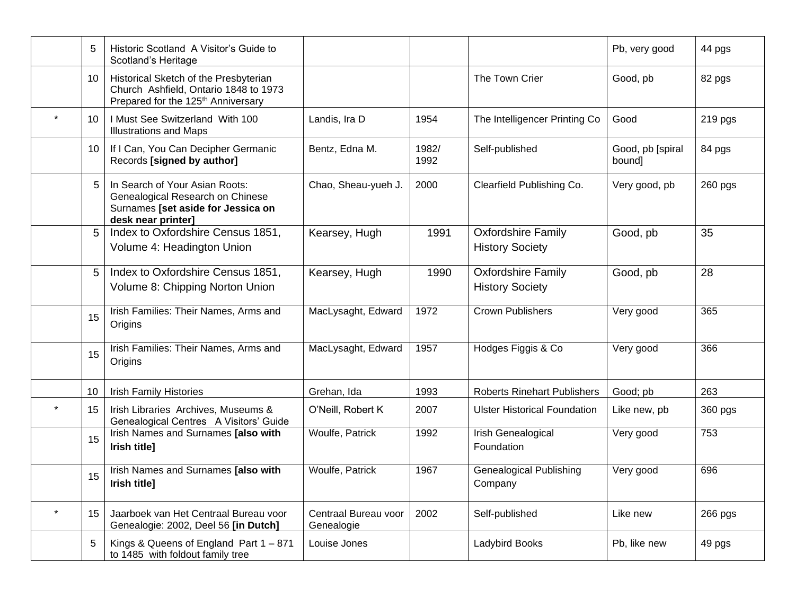|         | 5  | Historic Scotland A Visitor's Guide to<br>Scotland's Heritage                                                                    |                                    |               |                                                     | Pb, very good              | 44 pgs    |
|---------|----|----------------------------------------------------------------------------------------------------------------------------------|------------------------------------|---------------|-----------------------------------------------------|----------------------------|-----------|
|         | 10 | Historical Sketch of the Presbyterian<br>Church Ashfield, Ontario 1848 to 1973<br>Prepared for the 125 <sup>th</sup> Anniversary |                                    |               | The Town Crier                                      | Good, pb                   | 82 pgs    |
| $\star$ | 10 | I Must See Switzerland With 100<br><b>Illustrations and Maps</b>                                                                 | Landis, Ira D                      | 1954          | The Intelligencer Printing Co                       | Good                       | 219 pgs   |
|         | 10 | If I Can, You Can Decipher Germanic<br>Records [signed by author]                                                                | Bentz, Edna M.                     | 1982/<br>1992 | Self-published                                      | Good, pb [spiral<br>bound] | 84 pgs    |
|         | 5  | In Search of Your Asian Roots:<br>Genealogical Research on Chinese<br>Surnames [set aside for Jessica on<br>desk near printer]   | Chao, Sheau-yueh J.                | 2000          | Clearfield Publishing Co.                           | Very good, pb              | $260$ pgs |
|         | 5  | Index to Oxfordshire Census 1851,<br>Volume 4: Headington Union                                                                  | Kearsey, Hugh                      | 1991          | <b>Oxfordshire Family</b><br><b>History Society</b> | Good, pb                   | 35        |
|         | 5  | Index to Oxfordshire Census 1851,<br>Volume 8: Chipping Norton Union                                                             | Kearsey, Hugh                      | 1990          | <b>Oxfordshire Family</b><br><b>History Society</b> | Good, pb                   | 28        |
|         | 15 | Irish Families: Their Names, Arms and<br>Origins                                                                                 | MacLysaght, Edward                 | 1972          | <b>Crown Publishers</b>                             | Very good                  | 365       |
|         | 15 | Irish Families: Their Names, Arms and<br>Origins                                                                                 | MacLysaght, Edward                 | 1957          | Hodges Figgis & Co                                  | Very good                  | 366       |
|         | 10 | <b>Irish Family Histories</b>                                                                                                    | Grehan, Ida                        | 1993          | <b>Roberts Rinehart Publishers</b>                  | Good; pb                   | 263       |
| $\star$ | 15 | Irish Libraries Archives, Museums &<br>Genealogical Centres A Visitors' Guide                                                    | O'Neill, Robert K                  | 2007          | <b>Ulster Historical Foundation</b>                 | Like new, pb               | 360 pgs   |
|         | 15 | Irish Names and Surnames [also with<br>Irish title]                                                                              | Woulfe, Patrick                    | 1992          | Irish Genealogical<br>Foundation                    | Very good                  | 753       |
|         | 15 | Irish Names and Surnames [also with<br>Irish title]                                                                              | Woulfe, Patrick                    | 1967          | <b>Genealogical Publishing</b><br>Company           | Very good                  | 696       |
| $\star$ | 15 | Jaarboek van Het Centraal Bureau voor<br>Genealogie: 2002, Deel 56 [in Dutch]                                                    | Centraal Bureau voor<br>Genealogie | 2002          | Self-published                                      | Like new                   | 266 pgs   |
|         | 5  | Kings & Queens of England Part $1 - 871$<br>to 1485 with foldout family tree                                                     | Louise Jones                       |               | Ladybird Books                                      | Pb, like new               | 49 pgs    |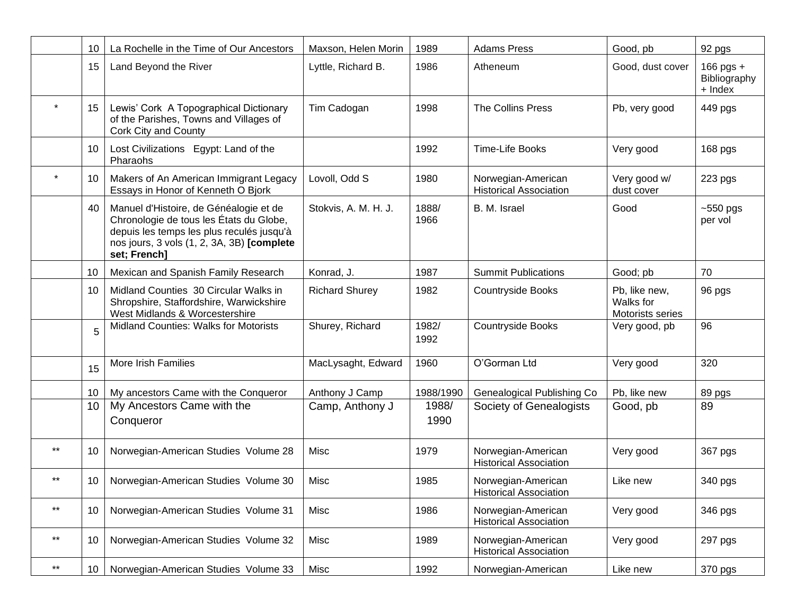|                 | 10 | La Rochelle in the Time of Our Ancestors                                                                                                                                                     | Maxson, Helen Morin   | 1989          | <b>Adams Press</b>                                  | Good, pb                                       | 92 pgs                               |
|-----------------|----|----------------------------------------------------------------------------------------------------------------------------------------------------------------------------------------------|-----------------------|---------------|-----------------------------------------------------|------------------------------------------------|--------------------------------------|
|                 | 15 | Land Beyond the River                                                                                                                                                                        | Lyttle, Richard B.    | 1986          | Atheneum                                            | Good, dust cover                               | 166 pgs +<br>Bibliography<br>+ Index |
|                 | 15 | Lewis' Cork A Topographical Dictionary<br>of the Parishes, Towns and Villages of<br>Cork City and County                                                                                     | Tim Cadogan           | 1998          | The Collins Press                                   | Pb, very good                                  | 449 pgs                              |
|                 | 10 | Lost Civilizations Egypt: Land of the<br>Pharaohs                                                                                                                                            |                       | 1992          | Time-Life Books                                     | Very good                                      | 168 pgs                              |
| $\star$         | 10 | Makers of An American Immigrant Legacy<br>Essays in Honor of Kenneth O Bjork                                                                                                                 | Lovoll, Odd S         | 1980          | Norwegian-American<br><b>Historical Association</b> | Very good w/<br>dust cover                     | 223 pgs                              |
|                 | 40 | Manuel d'Histoire, de Généalogie et de<br>Chronologie de tous les États du Globe,<br>depuis les temps les plus reculés jusqu'à<br>nos jours, 3 vols (1, 2, 3A, 3B) [complete<br>set; French] | Stokvis, A. M. H. J.  | 1888/<br>1966 | B. M. Israel                                        | Good                                           | ~550 pgs<br>per vol                  |
|                 | 10 | Mexican and Spanish Family Research                                                                                                                                                          | Konrad, J.            | 1987          | <b>Summit Publications</b>                          | Good; pb                                       | 70                                   |
|                 | 10 | Midland Counties 30 Circular Walks in<br>Shropshire, Staffordshire, Warwickshire<br>West Midlands & Worcestershire                                                                           | <b>Richard Shurey</b> | 1982          | <b>Countryside Books</b>                            | Pb, like new,<br>Walks for<br>Motorists series | 96 pgs                               |
|                 | 5  | Midland Counties: Walks for Motorists                                                                                                                                                        | Shurey, Richard       | 1982/<br>1992 | Countryside Books                                   | Very good, pb                                  | 96                                   |
|                 | 15 | More Irish Families                                                                                                                                                                          | MacLysaght, Edward    | 1960          | O'Gorman Ltd                                        | Very good                                      | 320                                  |
|                 | 10 | My ancestors Came with the Conqueror                                                                                                                                                         | Anthony J Camp        | 1988/1990     | Genealogical Publishing Co                          | Pb, like new                                   | 89 pgs                               |
|                 | 10 | My Ancestors Came with the<br>Conqueror                                                                                                                                                      | Camp, Anthony J       | 1988/<br>1990 | Society of Genealogists                             | Good, pb                                       | 89                                   |
| $***$           | 10 | Norwegian-American Studies Volume 28                                                                                                                                                         | Misc                  | 1979          | Norwegian-American<br><b>Historical Association</b> | Very good                                      | 367 pgs                              |
| $\star\star$    | 10 | Norwegian-American Studies Volume 30                                                                                                                                                         | Misc                  | 1985          | Norwegian-American<br><b>Historical Association</b> | Like new                                       | 340 pgs                              |
| $^{\star\star}$ | 10 | Norwegian-American Studies Volume 31                                                                                                                                                         | Misc                  | 1986          | Norwegian-American<br><b>Historical Association</b> | Very good                                      | 346 pgs                              |
| $\star\star$    | 10 | Norwegian-American Studies Volume 32                                                                                                                                                         | Misc                  | 1989          | Norwegian-American<br><b>Historical Association</b> | Very good                                      | 297 pgs                              |
| $^{\star\star}$ | 10 | Norwegian-American Studies Volume 33                                                                                                                                                         | Misc                  | 1992          | Norwegian-American                                  | Like new                                       | 370 pgs                              |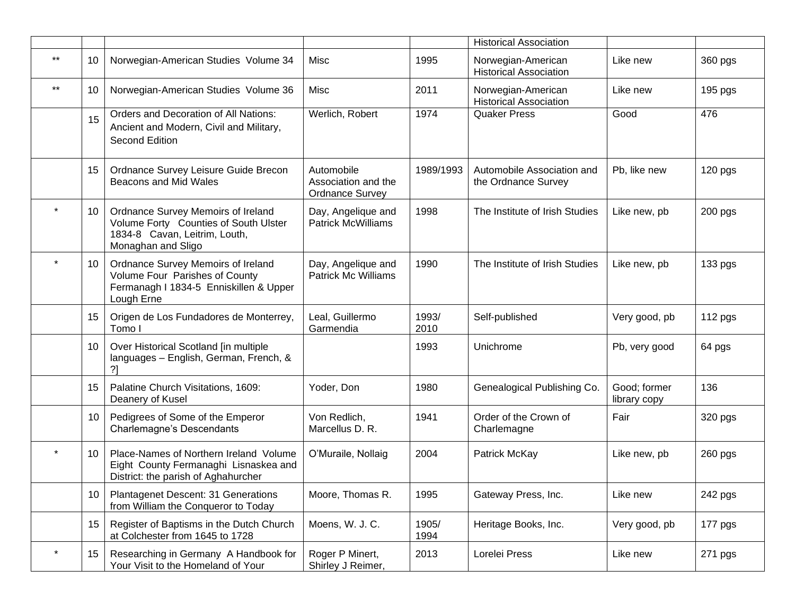|         |    |                                                                                                                                    |                                                             |               | <b>Historical Association</b>                       |                              |         |
|---------|----|------------------------------------------------------------------------------------------------------------------------------------|-------------------------------------------------------------|---------------|-----------------------------------------------------|------------------------------|---------|
| $***$   | 10 | Norwegian-American Studies Volume 34                                                                                               | Misc                                                        | 1995          | Norwegian-American<br><b>Historical Association</b> | Like new                     | 360 pgs |
| $***$   | 10 | Norwegian-American Studies Volume 36                                                                                               | Misc                                                        | 2011          | Norwegian-American<br><b>Historical Association</b> | Like new                     | 195 pgs |
|         | 15 | Orders and Decoration of All Nations:<br>Ancient and Modern, Civil and Military,<br>Second Edition                                 | Werlich, Robert                                             | 1974          | <b>Quaker Press</b>                                 | Good                         | 476     |
|         | 15 | Ordnance Survey Leisure Guide Brecon<br>Beacons and Mid Wales                                                                      | Automobile<br>Association and the<br><b>Ordnance Survey</b> | 1989/1993     | Automobile Association and<br>the Ordnance Survey   | Pb, like new                 | 120 pgs |
| $\star$ | 10 | Ordnance Survey Memoirs of Ireland<br>Volume Forty Counties of South Ulster<br>1834-8 Cavan, Leitrim, Louth,<br>Monaghan and Sligo | Day, Angelique and<br><b>Patrick McWilliams</b>             | 1998          | The Institute of Irish Studies                      | Like new, pb                 | 200 pgs |
|         | 10 | Ordnance Survey Memoirs of Ireland<br>Volume Four Parishes of County<br>Fermanagh I 1834-5 Enniskillen & Upper<br>Lough Erne       | Day, Angelique and<br><b>Patrick Mc Williams</b>            | 1990          | The Institute of Irish Studies                      | Like new, pb                 | 133 pgs |
|         | 15 | Origen de Los Fundadores de Monterrey,<br>Tomo I                                                                                   | Leal, Guillermo<br>Garmendia                                | 1993/<br>2010 | Self-published                                      | Very good, pb                | 112 pgs |
|         | 10 | Over Historical Scotland [in multiple<br>languages - English, German, French, &<br>?1                                              |                                                             | 1993          | Unichrome                                           | Pb, very good                | 64 pgs  |
|         | 15 | Palatine Church Visitations, 1609:<br>Deanery of Kusel                                                                             | Yoder, Don                                                  | 1980          | Genealogical Publishing Co.                         | Good; former<br>library copy | 136     |
|         | 10 | Pedigrees of Some of the Emperor<br>Charlemagne's Descendants                                                                      | Von Redlich,<br>Marcellus D. R.                             | 1941          | Order of the Crown of<br>Charlemagne                | Fair                         | 320 pgs |
|         | 10 | Place-Names of Northern Ireland Volume<br>Eight County Fermanaghi Lisnaskea and<br>District: the parish of Aghahurcher             | O'Muraile, Nollaig                                          | 2004          | Patrick McKay                                       | Like new, pb                 | 260 pgs |
|         | 10 | <b>Plantagenet Descent: 31 Generations</b><br>from William the Conqueror to Today                                                  | Moore, Thomas R.                                            | 1995          | Gateway Press, Inc.                                 | Like new                     | 242 pgs |
|         | 15 | Register of Baptisms in the Dutch Church<br>at Colchester from 1645 to 1728                                                        | Moens, W. J. C.                                             | 1905/<br>1994 | Heritage Books, Inc.                                | Very good, pb                | 177 pgs |
| $\star$ | 15 | Researching in Germany A Handbook for<br>Your Visit to the Homeland of Your                                                        | Roger P Minert,<br>Shirley J Reimer,                        | 2013          | Lorelei Press                                       | Like new                     | 271 pgs |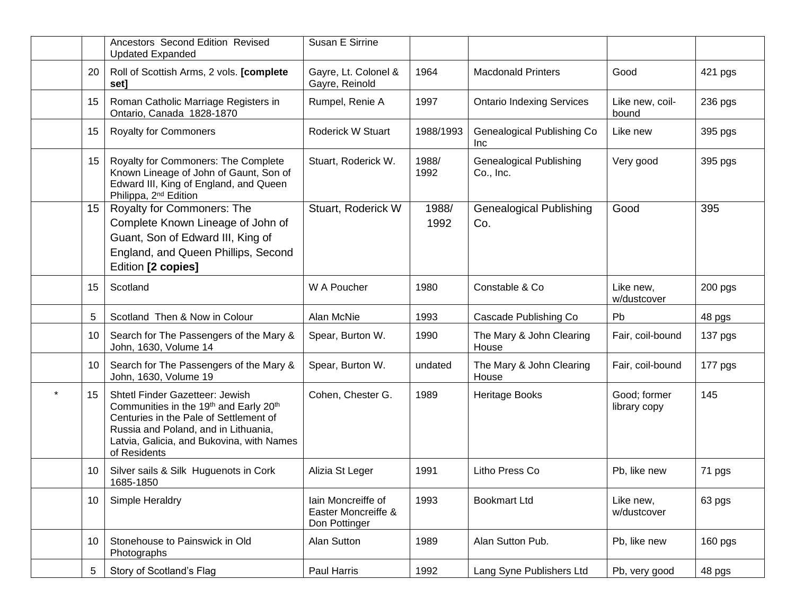|                 | Ancestors Second Edition Revised<br><b>Updated Expanded</b>                                                                                                                                                              | Susan E Sirrine                                            |               |                                             |                              |           |
|-----------------|--------------------------------------------------------------------------------------------------------------------------------------------------------------------------------------------------------------------------|------------------------------------------------------------|---------------|---------------------------------------------|------------------------------|-----------|
| 20              | Roll of Scottish Arms, 2 vols. [complete<br>set]                                                                                                                                                                         | Gayre, Lt. Colonel &<br>Gayre, Reinold                     | 1964          | <b>Macdonald Printers</b>                   | Good                         | 421 pgs   |
| 15              | Roman Catholic Marriage Registers in<br>Ontario, Canada 1828-1870                                                                                                                                                        | Rumpel, Renie A                                            | 1997          | <b>Ontario Indexing Services</b>            | Like new, coil-<br>bound     | 236 pgs   |
| 15              | <b>Royalty for Commoners</b>                                                                                                                                                                                             | Roderick W Stuart                                          | 1988/1993     | Genealogical Publishing Co<br><b>Inc</b>    | Like new                     | 395 pgs   |
| 15 <sub>1</sub> | Royalty for Commoners: The Complete<br>Known Lineage of John of Gaunt, Son of<br>Edward III, King of England, and Queen<br>Philippa, 2 <sup>nd</sup> Edition                                                             | Stuart, Roderick W.                                        | 1988/<br>1992 | <b>Genealogical Publishing</b><br>Co., Inc. | Very good                    | 395 pgs   |
| 15 <sub>1</sub> | Royalty for Commoners: The<br>Complete Known Lineage of John of<br>Guant, Son of Edward III, King of<br>England, and Queen Phillips, Second<br>Edition [2 copies]                                                        | Stuart, Roderick W                                         | 1988/<br>1992 | <b>Genealogical Publishing</b><br>Co.       | Good                         | 395       |
| 15              | Scotland                                                                                                                                                                                                                 | W A Poucher                                                | 1980          | Constable & Co                              | Like new,<br>w/dustcover     | $200$ pgs |
| 5               | Scotland Then & Now in Colour                                                                                                                                                                                            | Alan McNie                                                 | 1993          | Cascade Publishing Co                       | Pb                           | 48 pgs    |
| 10              | Search for The Passengers of the Mary &<br>John, 1630, Volume 14                                                                                                                                                         | Spear, Burton W.                                           | 1990          | The Mary & John Clearing<br>House           | Fair, coil-bound             | 137 pgs   |
| 10              | Search for The Passengers of the Mary &<br>John, 1630, Volume 19                                                                                                                                                         | Spear, Burton W.                                           | undated       | The Mary & John Clearing<br>House           | Fair, coil-bound             | 177 pgs   |
| 15              | Shtetl Finder Gazetteer: Jewish<br>Communities in the 19th and Early 20th<br>Centuries in the Pale of Settlement of<br>Russia and Poland, and in Lithuania,<br>Latvia, Galicia, and Bukovina, with Names<br>of Residents | Cohen, Chester G.                                          | 1989          | Heritage Books                              | Good; former<br>library copy | 145       |
| 10              | Silver sails & Silk Huguenots in Cork<br>1685-1850                                                                                                                                                                       | Alizia St Leger                                            | 1991          | Litho Press Co                              | Pb, like new                 | 71 pgs    |
| 10              | Simple Heraldry                                                                                                                                                                                                          | lain Moncreiffe of<br>Easter Moncreiffe &<br>Don Pottinger | 1993          | <b>Bookmart Ltd</b>                         | Like new,<br>w/dustcover     | 63 pgs    |
| 10              | Stonehouse to Painswick in Old<br>Photographs                                                                                                                                                                            | Alan Sutton                                                | 1989          | Alan Sutton Pub.                            | Pb, like new                 | 160 pgs   |
| 5               | Story of Scotland's Flag                                                                                                                                                                                                 | Paul Harris                                                | 1992          | Lang Syne Publishers Ltd                    | Pb, very good                | 48 pgs    |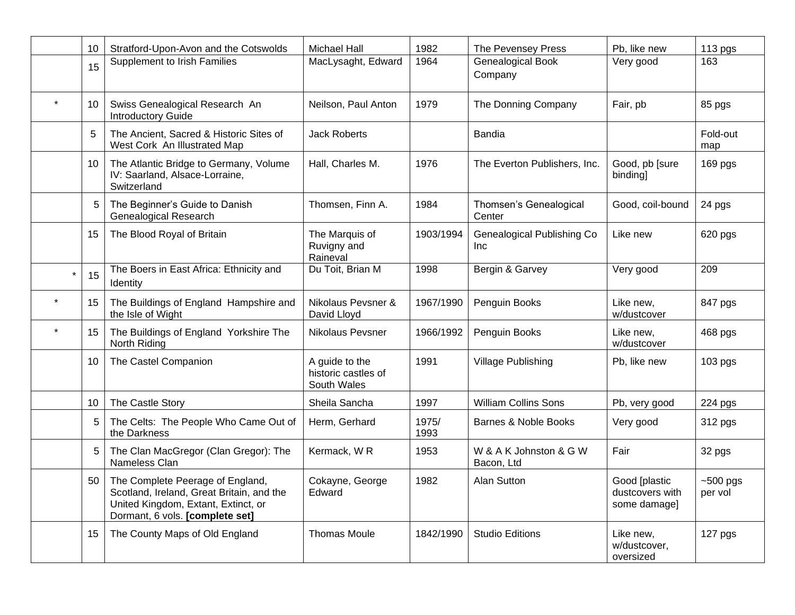|         | 10 | Stratford-Upon-Avon and the Cotswolds                                                                                                                   | <b>Michael Hall</b>                                  | 1982          | The Pevensey Press                       | Pb, like new                                     | $113$ pgs             |
|---------|----|---------------------------------------------------------------------------------------------------------------------------------------------------------|------------------------------------------------------|---------------|------------------------------------------|--------------------------------------------------|-----------------------|
|         | 15 | <b>Supplement to Irish Families</b>                                                                                                                     | MacLysaght, Edward                                   | 1964          | Genealogical Book<br>Company             | Very good                                        | 163                   |
| $\star$ | 10 | Swiss Genealogical Research An<br><b>Introductory Guide</b>                                                                                             | Neilson, Paul Anton                                  | 1979          | The Donning Company                      | Fair, pb                                         | 85 pgs                |
|         | 5  | The Ancient, Sacred & Historic Sites of<br>West Cork An Illustrated Map                                                                                 | <b>Jack Roberts</b>                                  |               | <b>Bandia</b>                            |                                                  | Fold-out<br>map       |
|         | 10 | The Atlantic Bridge to Germany, Volume<br>IV: Saarland, Alsace-Lorraine,<br>Switzerland                                                                 | Hall, Charles M.                                     | 1976          | The Everton Publishers, Inc.             | Good, pb [sure<br>binding]                       | 169 pgs               |
|         | 5  | The Beginner's Guide to Danish<br><b>Genealogical Research</b>                                                                                          | Thomsen, Finn A.                                     | 1984          | Thomsen's Genealogical<br>Center         | Good, coil-bound                                 | 24 pgs                |
|         | 15 | The Blood Royal of Britain                                                                                                                              | The Marquis of<br>Ruvigny and<br>Raineval            | 1903/1994     | Genealogical Publishing Co<br><b>Inc</b> | Like new                                         | 620 pgs               |
| $\star$ | 15 | The Boers in East Africa: Ethnicity and<br><b>Identity</b>                                                                                              | Du Toit, Brian M                                     | 1998          | Bergin & Garvey                          | Very good                                        | 209                   |
| $\star$ | 15 | The Buildings of England Hampshire and<br>the Isle of Wight                                                                                             | Nikolaus Pevsner &<br>David Lloyd                    | 1967/1990     | Penguin Books                            | Like new,<br>w/dustcover                         | 847 pgs               |
| $\star$ | 15 | The Buildings of England Yorkshire The<br>North Riding                                                                                                  | <b>Nikolaus Pevsner</b>                              | 1966/1992     | Penguin Books                            | Like new,<br>w/dustcover                         | 468 pgs               |
|         | 10 | The Castel Companion                                                                                                                                    | A guide to the<br>historic castles of<br>South Wales | 1991          | Village Publishing                       | Pb, like new                                     | 103 pgs               |
|         | 10 | The Castle Story                                                                                                                                        | Sheila Sancha                                        | 1997          | <b>William Collins Sons</b>              | Pb, very good                                    | 224 pgs               |
|         | 5  | The Celts: The People Who Came Out of<br>the Darkness                                                                                                   | Herm, Gerhard                                        | 1975/<br>1993 | Barnes & Noble Books                     | Very good                                        | 312 pgs               |
|         | 5  | The Clan MacGregor (Clan Gregor): The<br>Nameless Clan                                                                                                  | Kermack, WR                                          | 1953          | W & A K Johnston & G W<br>Bacon, Ltd     | Fair                                             | 32 pgs                |
|         | 50 | The Complete Peerage of England,<br>Scotland, Ireland, Great Britain, and the<br>United Kingdom, Extant, Extinct, or<br>Dormant, 6 vols. [complete set] | Cokayne, George<br>Edward                            | 1982          | Alan Sutton                              | Good [plastic<br>dustcovers with<br>some damage] | $~500$ pgs<br>per vol |
|         | 15 | The County Maps of Old England                                                                                                                          | <b>Thomas Moule</b>                                  | 1842/1990     | <b>Studio Editions</b>                   | Like new,<br>w/dustcover,<br>oversized           | 127 pgs               |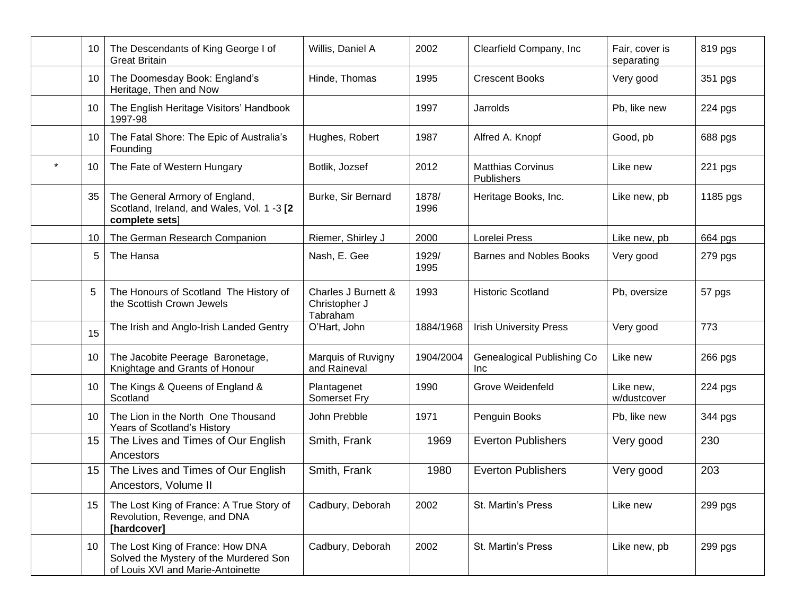| 10 | The Descendants of King George I of<br><b>Great Britain</b>                                                     | Willis, Daniel A                                 | 2002          | Clearfield Company, Inc                | Fair, cover is<br>separating | 819 pgs  |
|----|-----------------------------------------------------------------------------------------------------------------|--------------------------------------------------|---------------|----------------------------------------|------------------------------|----------|
| 10 | The Doomesday Book: England's<br>Heritage, Then and Now                                                         | Hinde, Thomas                                    | 1995          | <b>Crescent Books</b>                  | Very good                    | 351 pgs  |
| 10 | The English Heritage Visitors' Handbook<br>1997-98                                                              |                                                  | 1997          | Jarrolds                               | Pb, like new                 | 224 pgs  |
| 10 | The Fatal Shore: The Epic of Australia's<br>Founding                                                            | Hughes, Robert                                   | 1987          | Alfred A. Knopf                        | Good, pb                     | 688 pgs  |
| 10 | The Fate of Western Hungary                                                                                     | Botlik, Jozsef                                   | 2012          | <b>Matthias Corvinus</b><br>Publishers | Like new                     | 221 pgs  |
| 35 | The General Armory of England,<br>Scotland, Ireland, and Wales, Vol. 1 -3 [2<br>complete sets]                  | Burke, Sir Bernard                               | 1878/<br>1996 | Heritage Books, Inc.                   | Like new, pb                 | 1185 pgs |
| 10 | The German Research Companion                                                                                   | Riemer, Shirley J                                | 2000          | Lorelei Press                          | Like new, pb                 | 664 pgs  |
| 5  | The Hansa                                                                                                       | Nash, E. Gee                                     | 1929/<br>1995 | <b>Barnes and Nobles Books</b>         | Very good                    | 279 pgs  |
| 5  | The Honours of Scotland The History of<br>the Scottish Crown Jewels                                             | Charles J Burnett &<br>Christopher J<br>Tabraham | 1993          | <b>Historic Scotland</b>               | Pb, oversize                 | 57 pgs   |
| 15 | The Irish and Anglo-Irish Landed Gentry                                                                         | O'Hart, John                                     | 1884/1968     | <b>Irish University Press</b>          | Very good                    | 773      |
| 10 | The Jacobite Peerage Baronetage,<br>Knightage and Grants of Honour                                              | Marquis of Ruvigny<br>and Raineval               | 1904/2004     | Genealogical Publishing Co<br>Inc.     | Like new                     | 266 pgs  |
| 10 | The Kings & Queens of England &<br>Scotland                                                                     | Plantagenet<br>Somerset Fry                      | 1990          | <b>Grove Weidenfeld</b>                | Like new,<br>w/dustcover     | 224 pgs  |
| 10 | The Lion in the North One Thousand<br>Years of Scotland's History                                               | John Prebble                                     | 1971          | Penguin Books                          | Pb, like new                 | 344 pgs  |
| 15 | The Lives and Times of Our English<br>Ancestors                                                                 | Smith, Frank                                     | 1969          | <b>Everton Publishers</b>              | Very good                    | 230      |
| 15 | The Lives and Times of Our English<br>Ancestors, Volume II                                                      | Smith, Frank                                     | 1980          | <b>Everton Publishers</b>              | Very good                    | 203      |
| 15 | The Lost King of France: A True Story of<br>Revolution, Revenge, and DNA<br>[hardcover]                         | Cadbury, Deborah                                 | 2002          | St. Martin's Press                     | Like new                     | 299 pgs  |
| 10 | The Lost King of France: How DNA<br>Solved the Mystery of the Murdered Son<br>of Louis XVI and Marie-Antoinette | Cadbury, Deborah                                 | 2002          | St. Martin's Press                     | Like new, pb                 | 299 pgs  |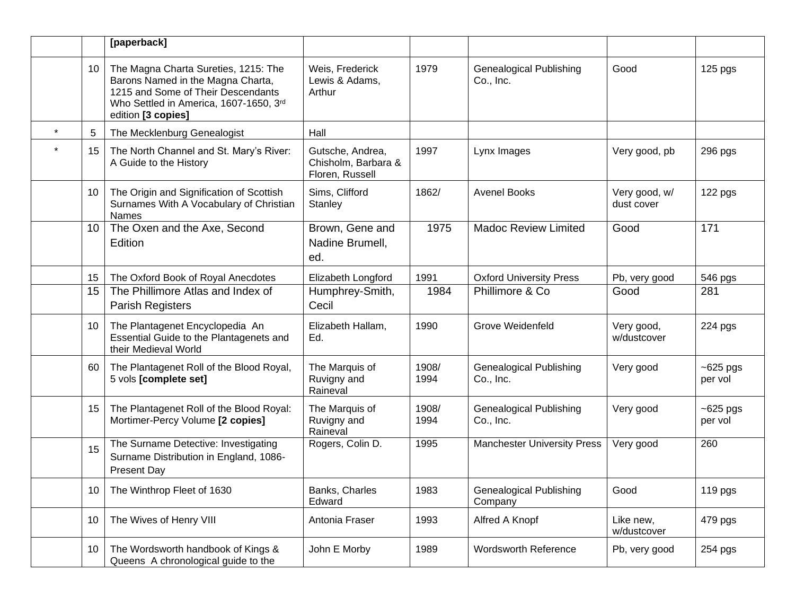|    | [paperback]                                                                                                                                                                     |                                                            |               |                                             |                             |                         |
|----|---------------------------------------------------------------------------------------------------------------------------------------------------------------------------------|------------------------------------------------------------|---------------|---------------------------------------------|-----------------------------|-------------------------|
| 10 | The Magna Charta Sureties, 1215: The<br>Barons Named in the Magna Charta,<br>1215 and Some of Their Descendants<br>Who Settled in America, 1607-1650, 3rd<br>edition [3 copies] | Weis, Frederick<br>Lewis & Adams,<br>Arthur                | 1979          | <b>Genealogical Publishing</b><br>Co., Inc. | Good                        | 125 pgs                 |
| 5  | The Mecklenburg Genealogist                                                                                                                                                     | Hall                                                       |               |                                             |                             |                         |
| 15 | The North Channel and St. Mary's River:<br>A Guide to the History                                                                                                               | Gutsche, Andrea,<br>Chisholm, Barbara &<br>Floren, Russell | 1997          | Lynx Images                                 | Very good, pb               | 296 pgs                 |
| 10 | The Origin and Signification of Scottish<br>Surnames With A Vocabulary of Christian<br><b>Names</b>                                                                             | Sims, Clifford<br>Stanley                                  | 1862/         | <b>Avenel Books</b>                         | Very good, w/<br>dust cover | 122 pgs                 |
| 10 | The Oxen and the Axe, Second<br>Edition                                                                                                                                         | Brown, Gene and<br>Nadine Brumell,<br>ed.                  | 1975          | <b>Madoc Review Limited</b>                 | Good                        | 171                     |
| 15 | The Oxford Book of Royal Anecdotes                                                                                                                                              | Elizabeth Longford                                         | 1991          | <b>Oxford University Press</b>              | Pb, very good               | 546 pgs                 |
| 15 | The Phillimore Atlas and Index of<br><b>Parish Registers</b>                                                                                                                    | Humphrey-Smith,<br>Cecil                                   | 1984          | Phillimore & Co                             | Good                        | 281                     |
| 10 | The Plantagenet Encyclopedia An<br>Essential Guide to the Plantagenets and<br>their Medieval World                                                                              | Elizabeth Hallam,<br>Ed.                                   | 1990          | Grove Weidenfeld                            | Very good,<br>w/dustcover   | 224 pgs                 |
| 60 | The Plantagenet Roll of the Blood Royal,<br>5 vols [complete set]                                                                                                               | The Marquis of<br>Ruvigny and<br>Raineval                  | 1908/<br>1994 | <b>Genealogical Publishing</b><br>Co., Inc. | Very good                   | $~5$ 25 pgs<br>per vol  |
| 15 | The Plantagenet Roll of the Blood Royal:<br>Mortimer-Percy Volume [2 copies]                                                                                                    | The Marquis of<br>Ruvigny and<br>Raineval                  | 1908/<br>1994 | <b>Genealogical Publishing</b><br>Co., Inc. | Very good                   | $~5$ 625 pgs<br>per vol |
| 15 | The Surname Detective: Investigating<br>Surname Distribution in England, 1086-<br><b>Present Day</b>                                                                            | Rogers, Colin D.                                           | 1995          | <b>Manchester University Press</b>          | Very good                   | 260                     |
| 10 | The Winthrop Fleet of 1630                                                                                                                                                      | Banks, Charles<br>Edward                                   | 1983          | <b>Genealogical Publishing</b><br>Company   | Good                        | 119 pgs                 |
| 10 | The Wives of Henry VIII                                                                                                                                                         | Antonia Fraser                                             | 1993          | Alfred A Knopf                              | Like new,<br>w/dustcover    | 479 pgs                 |
| 10 | The Wordsworth handbook of Kings &<br>Queens A chronological guide to the                                                                                                       | John E Morby                                               | 1989          | <b>Wordsworth Reference</b>                 | Pb, very good               | 254 pgs                 |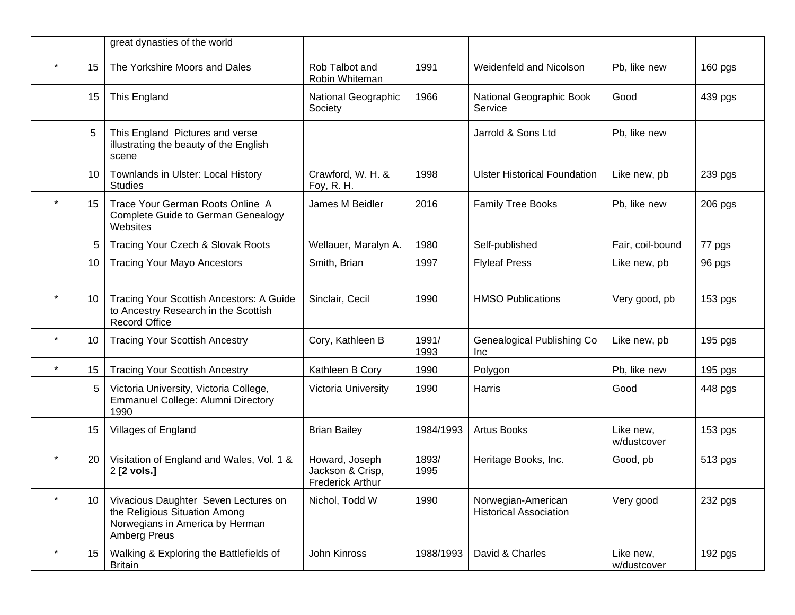|         |    | great dynasties of the world                                                                                             |                                                               |               |                                                     |                          |         |
|---------|----|--------------------------------------------------------------------------------------------------------------------------|---------------------------------------------------------------|---------------|-----------------------------------------------------|--------------------------|---------|
|         | 15 | The Yorkshire Moors and Dales                                                                                            | Rob Talbot and<br>Robin Whiteman                              | 1991          | Weidenfeld and Nicolson                             | Pb, like new             | 160 pgs |
|         | 15 | This England                                                                                                             | National Geographic<br>Society                                | 1966          | National Geographic Book<br>Service                 | Good                     | 439 pgs |
|         | 5  | This England Pictures and verse<br>illustrating the beauty of the English<br>scene                                       |                                                               |               | Jarrold & Sons Ltd                                  | Pb, like new             |         |
|         | 10 | Townlands in Ulster: Local History<br><b>Studies</b>                                                                     | Crawford, W. H. &<br>Foy, R. H.                               | 1998          | <b>Ulster Historical Foundation</b>                 | Like new, pb             | 239 pgs |
|         | 15 | Trace Your German Roots Online A<br><b>Complete Guide to German Genealogy</b><br>Websites                                | James M Beidler                                               | 2016          | <b>Family Tree Books</b>                            | Pb, like new             | 206 pgs |
|         | 5  | Tracing Your Czech & Slovak Roots                                                                                        | Wellauer, Maralyn A.                                          | 1980          | Self-published                                      | Fair, coil-bound         | 77 pgs  |
|         | 10 | <b>Tracing Your Mayo Ancestors</b>                                                                                       | Smith, Brian                                                  | 1997          | <b>Flyleaf Press</b>                                | Like new, pb             | 96 pgs  |
|         | 10 | Tracing Your Scottish Ancestors: A Guide<br>to Ancestry Research in the Scottish<br><b>Record Office</b>                 | Sinclair, Cecil                                               | 1990          | <b>HMSO Publications</b>                            | Very good, pb            | 153 pgs |
| $\star$ | 10 | <b>Tracing Your Scottish Ancestry</b>                                                                                    | Cory, Kathleen B                                              | 1991/<br>1993 | Genealogical Publishing Co<br>Inc                   | Like new, pb             | 195 pgs |
| $\star$ | 15 | <b>Tracing Your Scottish Ancestry</b>                                                                                    | Kathleen B Cory                                               | 1990          | Polygon                                             | Pb, like new             | 195 pgs |
|         | 5  | Victoria University, Victoria College,<br>Emmanuel College: Alumni Directory<br>1990                                     | Victoria University                                           | 1990          | Harris                                              | Good                     | 448 pgs |
|         | 15 | Villages of England                                                                                                      | <b>Brian Bailey</b>                                           | 1984/1993     | <b>Artus Books</b>                                  | Like new,<br>w/dustcover | 153 pgs |
|         | 20 | Visitation of England and Wales, Vol. 1 &<br>2 [2 vols.]                                                                 | Howard, Joseph<br>Jackson & Crisp,<br><b>Frederick Arthur</b> | 1893/<br>1995 | Heritage Books, Inc.                                | Good, pb                 | 513 pgs |
|         | 10 | Vivacious Daughter Seven Lectures on<br>the Religious Situation Among<br>Norwegians in America by Herman<br>Amberg Preus | Nichol, Todd W                                                | 1990          | Norwegian-American<br><b>Historical Association</b> | Very good                | 232 pgs |
| $\star$ | 15 | Walking & Exploring the Battlefields of<br><b>Britain</b>                                                                | John Kinross                                                  | 1988/1993     | David & Charles                                     | Like new,<br>w/dustcover | 192 pgs |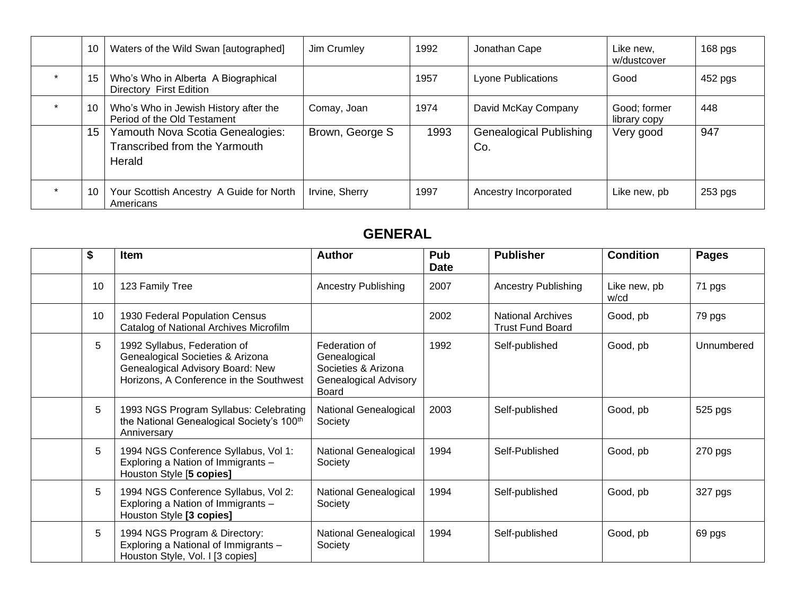| 10 | Waters of the Wild Swan [autographed]                                       | Jim Crumley     | 1992 | Jonathan Cape                         | Like new,<br>w/dustcover     | $168$ pgs |
|----|-----------------------------------------------------------------------------|-----------------|------|---------------------------------------|------------------------------|-----------|
| 15 | Who's Who in Alberta A Biographical<br>Directory First Edition              |                 | 1957 | <b>Lyone Publications</b>             | Good                         | 452 pgs   |
| 10 | Who's Who in Jewish History after the<br>Period of the Old Testament        | Comay, Joan     | 1974 | David McKay Company                   | Good; former<br>library copy | 448       |
| 15 | Yamouth Nova Scotia Genealogies:<br>Transcribed from the Yarmouth<br>Herald | Brown, George S | 1993 | <b>Genealogical Publishing</b><br>Co. | Very good                    | 947       |
| 10 | Your Scottish Ancestry A Guide for North<br>Americans                       | Irvine, Sherry  | 1997 | Ancestry Incorporated                 | Like new, pb                 | 253 pgs   |

### **GENERAL**

| \$<br><b>Item</b> |                                                                                                                                                 | <b>Author</b>                                                                                        | Pub<br><b>Date</b> | <b>Publisher</b>                                    | <b>Condition</b>     | <b>Pages</b> |
|-------------------|-------------------------------------------------------------------------------------------------------------------------------------------------|------------------------------------------------------------------------------------------------------|--------------------|-----------------------------------------------------|----------------------|--------------|
| 10                | 123 Family Tree                                                                                                                                 | <b>Ancestry Publishing</b>                                                                           | 2007               | <b>Ancestry Publishing</b>                          | Like new, pb<br>w/cd | 71 pgs       |
| 10                | 1930 Federal Population Census<br>Catalog of National Archives Microfilm                                                                        |                                                                                                      | 2002               | <b>National Archives</b><br><b>Trust Fund Board</b> | Good, pb             | 79 pgs       |
| 5                 | 1992 Syllabus, Federation of<br>Genealogical Societies & Arizona<br>Genealogical Advisory Board: New<br>Horizons, A Conference in the Southwest | Federation of<br>Genealogical<br>Societies & Arizona<br><b>Genealogical Advisory</b><br><b>Board</b> | 1992               | Self-published                                      | Good, pb             | Unnumbered   |
| 5                 | 1993 NGS Program Syllabus: Celebrating<br>the National Genealogical Society's 100 <sup>th</sup><br>Anniversary                                  | National Genealogical<br>Society                                                                     | 2003               | Self-published                                      | Good, pb             | 525 pgs      |
| 5                 | 1994 NGS Conference Syllabus, Vol 1:<br>Exploring a Nation of Immigrants -<br>Houston Style [5 copies]                                          | National Genealogical<br>Society                                                                     | 1994               | Self-Published                                      | Good, pb             | 270 pgs      |
| 5                 | 1994 NGS Conference Syllabus, Vol 2:<br>Exploring a Nation of Immigrants -<br>Houston Style [3 copies]                                          | National Genealogical<br>Society                                                                     | 1994               | Self-published                                      | Good, pb             | 327 pgs      |
| 5                 | 1994 NGS Program & Directory:<br>Exploring a National of Immigrants -<br>Houston Style, Vol. I [3 copies]                                       | National Genealogical<br>Society                                                                     | 1994               | Self-published                                      | Good, pb             | 69 pgs       |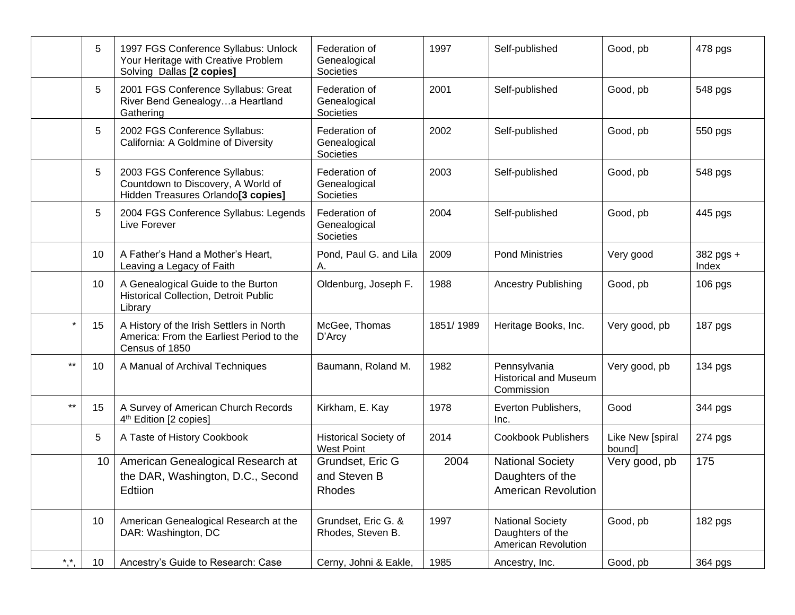|                 | 5  | 1997 FGS Conference Syllabus: Unlock<br>Your Heritage with Creative Problem<br>Solving Dallas [2 copies]              | Federation of<br>Genealogical<br>Societies        | 1997      | Self-published                                                            | Good, pb                   | 478 pgs            |
|-----------------|----|-----------------------------------------------------------------------------------------------------------------------|---------------------------------------------------|-----------|---------------------------------------------------------------------------|----------------------------|--------------------|
|                 | 5  | 2001 FGS Conference Syllabus: Great<br>River Bend Genealogya Heartland<br>Gathering                                   | Federation of<br>Genealogical<br>Societies        | 2001      | Self-published                                                            | Good, pb                   | 548 pgs            |
|                 | 5  | 2002 FGS Conference Syllabus:<br>California: A Goldmine of Diversity                                                  | Federation of<br>Genealogical<br>Societies        | 2002      | Self-published                                                            | Good, pb                   | 550 pgs            |
|                 | 5  | 2003 FGS Conference Syllabus:<br>Countdown to Discovery, A World of<br>Hidden Treasures Orlando <sup>[3</sup> copies] | Federation of<br>Genealogical<br>Societies        | 2003      | Self-published                                                            | Good, pb                   | 548 pgs            |
|                 | 5  | 2004 FGS Conference Syllabus: Legends<br>Live Forever                                                                 | Federation of<br>Genealogical<br>Societies        | 2004      | Self-published                                                            | Good, pb                   | 445 pgs            |
|                 | 10 | A Father's Hand a Mother's Heart,<br>Leaving a Legacy of Faith                                                        | Pond, Paul G. and Lila<br>Α.                      | 2009      | <b>Pond Ministries</b>                                                    | Very good                  | 382 pgs +<br>Index |
|                 | 10 | A Genealogical Guide to the Burton<br><b>Historical Collection, Detroit Public</b><br>Library                         | Oldenburg, Joseph F.                              | 1988      | <b>Ancestry Publishing</b>                                                | Good, pb                   | 106 pgs            |
| $\star$         | 15 | A History of the Irish Settlers in North<br>America: From the Earliest Period to the<br>Census of 1850                | McGee, Thomas<br>D'Arcy                           | 1851/1989 | Heritage Books, Inc.                                                      | Very good, pb              | 187 pgs            |
| $***$           | 10 | A Manual of Archival Techniques                                                                                       | Baumann, Roland M.                                | 1982      | Pennsylvania<br><b>Historical and Museum</b><br>Commission                | Very good, pb              | 134 pgs            |
| $\star\star$    | 15 | A Survey of American Church Records<br>4 <sup>th</sup> Edition [2 copies]                                             | Kirkham, E. Kay                                   | 1978      | Everton Publishers,<br>Inc.                                               | Good                       | 344 pgs            |
|                 | 5  | A Taste of History Cookbook                                                                                           | <b>Historical Society of</b><br><b>West Point</b> | 2014      | <b>Cookbook Publishers</b>                                                | Like New [spiral<br>bound] | 274 pgs            |
|                 | 10 | American Genealogical Research at<br>the DAR, Washington, D.C., Second<br>Edtiion                                     | Grundset, Eric G<br>and Steven B<br>Rhodes        | 2004      | <b>National Society</b><br>Daughters of the<br><b>American Revolution</b> | Very good, pb              | 175                |
|                 | 10 | American Genealogical Research at the<br>DAR: Washington, DC                                                          | Grundset, Eric G. &<br>Rhodes, Steven B.          | 1997      | <b>National Society</b><br>Daughters of the<br>American Revolution        | Good, pb                   | 182 pgs            |
| $\star$ $\star$ | 10 | Ancestry's Guide to Research: Case                                                                                    | Cerny, Johni & Eakle,                             | 1985      | Ancestry, Inc.                                                            | Good, pb                   | 364 pgs            |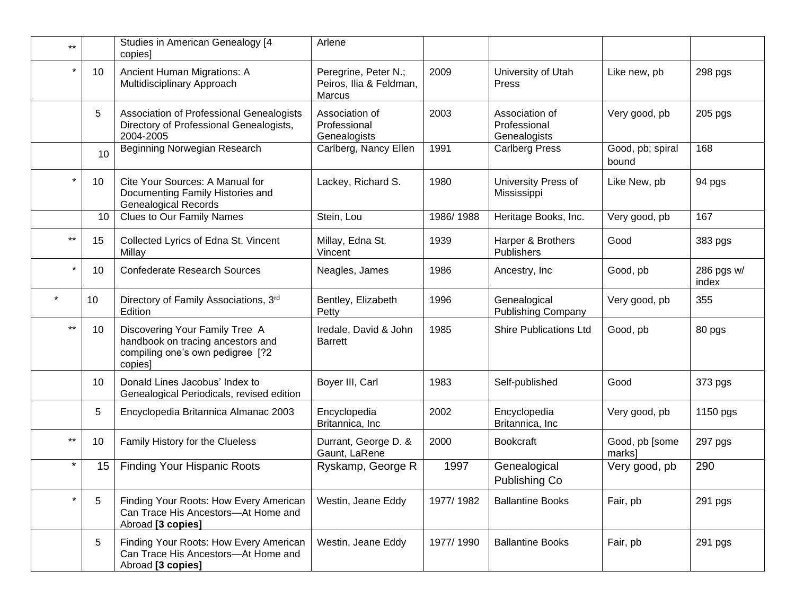| $***$    |    | Studies in American Genealogy [4<br>copies                                                                         | Arlene                                                    |           |                                                |                           |                     |
|----------|----|--------------------------------------------------------------------------------------------------------------------|-----------------------------------------------------------|-----------|------------------------------------------------|---------------------------|---------------------|
| $\star$  | 10 | Ancient Human Migrations: A<br>Multidisciplinary Approach                                                          | Peregrine, Peter N.;<br>Peiros, Ilia & Feldman,<br>Marcus | 2009      | University of Utah<br>Press                    | Like new, pb              | 298 pgs             |
|          | 5  | Association of Professional Genealogists<br>Directory of Professional Genealogists,<br>2004-2005                   | Association of<br>Professional<br>Genealogists            | 2003      | Association of<br>Professional<br>Genealogists | Very good, pb             | 205 pgs             |
|          | 10 | Beginning Norwegian Research                                                                                       | Carlberg, Nancy Ellen                                     | 1991      | <b>Carlberg Press</b>                          | Good, pb; spiral<br>bound | 168                 |
|          | 10 | Cite Your Sources: A Manual for<br>Documenting Family Histories and<br><b>Genealogical Records</b>                 | Lackey, Richard S.                                        | 1980      | University Press of<br>Mississippi             | Like New, pb              | 94 pgs              |
|          | 10 | <b>Clues to Our Family Names</b>                                                                                   | Stein, Lou                                                | 1986/1988 | Heritage Books, Inc.                           | Very good, pb             | 167                 |
| $***$    | 15 | Collected Lyrics of Edna St. Vincent<br>Millay                                                                     | Millay, Edna St.<br>Vincent                               | 1939      | Harper & Brothers<br>Publishers                | Good                      | 383 pgs             |
| $\star$  | 10 | <b>Confederate Research Sources</b>                                                                                | Neagles, James                                            | 1986      | Ancestry, Inc.                                 | Good, pb                  | 286 pgs w/<br>index |
| $\star$  | 10 | Directory of Family Associations, 3rd<br>Edition                                                                   | Bentley, Elizabeth<br>Petty                               | 1996      | Genealogical<br><b>Publishing Company</b>      | Very good, pb             | 355                 |
| $***$    | 10 | Discovering Your Family Tree A<br>handbook on tracing ancestors and<br>compiling one's own pedigree [?2<br>copies] | Iredale, David & John<br><b>Barrett</b>                   | 1985      | <b>Shire Publications Ltd</b>                  | Good, pb                  | 80 pgs              |
|          | 10 | Donald Lines Jacobus' Index to<br>Genealogical Periodicals, revised edition                                        | Boyer III, Carl                                           | 1983      | Self-published                                 | Good                      | 373 pgs             |
|          | 5  | Encyclopedia Britannica Almanac 2003                                                                               | Encyclopedia<br>Britannica, Inc                           | 2002      | Encyclopedia<br>Britannica, Inc                | Very good, pb             | 1150 pgs            |
| $***$    | 10 | Family History for the Clueless                                                                                    | Durrant, George D. &<br>Gaunt, LaRene                     | 2000      | <b>Bookcraft</b>                               | Good, pb [some<br>marks]  | 297 pgs             |
| $^\star$ | 15 | Finding Your Hispanic Roots                                                                                        | Ryskamp, George R                                         | 1997      | Genealogical<br>Publishing Co                  | Very good, pb             | 290                 |
|          | 5  | Finding Your Roots: How Every American<br>Can Trace His Ancestors-At Home and<br>Abroad [3 copies]                 | Westin, Jeane Eddy                                        | 1977/1982 | <b>Ballantine Books</b>                        | Fair, pb                  | 291 pgs             |
|          | 5  | Finding Your Roots: How Every American<br>Can Trace His Ancestors-At Home and<br>Abroad [3 copies]                 | Westin, Jeane Eddy                                        | 1977/1990 | <b>Ballantine Books</b>                        | Fair, pb                  | 291 pgs             |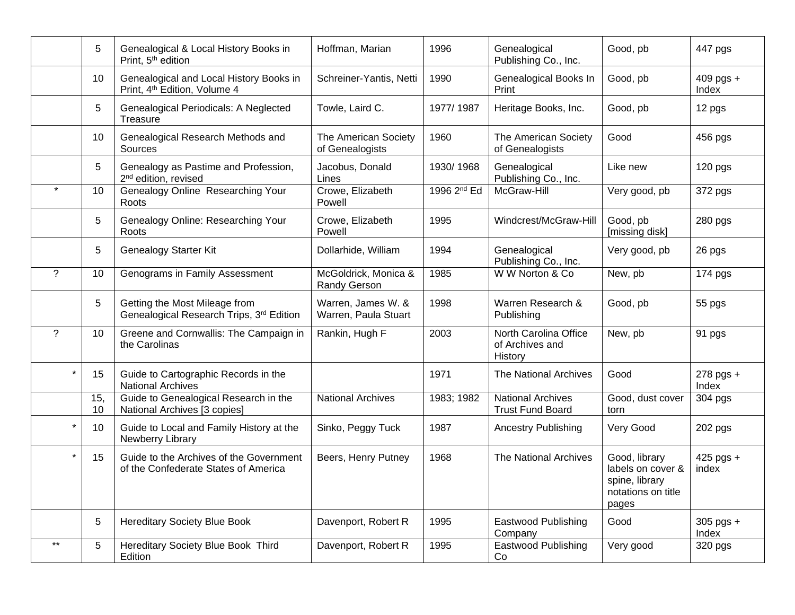|                 | 5         | Genealogical & Local History Books in<br>Print, 5 <sup>th</sup> edition             | Hoffman, Marian                            | 1996        | Genealogical<br>Publishing Co., Inc.                | Good, pb                                                                            | 447 pgs              |
|-----------------|-----------|-------------------------------------------------------------------------------------|--------------------------------------------|-------------|-----------------------------------------------------|-------------------------------------------------------------------------------------|----------------------|
|                 | 10        | Genealogical and Local History Books in<br>Print, 4 <sup>th</sup> Edition, Volume 4 | Schreiner-Yantis, Netti                    | 1990        | Genealogical Books In<br>Print                      | Good, pb                                                                            | $409$ pgs +<br>Index |
|                 | 5         | Genealogical Periodicals: A Neglected<br><b>Treasure</b>                            | Towle, Laird C.                            | 1977/1987   | Heritage Books, Inc.                                | Good, pb                                                                            | 12 pgs               |
|                 | 10        | Genealogical Research Methods and<br>Sources                                        | The American Society<br>of Genealogists    | 1960        | The American Society<br>of Genealogists             | Good                                                                                | 456 pgs              |
|                 | 5         | Genealogy as Pastime and Profession,<br>2 <sup>nd</sup> edition, revised            | Jacobus, Donald<br>Lines                   | 1930/1968   | Genealogical<br>Publishing Co., Inc.                | Like new                                                                            | 120 pgs              |
|                 | 10        | Genealogy Online Researching Your<br>Roots                                          | Crowe, Elizabeth<br>Powell                 | 1996 2nd Ed | McGraw-Hill                                         | Very good, pb                                                                       | 372 pgs              |
|                 | 5         | Genealogy Online: Researching Your<br>Roots                                         | Crowe, Elizabeth<br>Powell                 | 1995        | Windcrest/McGraw-Hill                               | Good, pb<br>[missing disk]                                                          | 280 pgs              |
|                 | 5         | Genealogy Starter Kit                                                               | Dollarhide, William                        | 1994        | Genealogical<br>Publishing Co., Inc.                | Very good, pb                                                                       | 26 pgs               |
| $\gamma$        | 10        | Genograms in Family Assessment                                                      | McGoldrick, Monica &<br>Randy Gerson       | 1985        | W W Norton & Co                                     | New, pb                                                                             | 174 pgs              |
|                 | 5         | Getting the Most Mileage from<br>Genealogical Research Trips, 3rd Edition           | Warren, James W. &<br>Warren, Paula Stuart | 1998        | Warren Research &<br>Publishing                     | Good, pb                                                                            | 55 pgs               |
| $\overline{?}$  | 10        | Greene and Cornwallis: The Campaign in<br>the Carolinas                             | Rankin, Hugh F                             | 2003        | North Carolina Office<br>of Archives and<br>History | New, pb                                                                             | 91 pgs               |
| $\star$         | 15        | Guide to Cartographic Records in the<br><b>National Archives</b>                    |                                            | 1971        | The National Archives                               | Good                                                                                | $278$ pgs +<br>Index |
|                 | 15,<br>10 | Guide to Genealogical Research in the<br>National Archives [3 copies]               | <b>National Archives</b>                   | 1983; 1982  | <b>National Archives</b><br><b>Trust Fund Board</b> | Good, dust cover<br>torn                                                            | 304 pgs              |
| $\star$         | 10        | Guide to Local and Family History at the<br>Newberry Library                        | Sinko, Peggy Tuck                          | 1987        | <b>Ancestry Publishing</b>                          | Very Good                                                                           | 202 pgs              |
| $\star$         | 15        | Guide to the Archives of the Government<br>of the Confederate States of America     | Beers, Henry Putney                        | 1968        | The National Archives                               | Good, library<br>labels on cover &<br>spine, library<br>notations on title<br>pages | 425 pgs +<br>index   |
|                 | 5         | <b>Hereditary Society Blue Book</b>                                                 | Davenport, Robert R                        | 1995        | <b>Eastwood Publishing</b><br>Company               | Good                                                                                | $305$ pgs +<br>Index |
| $^{\star\star}$ | 5         | <b>Hereditary Society Blue Book Third</b><br>Edition                                | Davenport, Robert R                        | 1995        | <b>Eastwood Publishing</b><br>Co                    | Very good                                                                           | 320 pgs              |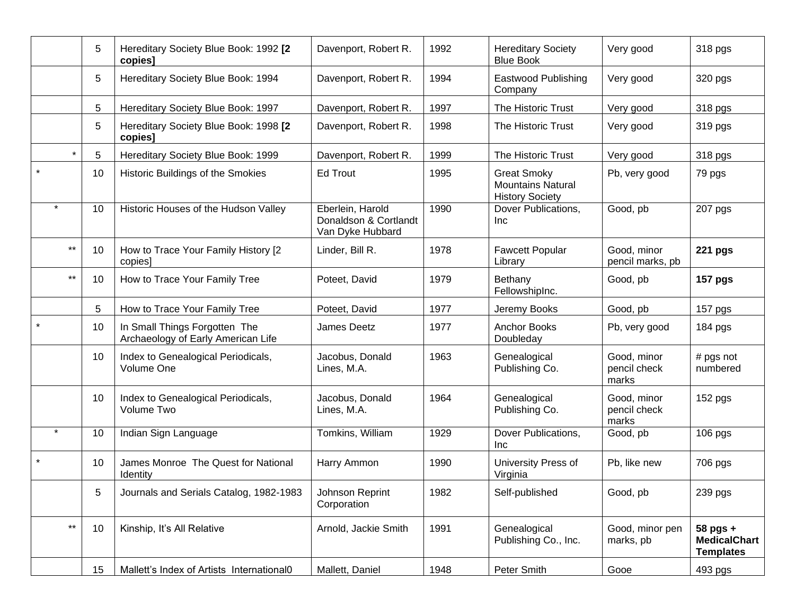|              | 5  | Hereditary Society Blue Book: 1992 [2<br>copies]                    | Davenport, Robert R.                                          | 1992 | <b>Hereditary Society</b><br><b>Blue Book</b>                            | Very good                            | 318 pgs                                                 |
|--------------|----|---------------------------------------------------------------------|---------------------------------------------------------------|------|--------------------------------------------------------------------------|--------------------------------------|---------------------------------------------------------|
|              | 5  | Hereditary Society Blue Book: 1994                                  | Davenport, Robert R.                                          | 1994 | <b>Eastwood Publishing</b><br>Company                                    | Very good                            | 320 pgs                                                 |
|              | 5  | Hereditary Society Blue Book: 1997                                  | Davenport, Robert R.                                          | 1997 | The Historic Trust                                                       | Very good                            | 318 pgs                                                 |
|              | 5  | Hereditary Society Blue Book: 1998 [2<br>copies]                    | Davenport, Robert R.                                          | 1998 | The Historic Trust                                                       | Very good                            | 319 pgs                                                 |
| $\star$      | 5  | Hereditary Society Blue Book: 1999                                  | Davenport, Robert R.                                          | 1999 | The Historic Trust                                                       | Very good                            | 318 pgs                                                 |
|              | 10 | Historic Buildings of the Smokies                                   | <b>Ed Trout</b>                                               | 1995 | <b>Great Smoky</b><br><b>Mountains Natural</b><br><b>History Society</b> | Pb, very good                        | 79 pgs                                                  |
|              | 10 | Historic Houses of the Hudson Valley                                | Eberlein, Harold<br>Donaldson & Cortlandt<br>Van Dyke Hubbard | 1990 | Dover Publications,<br>Inc                                               | Good, pb                             | 207 pgs                                                 |
| $\star\star$ | 10 | How to Trace Your Family History [2<br>copies]                      | Linder, Bill R.                                               | 1978 | <b>Fawcett Popular</b><br>Library                                        | Good, minor<br>pencil marks, pb      | <b>221 pgs</b>                                          |
| $***$        | 10 | How to Trace Your Family Tree                                       | Poteet, David                                                 | 1979 | Bethany<br>FellowshipInc.                                                | Good, pb                             | <b>157 pgs</b>                                          |
|              | 5  | How to Trace Your Family Tree                                       | Poteet, David                                                 | 1977 | Jeremy Books                                                             | Good, pb                             | 157 pgs                                                 |
|              | 10 | In Small Things Forgotten The<br>Archaeology of Early American Life | James Deetz                                                   | 1977 | <b>Anchor Books</b><br>Doubleday                                         | Pb, very good                        | $184$ pgs                                               |
|              | 10 | Index to Genealogical Periodicals,<br>Volume One                    | Jacobus, Donald<br>Lines, M.A.                                | 1963 | Genealogical<br>Publishing Co.                                           | Good, minor<br>pencil check<br>marks | $#$ pgs not<br>numbered                                 |
|              | 10 | Index to Genealogical Periodicals,<br>Volume Two                    | Jacobus, Donald<br>Lines, M.A.                                | 1964 | Genealogical<br>Publishing Co.                                           | Good, minor<br>pencil check<br>marks | 152 pgs                                                 |
| $\star$      | 10 | Indian Sign Language                                                | Tomkins, William                                              | 1929 | Dover Publications,<br>Inc                                               | Good, pb                             | 106 pgs                                                 |
|              | 10 | James Monroe The Quest for National<br>Identity                     | Harry Ammon                                                   | 1990 | University Press of<br>Virginia                                          | Pb, like new                         | 706 pgs                                                 |
|              | 5  | Journals and Serials Catalog, 1982-1983                             | Johnson Reprint<br>Corporation                                | 1982 | Self-published                                                           | Good, pb                             | 239 pgs                                                 |
| $\star\star$ | 10 | Kinship, It's All Relative                                          | Arnold, Jackie Smith                                          | 1991 | Genealogical<br>Publishing Co., Inc.                                     | Good, minor pen<br>marks, pb         | $58$ pgs $+$<br><b>MedicalChart</b><br><b>Templates</b> |
|              | 15 | Mallett's Index of Artists International0                           | Mallett, Daniel                                               | 1948 | Peter Smith                                                              | Gooe                                 | 493 pgs                                                 |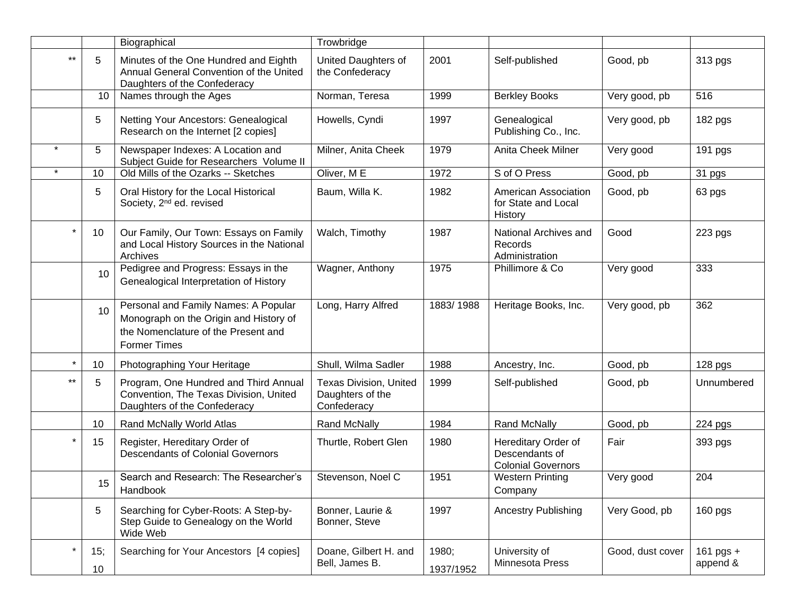|         |                 | Biographical                                                                                                                                 | Trowbridge                                                |                    |                                                                    |                  |                         |
|---------|-----------------|----------------------------------------------------------------------------------------------------------------------------------------------|-----------------------------------------------------------|--------------------|--------------------------------------------------------------------|------------------|-------------------------|
| $***$   | 5               | Minutes of the One Hundred and Eighth<br>Annual General Convention of the United<br>Daughters of the Confederacy                             | United Daughters of<br>the Confederacy                    | 2001               | Self-published                                                     | Good, pb         | 313 pgs                 |
|         | 10              | Names through the Ages                                                                                                                       | Norman, Teresa                                            | 1999               | <b>Berkley Books</b>                                               | Very good, pb    | 516                     |
|         | 5               | Netting Your Ancestors: Genealogical<br>Research on the Internet [2 copies]                                                                  | Howells, Cyndi                                            | 1997               | Genealogical<br>Publishing Co., Inc.                               | Very good, pb    | 182 pgs                 |
| $\star$ | 5               | Newspaper Indexes: A Location and<br>Subject Guide for Researchers Volume II                                                                 | Milner, Anita Cheek                                       | 1979               | Anita Cheek Milner                                                 | Very good        | 191 pgs                 |
|         | 10              | Old Mills of the Ozarks -- Sketches                                                                                                          | Oliver, ME                                                | 1972               | S of O Press                                                       | Good, pb         | 31 pgs                  |
|         | 5               | Oral History for the Local Historical<br>Society, 2 <sup>nd</sup> ed. revised                                                                | Baum, Willa K.                                            | 1982               | American Association<br>for State and Local<br>History             | Good, pb         | 63 pgs                  |
|         | 10              | Our Family, Our Town: Essays on Family<br>and Local History Sources in the National<br>Archives                                              | Walch, Timothy                                            | 1987               | National Archives and<br>Records<br>Administration                 | Good             | 223 pgs                 |
|         | 10              | Pedigree and Progress: Essays in the<br>Genealogical Interpretation of History                                                               | Wagner, Anthony                                           | 1975               | Phillimore & Co                                                    | Very good        | 333                     |
|         | 10              | Personal and Family Names: A Popular<br>Monograph on the Origin and History of<br>the Nomenclature of the Present and<br><b>Former Times</b> | Long, Harry Alfred                                        | 1883/1988          | Heritage Books, Inc.                                               | Very good, pb    | 362                     |
|         | 10              | Photographing Your Heritage                                                                                                                  | Shull, Wilma Sadler                                       | 1988               | Ancestry, Inc.                                                     | Good, pb         | 128 pgs                 |
| $***$   | 5               | Program, One Hundred and Third Annual<br>Convention, The Texas Division, United<br>Daughters of the Confederacy                              | Texas Division, United<br>Daughters of the<br>Confederacy | 1999               | Self-published                                                     | Good, pb         | Unnumbered              |
|         | 10              | Rand McNally World Atlas                                                                                                                     | Rand McNally                                              | 1984               | Rand McNally                                                       | Good, pb         | 224 pgs                 |
|         | 15              | Register, Hereditary Order of<br><b>Descendants of Colonial Governors</b>                                                                    | Thurtle, Robert Glen                                      | 1980               | Hereditary Order of<br>Descendants of<br><b>Colonial Governors</b> | Fair             | 393 pgs                 |
|         | 15 <sub>1</sub> | Search and Research: The Researcher's<br>Handbook                                                                                            | Stevenson, Noel C                                         | 1951               | <b>Western Printing</b><br>Company                                 | Very good        | 204                     |
|         | 5               | Searching for Cyber-Roots: A Step-by-<br>Step Guide to Genealogy on the World<br>Wide Web                                                    | Bonner, Laurie &<br>Bonner, Steve                         | 1997               | <b>Ancestry Publishing</b>                                         | Very Good, pb    | 160 pgs                 |
| $\ast$  | 15;<br>10       | Searching for Your Ancestors [4 copies]                                                                                                      | Doane, Gilbert H. and<br>Bell, James B.                   | 1980;<br>1937/1952 | University of<br>Minnesota Press                                   | Good, dust cover | 161 pgs $+$<br>append & |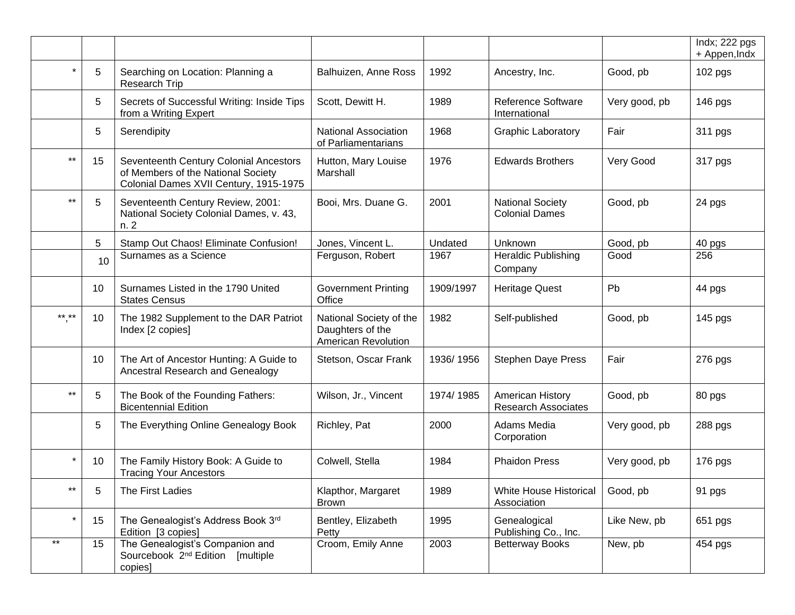|              |    |                                                                                                                        |                                                                    |           |                                                  |               | Indx; 222 pgs<br>+ Appen, Indx |
|--------------|----|------------------------------------------------------------------------------------------------------------------------|--------------------------------------------------------------------|-----------|--------------------------------------------------|---------------|--------------------------------|
| $\star$      | 5  | Searching on Location: Planning a<br>Research Trip                                                                     | Balhuizen, Anne Ross                                               | 1992      | Ancestry, Inc.                                   | Good, pb      | 102 pgs                        |
|              | 5  | Secrets of Successful Writing: Inside Tips<br>from a Writing Expert                                                    | Scott, Dewitt H.                                                   | 1989      | <b>Reference Software</b><br>International       | Very good, pb | 146 pgs                        |
|              | 5  | Serendipity                                                                                                            | <b>National Association</b><br>of Parliamentarians                 | 1968      | <b>Graphic Laboratory</b>                        | Fair          | 311 pgs                        |
| $***$        | 15 | Seventeenth Century Colonial Ancestors<br>of Members of the National Society<br>Colonial Dames XVII Century, 1915-1975 | Hutton, Mary Louise<br>Marshall                                    | 1976      | <b>Edwards Brothers</b>                          | Very Good     | 317 pgs                        |
| $***$        | 5  | Seventeenth Century Review, 2001:<br>National Society Colonial Dames, v. 43,<br>n. 2                                   | Booi, Mrs. Duane G.                                                | 2001      | <b>National Society</b><br><b>Colonial Dames</b> | Good, pb      | 24 pgs                         |
|              | 5  | Stamp Out Chaos! Eliminate Confusion!                                                                                  | Jones, Vincent L.                                                  | Undated   | Unknown                                          | Good, pb      | 40 pgs                         |
|              | 10 | Surnames as a Science                                                                                                  | Ferguson, Robert                                                   | 1967      | <b>Heraldic Publishing</b><br>Company            | Good          | 256                            |
|              | 10 | Surnames Listed in the 1790 United<br><b>States Census</b>                                                             | <b>Government Printing</b><br>Office                               | 1909/1997 | <b>Heritage Quest</b>                            | Pb            | 44 pgs                         |
| $***$ **     | 10 | The 1982 Supplement to the DAR Patriot<br>Index [2 copies]                                                             | National Society of the<br>Daughters of the<br>American Revolution | 1982      | Self-published                                   | Good, pb      | 145 pgs                        |
|              | 10 | The Art of Ancestor Hunting: A Guide to<br>Ancestral Research and Genealogy                                            | Stetson, Oscar Frank                                               | 1936/1956 | <b>Stephen Daye Press</b>                        | Fair          | 276 pgs                        |
| $***$        | 5  | The Book of the Founding Fathers:<br><b>Bicentennial Edition</b>                                                       | Wilson, Jr., Vincent                                               | 1974/1985 | American History<br><b>Research Associates</b>   | Good, pb      | 80 pgs                         |
|              | 5  | The Everything Online Genealogy Book                                                                                   | Richley, Pat                                                       | 2000      | Adams Media<br>Corporation                       | Very good, pb | 288 pgs                        |
| $\star$      | 10 | The Family History Book: A Guide to<br><b>Tracing Your Ancestors</b>                                                   | Colwell, Stella                                                    | 1984      | <b>Phaidon Press</b>                             | Very good, pb | 176 pgs                        |
| $***$        | 5  | The First Ladies                                                                                                       | Klapthor, Margaret<br><b>Brown</b>                                 | 1989      | White House Historical<br>Association            | Good, pb      | 91 pgs                         |
| $\star$      | 15 | The Genealogist's Address Book 3rd<br>Edition [3 copies]                                                               | Bentley, Elizabeth<br>Petty                                        | 1995      | Genealogical<br>Publishing Co., Inc.             | Like New, pb  | 651 pgs                        |
| $\star\star$ | 15 | The Genealogist's Companion and<br>Sourcebook 2 <sup>nd</sup> Edition [multiple]<br>copies]                            | Croom, Emily Anne                                                  | 2003      | <b>Betterway Books</b>                           | New, pb       | 454 pgs                        |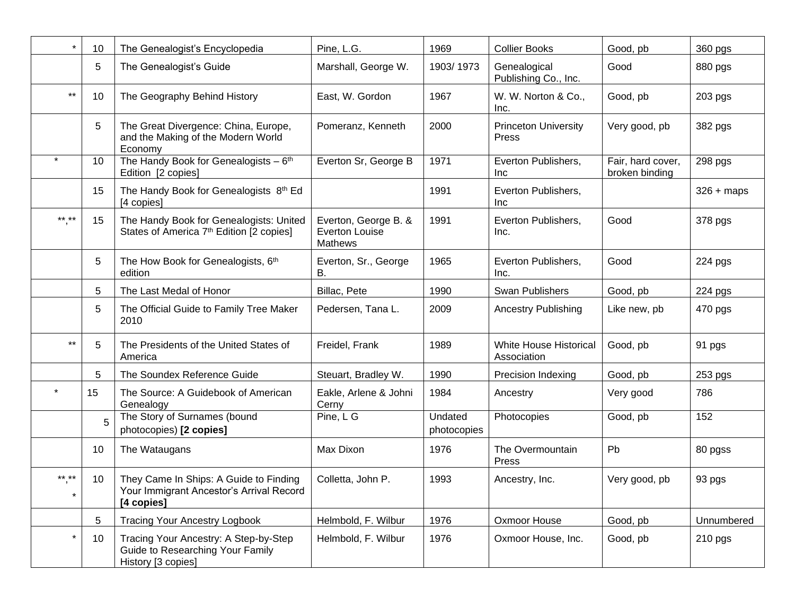| $\star$          | 10 | The Genealogist's Encyclopedia                                                                   | Pine, L.G.                                                      | 1969                   | <b>Collier Books</b>                  | Good, pb                            | 360 pgs      |
|------------------|----|--------------------------------------------------------------------------------------------------|-----------------------------------------------------------------|------------------------|---------------------------------------|-------------------------------------|--------------|
|                  | 5  | The Genealogist's Guide                                                                          | Marshall, George W.                                             | 1903/1973              | Genealogical<br>Publishing Co., Inc.  | Good                                | 880 pgs      |
| $***$            | 10 | The Geography Behind History                                                                     | East, W. Gordon                                                 | 1967                   | W. W. Norton & Co.,<br>Inc.           | Good, pb                            | 203 pgs      |
|                  | 5  | The Great Divergence: China, Europe,<br>and the Making of the Modern World<br>Economy            | Pomeranz, Kenneth                                               | 2000                   | <b>Princeton University</b><br>Press  | Very good, pb                       | 382 pgs      |
|                  | 10 | The Handy Book for Genealogists $-6$ <sup>th</sup><br>Edition [2 copies]                         | Everton Sr, George B                                            | 1971                   | Everton Publishers,<br>Inc            | Fair, hard cover,<br>broken binding | 298 pgs      |
|                  | 15 | The Handy Book for Genealogists 8th Ed<br>[4 copies]                                             |                                                                 | 1991                   | Everton Publishers,<br>Inc            |                                     | $326 + maps$ |
| ** **            | 15 | The Handy Book for Genealogists: United<br>States of America 7 <sup>th</sup> Edition [2 copies]  | Everton, George B. &<br><b>Everton Louise</b><br><b>Mathews</b> | 1991                   | Everton Publishers,<br>Inc.           | Good                                | 378 pgs      |
|                  | 5  | The How Book for Genealogists, 6th<br>edition                                                    | Everton, Sr., George<br>В.                                      | 1965                   | Everton Publishers,<br>Inc.           | Good                                | 224 pgs      |
|                  | 5  | The Last Medal of Honor                                                                          | Billac, Pete                                                    | 1990                   | <b>Swan Publishers</b>                | Good, pb                            | 224 pgs      |
|                  | 5  | The Official Guide to Family Tree Maker<br>2010                                                  | Pedersen, Tana L.                                               | 2009                   | <b>Ancestry Publishing</b>            | Like new, pb                        | 470 pgs      |
| $***$            | 5  | The Presidents of the United States of<br>America                                                | Freidel, Frank                                                  | 1989                   | White House Historical<br>Association | Good, pb                            | 91 pgs       |
|                  | 5  | The Soundex Reference Guide                                                                      | Steuart, Bradley W.                                             | 1990                   | <b>Precision Indexing</b>             | Good, pb                            | 253 pgs      |
|                  | 15 | The Source: A Guidebook of American<br>Genealogy                                                 | Eakle, Arlene & Johni<br>Cerny                                  | 1984                   | Ancestry                              | Very good                           | 786          |
|                  |    | The Story of Surnames (bound<br>photocopies) [2 copies]                                          | Pine, L G                                                       | Undated<br>photocopies | Photocopies                           | Good, pb                            | 152          |
|                  | 10 | The Wataugans                                                                                    | Max Dixon                                                       | 1976                   | The Overmountain<br>Press             | Pb                                  | 80 pgss      |
| ** **<br>$\star$ | 10 | They Came In Ships: A Guide to Finding<br>Your Immigrant Ancestor's Arrival Record<br>[4 copies] | Colletta, John P.                                               | 1993                   | Ancestry, Inc.                        | Very good, pb                       | 93 pgs       |
|                  | 5  | <b>Tracing Your Ancestry Logbook</b>                                                             | Helmbold, F. Wilbur                                             | 1976                   | Oxmoor House                          | Good, pb                            | Unnumbered   |
| $\star$          | 10 | Tracing Your Ancestry: A Step-by-Step<br>Guide to Researching Your Family<br>History [3 copies]  | Helmbold, F. Wilbur                                             | 1976                   | Oxmoor House, Inc.                    | Good, pb                            | 210 pgs      |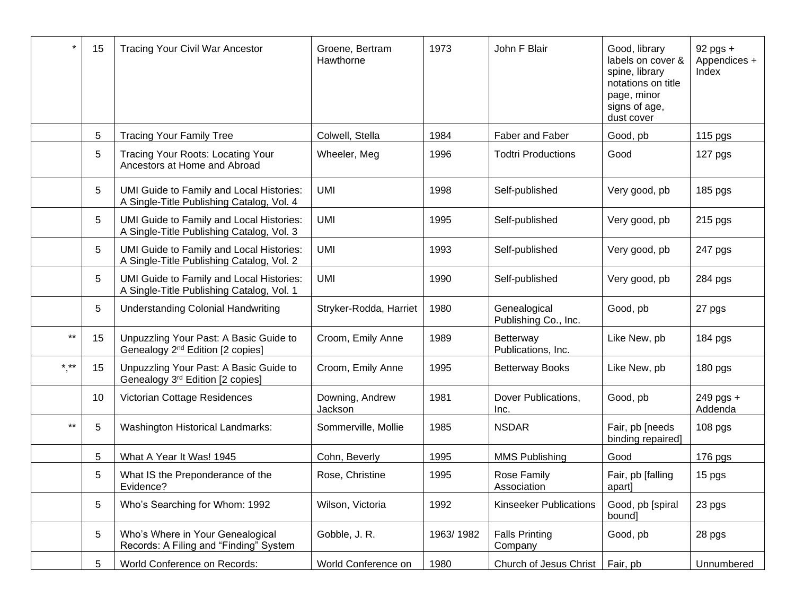| $\star$      | 15 | <b>Tracing Your Civil War Ancestor</b>                                                 | Groene, Bertram<br>Hawthorne | 1973      | John F Blair                         | Good, library<br>labels on cover &<br>spine, library<br>notations on title<br>page, minor<br>signs of age,<br>dust cover | $92$ pgs $+$<br>Appendices +<br>Index |
|--------------|----|----------------------------------------------------------------------------------------|------------------------------|-----------|--------------------------------------|--------------------------------------------------------------------------------------------------------------------------|---------------------------------------|
|              | 5  | <b>Tracing Your Family Tree</b>                                                        | Colwell, Stella              | 1984      | Faber and Faber                      | Good, pb                                                                                                                 | 115 pgs                               |
|              | 5  | Tracing Your Roots: Locating Your<br>Ancestors at Home and Abroad                      | Wheeler, Meg                 | 1996      | <b>Todtri Productions</b>            | Good                                                                                                                     | 127 pgs                               |
|              | 5  | UMI Guide to Family and Local Histories:<br>A Single-Title Publishing Catalog, Vol. 4  | <b>UMI</b>                   | 1998      | Self-published                       | Very good, pb                                                                                                            | 185 pgs                               |
|              | 5  | UMI Guide to Family and Local Histories:<br>A Single-Title Publishing Catalog, Vol. 3  | <b>UMI</b>                   | 1995      | Self-published                       | Very good, pb                                                                                                            | 215 pgs                               |
|              | 5  | UMI Guide to Family and Local Histories:<br>A Single-Title Publishing Catalog, Vol. 2  | <b>UMI</b>                   | 1993      | Self-published                       | Very good, pb                                                                                                            | 247 pgs                               |
|              | 5  | UMI Guide to Family and Local Histories:<br>A Single-Title Publishing Catalog, Vol. 1  | <b>UMI</b>                   | 1990      | Self-published                       | Very good, pb                                                                                                            | 284 pgs                               |
|              | 5  | <b>Understanding Colonial Handwriting</b>                                              | Stryker-Rodda, Harriet       | 1980      | Genealogical<br>Publishing Co., Inc. | Good, pb                                                                                                                 | 27 pgs                                |
| $***$        | 15 | Unpuzzling Your Past: A Basic Guide to<br>Genealogy 2 <sup>nd</sup> Edition [2 copies] | Croom, Emily Anne            | 1989      | Betterway<br>Publications, Inc.      | Like New, pb                                                                                                             | 184 pgs                               |
| $***$        | 15 | Unpuzzling Your Past: A Basic Guide to<br>Genealogy 3rd Edition [2 copies]             | Croom, Emily Anne            | 1995      | <b>Betterway Books</b>               | Like New, pb                                                                                                             | 180 pgs                               |
|              | 10 | Victorian Cottage Residences                                                           | Downing, Andrew<br>Jackson   | 1981      | Dover Publications,<br>Inc.          | Good, pb                                                                                                                 | 249 pgs +<br>Addenda                  |
| $\star\star$ | 5  | <b>Washington Historical Landmarks:</b>                                                | Sommerville, Mollie          | 1985      | <b>NSDAR</b>                         | Fair, pb [needs<br>binding repaired]                                                                                     | $108$ pgs                             |
|              | 5  | What A Year It Was! 1945                                                               | Cohn, Beverly                | 1995      | <b>MMS Publishing</b>                | Good                                                                                                                     | 176 pgs                               |
|              | 5  | What IS the Preponderance of the<br>Evidence?                                          | Rose, Christine              | 1995      | Rose Family<br>Association           | Fair, pb [falling<br>apart]                                                                                              | 15 pgs                                |
|              | 5  | Who's Searching for Whom: 1992                                                         | Wilson, Victoria             | 1992      | <b>Kinseeker Publications</b>        | Good, pb [spiral<br>bound]                                                                                               | 23 pgs                                |
|              | 5  | Who's Where in Your Genealogical<br>Records: A Filing and "Finding" System             | Gobble, J. R.                | 1963/1982 | <b>Falls Printing</b><br>Company     | Good, pb                                                                                                                 | 28 pgs                                |
|              | 5  | World Conference on Records:                                                           | World Conference on          | 1980      | Church of Jesus Christ               | Fair, pb                                                                                                                 | Unnumbered                            |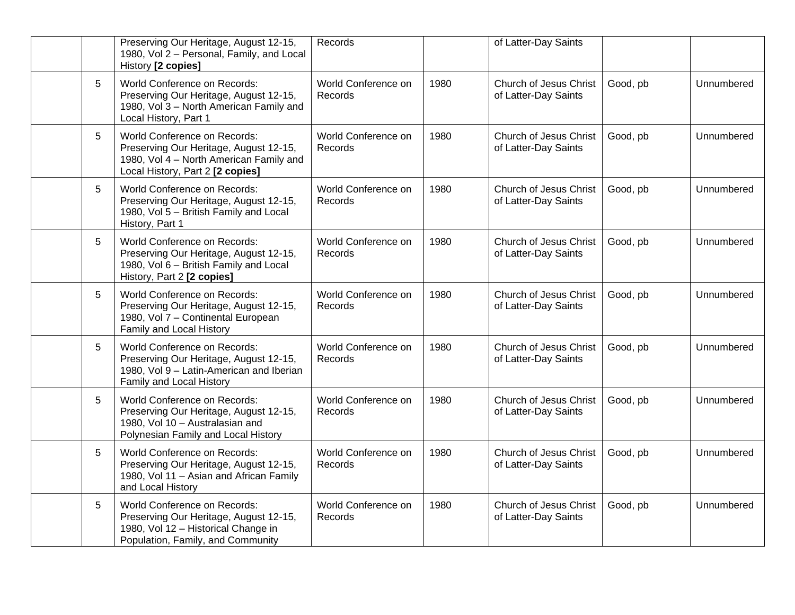|                 | Preserving Our Heritage, August 12-15,<br>1980, Vol 2 - Personal, Family, and Local<br>History [2 copies]                                             | Records                        |      | of Latter-Day Saints                           |          |            |
|-----------------|-------------------------------------------------------------------------------------------------------------------------------------------------------|--------------------------------|------|------------------------------------------------|----------|------------|
| 5               | World Conference on Records:<br>Preserving Our Heritage, August 12-15,<br>1980, Vol 3 - North American Family and<br>Local History, Part 1            | World Conference on<br>Records | 1980 | Church of Jesus Christ<br>of Latter-Day Saints | Good, pb | Unnumbered |
| $5\phantom{.0}$ | World Conference on Records:<br>Preserving Our Heritage, August 12-15,<br>1980, Vol 4 - North American Family and<br>Local History, Part 2 [2 copies] | World Conference on<br>Records | 1980 | Church of Jesus Christ<br>of Latter-Day Saints | Good, pb | Unnumbered |
| 5               | <b>World Conference on Records:</b><br>Preserving Our Heritage, August 12-15,<br>1980, Vol 5 - British Family and Local<br>History, Part 1            | World Conference on<br>Records | 1980 | Church of Jesus Christ<br>of Latter-Day Saints | Good, pb | Unnumbered |
| 5               | World Conference on Records:<br>Preserving Our Heritage, August 12-15,<br>1980, Vol 6 - British Family and Local<br>History, Part 2 [2 copies]        | World Conference on<br>Records | 1980 | Church of Jesus Christ<br>of Latter-Day Saints | Good, pb | Unnumbered |
| 5               | World Conference on Records:<br>Preserving Our Heritage, August 12-15,<br>1980, Vol 7 - Continental European<br>Family and Local History              | World Conference on<br>Records | 1980 | Church of Jesus Christ<br>of Latter-Day Saints | Good, pb | Unnumbered |
| 5               | World Conference on Records:<br>Preserving Our Heritage, August 12-15,<br>1980, Vol 9 - Latin-American and Iberian<br>Family and Local History        | World Conference on<br>Records | 1980 | Church of Jesus Christ<br>of Latter-Day Saints | Good, pb | Unnumbered |
| 5               | World Conference on Records:<br>Preserving Our Heritage, August 12-15,<br>1980, Vol 10 - Australasian and<br>Polynesian Family and Local History      | World Conference on<br>Records | 1980 | Church of Jesus Christ<br>of Latter-Day Saints | Good, pb | Unnumbered |
| 5               | World Conference on Records:<br>Preserving Our Heritage, August 12-15,<br>1980, Vol 11 - Asian and African Family<br>and Local History                | World Conference on<br>Records | 1980 | Church of Jesus Christ<br>of Latter-Day Saints | Good, pb | Unnumbered |
| 5               | World Conference on Records:<br>Preserving Our Heritage, August 12-15,<br>1980, Vol 12 - Historical Change in<br>Population, Family, and Community    | World Conference on<br>Records | 1980 | Church of Jesus Christ<br>of Latter-Day Saints | Good, pb | Unnumbered |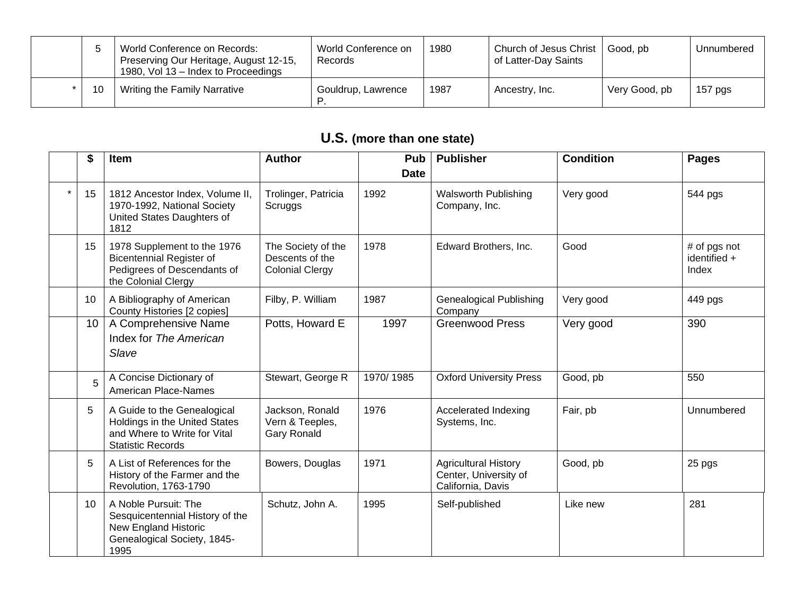|    | World Conference on Records:<br>Preserving Our Heritage, August 12-15,<br>1980, Vol 13 – Index to Proceedings | World Conference on<br>Records | 1980 | Church of Jesus Christ<br>of Latter-Day Saints | Good, pb      | Unnumbered |
|----|---------------------------------------------------------------------------------------------------------------|--------------------------------|------|------------------------------------------------|---------------|------------|
| 10 | <b>Writing the Family Narrative</b>                                                                           | Gouldrup, Lawrence             | 1987 | Ancestry, Inc.                                 | Very Good, pb | $157$ pgs  |

# **U.S. (more than one state)**

| \$ | Item                                                                                                                     | <b>Author</b>                                                   | Pub         | <b>Publisher</b>                                                          | <b>Condition</b> | <b>Pages</b>                          |
|----|--------------------------------------------------------------------------------------------------------------------------|-----------------------------------------------------------------|-------------|---------------------------------------------------------------------------|------------------|---------------------------------------|
|    |                                                                                                                          |                                                                 | <b>Date</b> |                                                                           |                  |                                       |
| 15 | 1812 Ancestor Index, Volume II,<br>1970-1992, National Society<br>United States Daughters of<br>1812                     | Trolinger, Patricia<br>Scruggs                                  | 1992        | <b>Walsworth Publishing</b><br>Company, Inc.                              | Very good        | 544 pgs                               |
| 15 | 1978 Supplement to the 1976<br><b>Bicentennial Register of</b><br>Pedigrees of Descendants of<br>the Colonial Clergy     | The Society of the<br>Descents of the<br><b>Colonial Clergy</b> | 1978        | Edward Brothers, Inc.                                                     | Good             | # of pgs not<br>identified +<br>Index |
| 10 | A Bibliography of American<br>County Histories [2 copies]                                                                | Filby, P. William                                               | 1987        | <b>Genealogical Publishing</b><br>Company                                 | Very good        | 449 pgs                               |
| 10 | A Comprehensive Name<br>Index for The American<br>Slave                                                                  | Potts, Howard E                                                 | 1997        | <b>Greenwood Press</b>                                                    | Very good        | 390                                   |
| 5  | A Concise Dictionary of<br><b>American Place-Names</b>                                                                   | Stewart, George R                                               | 1970/1985   | <b>Oxford University Press</b>                                            | Good, pb         | 550                                   |
| 5  | A Guide to the Genealogical<br>Holdings in the United States<br>and Where to Write for Vital<br><b>Statistic Records</b> | Jackson, Ronald<br>Vern & Teeples,<br><b>Gary Ronald</b>        | 1976        | Accelerated Indexing<br>Systems, Inc.                                     | Fair, pb         | Unnumbered                            |
| 5  | A List of References for the<br>History of the Farmer and the<br>Revolution, 1763-1790                                   | Bowers, Douglas                                                 | 1971        | <b>Agricultural History</b><br>Center, University of<br>California, Davis | Good, pb         | 25 pgs                                |
| 10 | A Noble Pursuit: The<br>Sesquicentennial History of the<br>New England Historic<br>Genealogical Society, 1845-<br>1995   | Schutz, John A.                                                 | 1995        | Self-published                                                            | Like new         | 281                                   |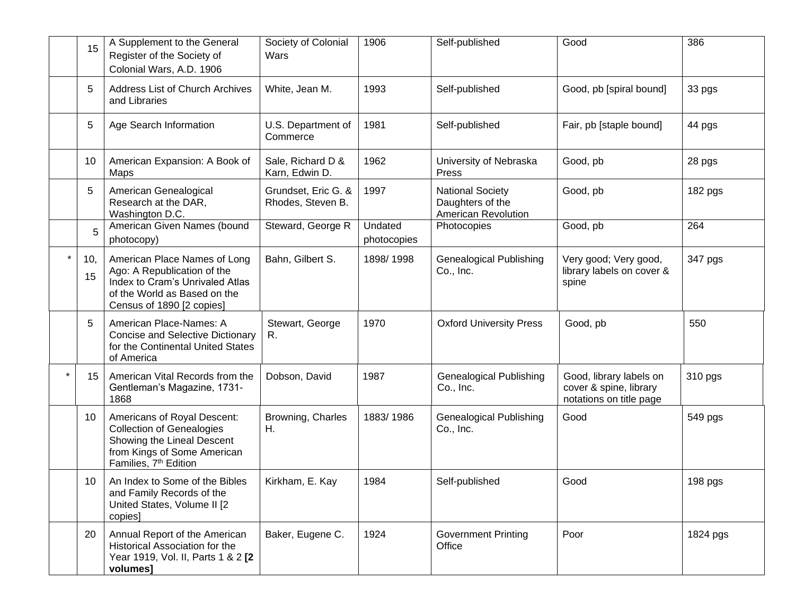|         | 15        | A Supplement to the General<br>Register of the Society of<br>Colonial Wars, A.D. 1906                                                                             | Society of Colonial<br>Wars              | 1906                   | Self-published                                                     | Good                                                                         | 386      |
|---------|-----------|-------------------------------------------------------------------------------------------------------------------------------------------------------------------|------------------------------------------|------------------------|--------------------------------------------------------------------|------------------------------------------------------------------------------|----------|
|         | 5         | <b>Address List of Church Archives</b><br>and Libraries                                                                                                           | White, Jean M.                           | 1993                   | Self-published                                                     | Good, pb [spiral bound]                                                      | 33 pgs   |
|         | 5         | Age Search Information                                                                                                                                            | U.S. Department of<br>Commerce           | 1981                   | Self-published                                                     | Fair, pb [staple bound]                                                      | 44 pgs   |
|         | 10        | American Expansion: A Book of<br>Maps                                                                                                                             | Sale, Richard D &<br>Karn, Edwin D.      | 1962                   | University of Nebraska<br>Press                                    | Good, pb                                                                     | 28 pgs   |
|         | 5         | American Genealogical<br>Research at the DAR,<br>Washington D.C.                                                                                                  | Grundset, Eric G. &<br>Rhodes, Steven B. | 1997                   | <b>National Society</b><br>Daughters of the<br>American Revolution | Good, pb                                                                     | 182 pgs  |
|         | 5         | American Given Names (bound<br>photocopy)                                                                                                                         | Steward, George R                        | Undated<br>photocopies | Photocopies                                                        | Good, pb                                                                     | 264      |
| $\star$ | 10,<br>15 | American Place Names of Long<br>Ago: A Republication of the<br>Index to Cram's Unrivaled Atlas<br>of the World as Based on the<br>Census of 1890 [2 copies]       | Bahn, Gilbert S.                         | 1898/1998              | <b>Genealogical Publishing</b><br>Co., Inc.                        | Very good; Very good,<br>library labels on cover &<br>spine                  | 347 pgs  |
|         | 5         | American Place-Names: A<br><b>Concise and Selective Dictionary</b><br>for the Continental United States<br>of America                                             | Stewart, George<br>R.                    | 1970                   | <b>Oxford University Press</b>                                     | Good, pb                                                                     | 550      |
|         | 15        | American Vital Records from the<br>Gentleman's Magazine, 1731-<br>1868                                                                                            | Dobson, David                            | 1987                   | <b>Genealogical Publishing</b><br>Co., Inc.                        | Good, library labels on<br>cover & spine, library<br>notations on title page | 310 pgs  |
|         | 10        | Americans of Royal Descent:<br><b>Collection of Genealogies</b><br>Showing the Lineal Descent<br>from Kings of Some American<br>Families, 7 <sup>th</sup> Edition | Browning, Charles<br>Η.                  | 1883/1986              | Genealogical Publishing<br>Co., Inc.                               | Good                                                                         | 549 pgs  |
|         | 10        | An Index to Some of the Bibles<br>and Family Records of the<br>United States, Volume II [2<br>copies]                                                             | Kirkham, E. Kay                          | 1984                   | Self-published                                                     | Good                                                                         | 198 pgs  |
|         | 20        | Annual Report of the American<br>Historical Association for the<br>Year 1919, Vol. II, Parts 1 & 2 [2<br>volumes]                                                 | Baker, Eugene C.                         | 1924                   | <b>Government Printing</b><br>Office                               | Poor                                                                         | 1824 pgs |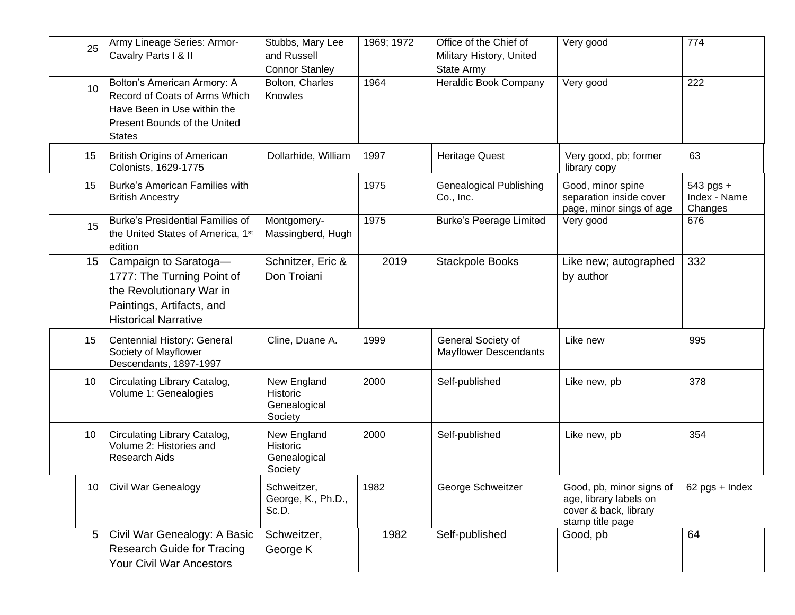| 25              | Army Lineage Series: Armor-<br>Cavalry Parts I & II                                                                                          | Stubbs, Mary Lee<br>and Russell<br><b>Connor Stanley</b> | 1969; 1972 | Office of the Chief of<br>Military History, United<br>State Army | Very good                                                                                       | 774                                  |
|-----------------|----------------------------------------------------------------------------------------------------------------------------------------------|----------------------------------------------------------|------------|------------------------------------------------------------------|-------------------------------------------------------------------------------------------------|--------------------------------------|
| 10              | Bolton's American Armory: A<br>Record of Coats of Arms Which<br>Have Been in Use within the<br>Present Bounds of the United<br><b>States</b> | Bolton, Charles<br>Knowles                               | 1964       | Heraldic Book Company                                            | Very good                                                                                       | 222                                  |
| 15              | <b>British Origins of American</b><br>Colonists, 1629-1775                                                                                   | Dollarhide, William                                      | 1997       | <b>Heritage Quest</b>                                            | Very good, pb; former<br>library copy                                                           | 63                                   |
| 15              | <b>Burke's American Families with</b><br><b>British Ancestry</b>                                                                             |                                                          | 1975       | <b>Genealogical Publishing</b><br>Co., Inc.                      | Good, minor spine<br>separation inside cover<br>page, minor sings of age                        | 543 pgs +<br>Index - Name<br>Changes |
| 15              | <b>Burke's Presidential Families of</b><br>the United States of America, 1st<br>edition                                                      | Montgomery-<br>Massingberd, Hugh                         | 1975       | <b>Burke's Peerage Limited</b>                                   | Very good                                                                                       | 676                                  |
| 15 <sub>1</sub> | Campaign to Saratoga-<br>1777: The Turning Point of<br>the Revolutionary War in<br>Paintings, Artifacts, and<br><b>Historical Narrative</b>  | Schnitzer, Eric &<br>Don Troiani                         | 2019       | <b>Stackpole Books</b>                                           | Like new; autographed<br>by author                                                              | 332                                  |
| 15              | Centennial History: General<br>Society of Mayflower<br>Descendants, 1897-1997                                                                | Cline, Duane A.                                          | 1999       | General Society of<br><b>Mayflower Descendants</b>               | Like new                                                                                        | 995                                  |
| 10              | Circulating Library Catalog,<br>Volume 1: Genealogies                                                                                        | New England<br>Historic<br>Genealogical<br>Society       | 2000       | Self-published                                                   | Like new, pb                                                                                    | 378                                  |
| 10              | Circulating Library Catalog,<br>Volume 2: Histories and<br>Research Aids                                                                     | New England<br>Historic<br>Genealogical<br>Society       | 2000       | Self-published                                                   | Like new, pb                                                                                    | 354                                  |
| 10 <sup>1</sup> | <b>Civil War Genealogy</b>                                                                                                                   | Schweitzer,<br>George, K., Ph.D.,<br>Sc.D.               | 1982       | George Schweitzer                                                | Good, pb, minor signs of<br>age, library labels on<br>cover & back, library<br>stamp title page | $62$ pgs + Index                     |
| 5 <sup>1</sup>  | Civil War Genealogy: A Basic<br><b>Research Guide for Tracing</b><br><b>Your Civil War Ancestors</b>                                         | Schweitzer,<br>George K                                  | 1982       | Self-published                                                   | Good, pb                                                                                        | 64                                   |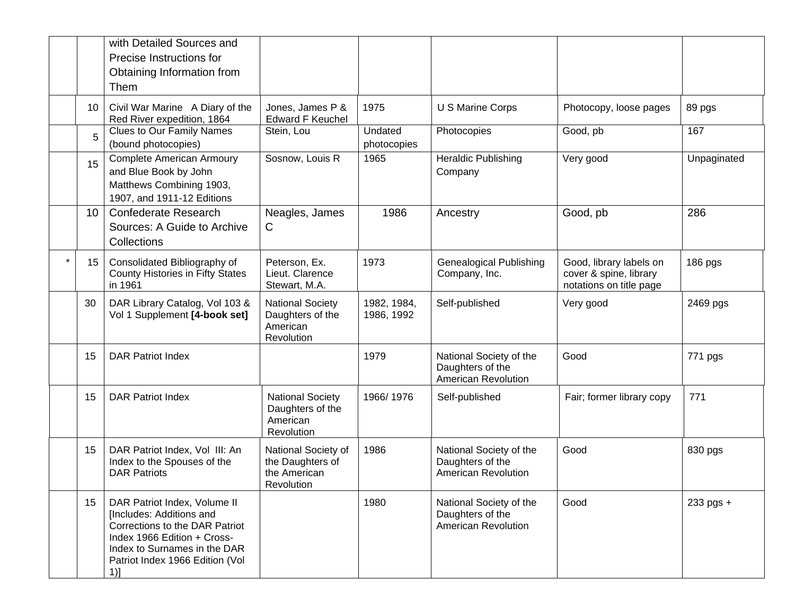|                 | with Detailed Sources and<br>Precise Instructions for<br>Obtaining Information from<br>Them                                                                                                            |                                                                       |                           |                                                                    |                                                                              |             |
|-----------------|--------------------------------------------------------------------------------------------------------------------------------------------------------------------------------------------------------|-----------------------------------------------------------------------|---------------------------|--------------------------------------------------------------------|------------------------------------------------------------------------------|-------------|
| 10 <sup>°</sup> | Civil War Marine A Diary of the<br>Red River expedition, 1864                                                                                                                                          | Jones, James P &<br><b>Edward F Keuchel</b>                           | 1975                      | U S Marine Corps                                                   | Photocopy, loose pages                                                       | 89 pgs      |
| 5               | <b>Clues to Our Family Names</b><br>(bound photocopies)                                                                                                                                                | Stein, Lou                                                            | Undated<br>photocopies    | Photocopies                                                        | Good, pb                                                                     | 167         |
| 15              | <b>Complete American Armoury</b><br>and Blue Book by John<br>Matthews Combining 1903,<br>1907, and 1911-12 Editions                                                                                    | Sosnow, Louis R                                                       | 1965                      | <b>Heraldic Publishing</b><br>Company                              | Very good                                                                    | Unpaginated |
| 10 <sup>°</sup> | <b>Confederate Research</b><br>Sources: A Guide to Archive<br>Collections                                                                                                                              | Neagles, James<br>C                                                   | 1986                      | Ancestry                                                           | Good, pb                                                                     | 286         |
| 15              | Consolidated Bibliography of<br>County Histories in Fifty States<br>in 1961                                                                                                                            | Peterson, Ex.<br>Lieut. Clarence<br>Stewart, M.A.                     | 1973                      | <b>Genealogical Publishing</b><br>Company, Inc.                    | Good, library labels on<br>cover & spine, library<br>notations on title page | 186 pgs     |
| 30              | DAR Library Catalog, Vol 103 &<br>Vol 1 Supplement [4-book set]                                                                                                                                        | <b>National Society</b><br>Daughters of the<br>American<br>Revolution | 1982, 1984,<br>1986, 1992 | Self-published                                                     | Very good                                                                    | 2469 pgs    |
| 15              | <b>DAR Patriot Index</b>                                                                                                                                                                               |                                                                       | 1979                      | National Society of the<br>Daughters of the<br>American Revolution | Good                                                                         | 771 pgs     |
| 15              | <b>DAR Patriot Index</b>                                                                                                                                                                               | <b>National Society</b><br>Daughters of the<br>American<br>Revolution | 1966/1976                 | Self-published                                                     | Fair; former library copy                                                    | 771         |
| 15              | DAR Patriot Index, Vol III: An<br>Index to the Spouses of the<br><b>DAR Patriots</b>                                                                                                                   | National Society of<br>the Daughters of<br>the American<br>Revolution | 1986                      | National Society of the<br>Daughters of the<br>American Revolution | Good                                                                         | 830 pgs     |
| 15              | DAR Patriot Index, Volume II<br>[Includes: Additions and<br>Corrections to the DAR Patriot<br>Index 1966 Edition + Cross-<br>Index to Surnames in the DAR<br>Patriot Index 1966 Edition (Vol<br>$1)$ ] |                                                                       | 1980                      | National Society of the<br>Daughters of the<br>American Revolution | Good                                                                         | 233 pgs +   |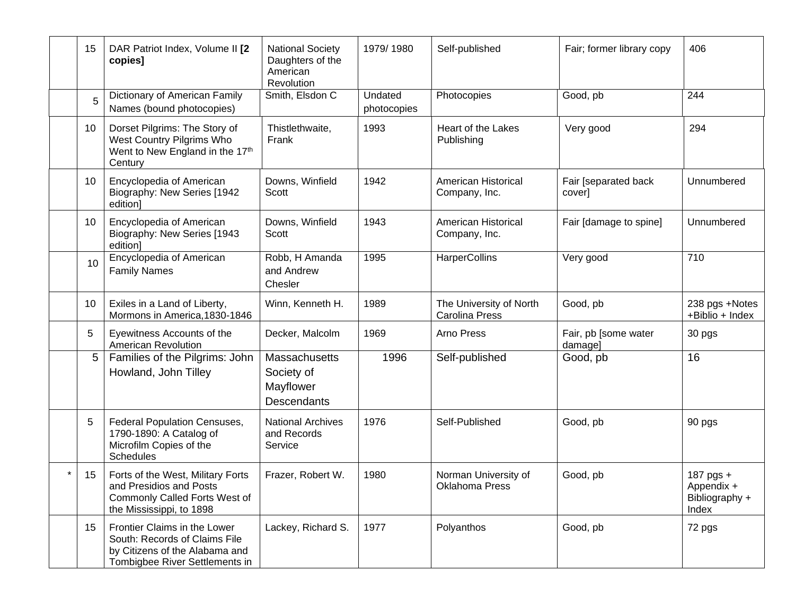|         | 15             | DAR Patriot Index, Volume II [2<br>copies]                                                                                        | <b>National Society</b><br>Daughters of the<br>American<br>Revolution | 1979/1980              | Self-published                                   | Fair; former library copy       | 406                                                |
|---------|----------------|-----------------------------------------------------------------------------------------------------------------------------------|-----------------------------------------------------------------------|------------------------|--------------------------------------------------|---------------------------------|----------------------------------------------------|
|         | 5              | Dictionary of American Family<br>Names (bound photocopies)                                                                        | Smith, Elsdon C                                                       | Undated<br>photocopies | Photocopies                                      | Good, pb                        | 244                                                |
|         | 10             | Dorset Pilgrims: The Story of<br>West Country Pilgrims Who<br>Went to New England in the 17th<br>Century                          | Thistlethwaite,<br>Frank                                              | 1993                   | Heart of the Lakes<br>Publishing                 | Very good                       | 294                                                |
|         | 10             | Encyclopedia of American<br>Biography: New Series [1942<br>edition]                                                               | Downs, Winfield<br>Scott                                              | 1942                   | American Historical<br>Company, Inc.             | Fair [separated back<br>cover]  | Unnumbered                                         |
|         | 10             | Encyclopedia of American<br>Biography: New Series [1943<br>edition]                                                               | Downs, Winfield<br>Scott                                              | 1943                   | American Historical<br>Company, Inc.             | Fair [damage to spine]          | Unnumbered                                         |
|         | 10             | Encyclopedia of American<br><b>Family Names</b>                                                                                   | Robb, H Amanda<br>and Andrew<br>Chesler                               | 1995                   | HarperCollins                                    | Very good                       | 710                                                |
|         | 10             | Exiles in a Land of Liberty,<br>Mormons in America, 1830-1846                                                                     | Winn, Kenneth H.                                                      | 1989                   | The University of North<br><b>Carolina Press</b> | Good, pb                        | 238 pgs +Notes<br>+Biblio + Index                  |
|         | 5              | Eyewitness Accounts of the<br><b>American Revolution</b>                                                                          | Decker, Malcolm                                                       | 1969                   | Arno Press                                       | Fair, pb [some water<br>damage] | 30 pgs                                             |
|         | 5 <sup>5</sup> | Families of the Pilgrims: John<br>Howland, John Tilley                                                                            | Massachusetts<br>Society of<br>Mayflower<br><b>Descendants</b>        | 1996                   | Self-published                                   | Good, pb                        | 16                                                 |
|         | 5              | <b>Federal Population Censuses,</b><br>1790-1890: A Catalog of<br>Microfilm Copies of the<br>Schedules                            | <b>National Archives</b><br>and Records<br>Service                    | 1976                   | Self-Published                                   | Good, pb                        | 90 pgs                                             |
| $\star$ | 15             | Forts of the West, Military Forts<br>and Presidios and Posts<br>Commonly Called Forts West of<br>the Mississippi, to 1898         | Frazer, Robert W.                                                     | 1980                   | Norman University of<br>Oklahoma Press           | Good, pb                        | 187 pgs +<br>Appendix +<br>Bibliography +<br>Index |
|         | 15             | Frontier Claims in the Lower<br>South: Records of Claims File<br>by Citizens of the Alabama and<br>Tombigbee River Settlements in | Lackey, Richard S.                                                    | 1977                   | Polyanthos                                       | Good, pb                        | 72 pgs                                             |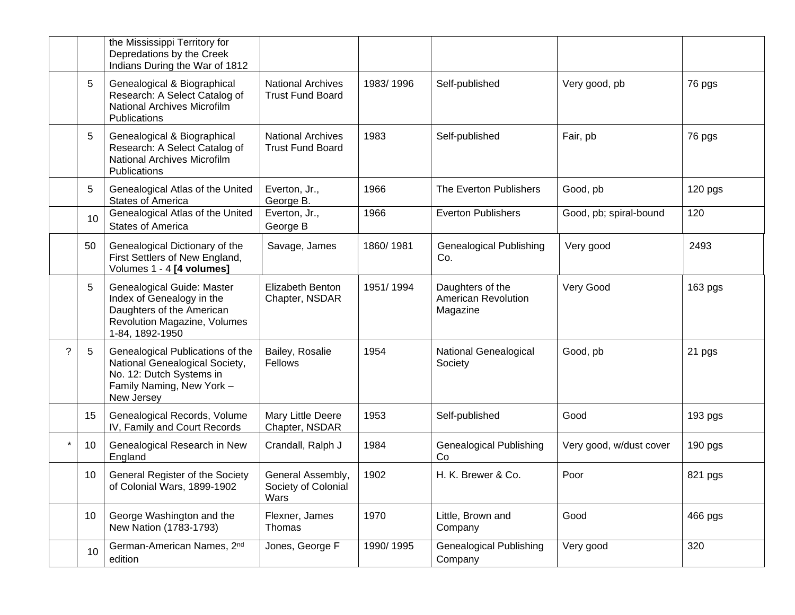|         |    | the Mississippi Territory for<br>Depredations by the Creek<br>Indians During the War of 1812                                              |                                                     |           |                                                            |                         |           |
|---------|----|-------------------------------------------------------------------------------------------------------------------------------------------|-----------------------------------------------------|-----------|------------------------------------------------------------|-------------------------|-----------|
|         | 5  | Genealogical & Biographical<br>Research: A Select Catalog of<br>National Archives Microfilm<br>Publications                               | <b>National Archives</b><br><b>Trust Fund Board</b> | 1983/1996 | Self-published                                             | Very good, pb           | 76 pgs    |
|         | 5  | Genealogical & Biographical<br>Research: A Select Catalog of<br>National Archives Microfilm<br>Publications                               | <b>National Archives</b><br><b>Trust Fund Board</b> | 1983      | Self-published                                             | Fair, pb                | 76 pgs    |
|         | 5  | Genealogical Atlas of the United<br><b>States of America</b>                                                                              | Everton, Jr.,<br>George B.                          | 1966      | The Everton Publishers                                     | Good, pb                | 120 pgs   |
|         | 10 | Genealogical Atlas of the United<br><b>States of America</b>                                                                              | Everton, Jr.,<br>George B                           | 1966      | <b>Everton Publishers</b>                                  | Good, pb; spiral-bound  | 120       |
|         | 50 | Genealogical Dictionary of the<br>First Settlers of New England,<br>Volumes 1 - 4 [4 volumes]                                             | Savage, James                                       | 1860/1981 | <b>Genealogical Publishing</b><br>Co.                      | Very good               | 2493      |
|         | 5  | Genealogical Guide: Master<br>Index of Genealogy in the<br>Daughters of the American<br>Revolution Magazine, Volumes<br>1-84, 1892-1950   | Elizabeth Benton<br>Chapter, NSDAR                  | 1951/1994 | Daughters of the<br><b>American Revolution</b><br>Magazine | Very Good               | 163 pgs   |
| ?       | 5  | Genealogical Publications of the<br>National Genealogical Society,<br>No. 12: Dutch Systems in<br>Family Naming, New York -<br>New Jersey | Bailey, Rosalie<br>Fellows                          | 1954      | National Genealogical<br>Society                           | Good, pb                | 21 pgs    |
|         | 15 | Genealogical Records, Volume<br>IV, Family and Court Records                                                                              | Mary Little Deere<br>Chapter, NSDAR                 | 1953      | Self-published                                             | Good                    | 193 pgs   |
| $\star$ | 10 | Genealogical Research in New<br>England                                                                                                   | Crandall, Ralph J                                   | 1984      | <b>Genealogical Publishing</b><br>Co                       | Very good, w/dust cover | $190$ pgs |
|         | 10 | General Register of the Society<br>of Colonial Wars, 1899-1902                                                                            | General Assembly,<br>Society of Colonial<br>Wars    | 1902      | H. K. Brewer & Co.                                         | Poor                    | 821 pgs   |
|         | 10 | George Washington and the<br>New Nation (1783-1793)                                                                                       | Flexner, James<br>Thomas                            | 1970      | Little, Brown and<br>Company                               | Good                    | 466 pgs   |
|         | 10 | German-American Names, 2nd<br>edition                                                                                                     | Jones, George F                                     | 1990/1995 | <b>Genealogical Publishing</b><br>Company                  | Very good               | 320       |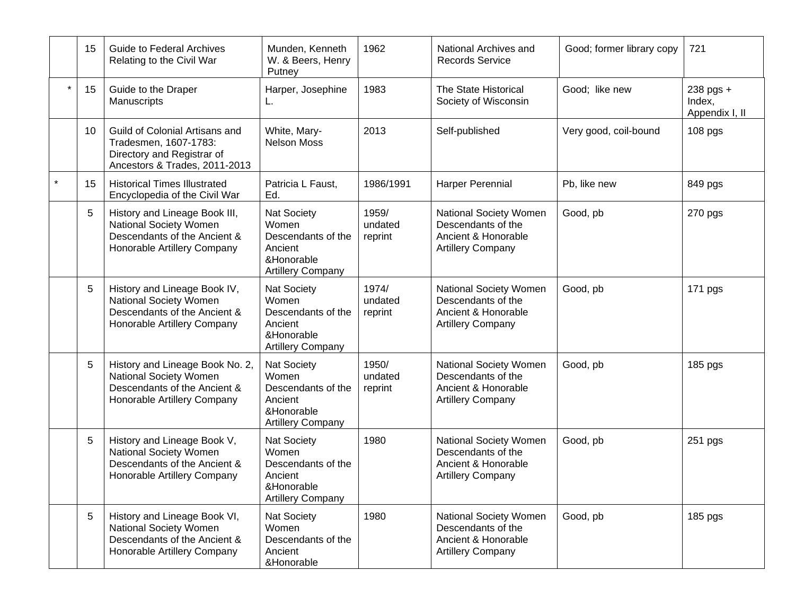|         | 15 | <b>Guide to Federal Archives</b><br>Relating to the Civil War                                                                   | Munden, Kenneth<br>W. & Beers, Henry<br>Putney                                                         | 1962                        | National Archives and<br><b>Records Service</b>                                                 | Good; former library copy | 721                                   |
|---------|----|---------------------------------------------------------------------------------------------------------------------------------|--------------------------------------------------------------------------------------------------------|-----------------------------|-------------------------------------------------------------------------------------------------|---------------------------|---------------------------------------|
| $\star$ | 15 | Guide to the Draper<br>Manuscripts                                                                                              | Harper, Josephine<br>L.                                                                                | 1983                        | The State Historical<br>Society of Wisconsin                                                    | Good; like new            | 238 pgs +<br>Index,<br>Appendix I, II |
|         | 10 | Guild of Colonial Artisans and<br>Tradesmen, 1607-1783:<br>Directory and Registrar of<br>Ancestors & Trades, 2011-2013          | White, Mary-<br><b>Nelson Moss</b>                                                                     | 2013                        | Self-published                                                                                  | Very good, coil-bound     | 108 pgs                               |
|         | 15 | <b>Historical Times Illustrated</b><br>Encyclopedia of the Civil War                                                            | Patricia L Faust,<br>Ed.                                                                               | 1986/1991                   | <b>Harper Perennial</b>                                                                         | Pb, like new              | 849 pgs                               |
|         | 5  | History and Lineage Book III,<br>National Society Women<br>Descendants of the Ancient &<br>Honorable Artillery Company          | <b>Nat Society</b><br>Women<br>Descendants of the<br>Ancient<br>&Honorable<br><b>Artillery Company</b> | 1959/<br>undated<br>reprint | National Society Women<br>Descendants of the<br>Ancient & Honorable<br><b>Artillery Company</b> | Good, pb                  | 270 pgs                               |
|         | 5  | History and Lineage Book IV,<br>National Society Women<br>Descendants of the Ancient &<br>Honorable Artillery Company           | <b>Nat Society</b><br>Women<br>Descendants of the<br>Ancient<br>&Honorable<br><b>Artillery Company</b> | 1974/<br>undated<br>reprint | National Society Women<br>Descendants of the<br>Ancient & Honorable<br><b>Artillery Company</b> | Good, pb                  | 171 pgs                               |
|         | 5  | History and Lineage Book No. 2,<br><b>National Society Women</b><br>Descendants of the Ancient &<br>Honorable Artillery Company | Nat Society<br>Women<br>Descendants of the<br>Ancient<br>&Honorable<br><b>Artillery Company</b>        | 1950/<br>undated<br>reprint | National Society Women<br>Descendants of the<br>Ancient & Honorable<br><b>Artillery Company</b> | Good, pb                  | 185 pgs                               |
|         | 5  | History and Lineage Book V,<br>National Society Women<br>Descendants of the Ancient &<br>Honorable Artillery Company            | <b>Nat Society</b><br>Women<br>Descendants of the<br>Ancient<br>&Honorable<br><b>Artillery Company</b> | 1980                        | National Society Women<br>Descendants of the<br>Ancient & Honorable<br><b>Artillery Company</b> | Good, pb                  | 251 pgs                               |
|         | 5  | History and Lineage Book VI,<br>National Society Women<br>Descendants of the Ancient &<br>Honorable Artillery Company           | <b>Nat Society</b><br>Women<br>Descendants of the<br>Ancient<br>&Honorable                             | 1980                        | National Society Women<br>Descendants of the<br>Ancient & Honorable<br><b>Artillery Company</b> | Good, pb                  | 185 pgs                               |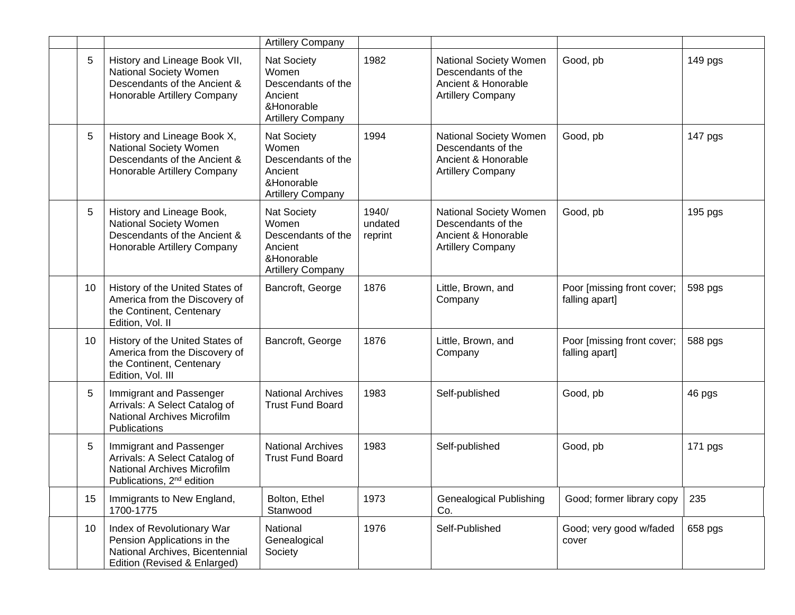|    |                                                                                                                                         | <b>Artillery Company</b>                                                                        |                             |                                                                                                 |                                              |         |
|----|-----------------------------------------------------------------------------------------------------------------------------------------|-------------------------------------------------------------------------------------------------|-----------------------------|-------------------------------------------------------------------------------------------------|----------------------------------------------|---------|
| 5  | History and Lineage Book VII,<br>National Society Women<br>Descendants of the Ancient &<br>Honorable Artillery Company                  | Nat Society<br>Women<br>Descendants of the<br>Ancient<br>&Honorable<br><b>Artillery Company</b> | 1982                        | National Society Women<br>Descendants of the<br>Ancient & Honorable<br><b>Artillery Company</b> | Good, pb                                     | 149 pgs |
| 5  | History and Lineage Book X,<br>National Society Women<br>Descendants of the Ancient &<br>Honorable Artillery Company                    | Nat Society<br>Women<br>Descendants of the<br>Ancient<br>&Honorable<br><b>Artillery Company</b> | 1994                        | National Society Women<br>Descendants of the<br>Ancient & Honorable<br><b>Artillery Company</b> | Good, pb                                     | 147 pgs |
| 5  | History and Lineage Book,<br>National Society Women<br>Descendants of the Ancient &<br>Honorable Artillery Company                      | Nat Society<br>Women<br>Descendants of the<br>Ancient<br>&Honorable<br><b>Artillery Company</b> | 1940/<br>undated<br>reprint | National Society Women<br>Descendants of the<br>Ancient & Honorable<br><b>Artillery Company</b> | Good, pb                                     | 195 pgs |
| 10 | History of the United States of<br>America from the Discovery of<br>the Continent, Centenary<br>Edition, Vol. II                        | Bancroft, George                                                                                | 1876                        | Little, Brown, and<br>Company                                                                   | Poor [missing front cover;<br>falling apart] | 598 pgs |
| 10 | History of the United States of<br>America from the Discovery of<br>the Continent, Centenary<br>Edition, Vol. III                       | Bancroft, George                                                                                | 1876                        | Little, Brown, and<br>Company                                                                   | Poor [missing front cover;<br>falling apart] | 588 pgs |
| 5  | Immigrant and Passenger<br>Arrivals: A Select Catalog of<br>National Archives Microfilm<br>Publications                                 | <b>National Archives</b><br><b>Trust Fund Board</b>                                             | 1983                        | Self-published                                                                                  | Good, pb                                     | 46 pgs  |
| 5  | Immigrant and Passenger<br>Arrivals: A Select Catalog of<br><b>National Archives Microfilm</b><br>Publications, 2 <sup>nd</sup> edition | <b>National Archives</b><br><b>Trust Fund Board</b>                                             | 1983                        | Self-published                                                                                  | Good, pb                                     | 171 pgs |
| 15 | Immigrants to New England,<br>1700-1775                                                                                                 | Bolton, Ethel<br>Stanwood                                                                       | 1973                        | <b>Genealogical Publishing</b><br>Co.                                                           | Good; former library copy                    | 235     |
| 10 | Index of Revolutionary War<br>Pension Applications in the<br>National Archives, Bicentennial<br>Edition (Revised & Enlarged)            | National<br>Genealogical<br>Society                                                             | 1976                        | Self-Published                                                                                  | Good; very good w/faded<br>cover             | 658 pgs |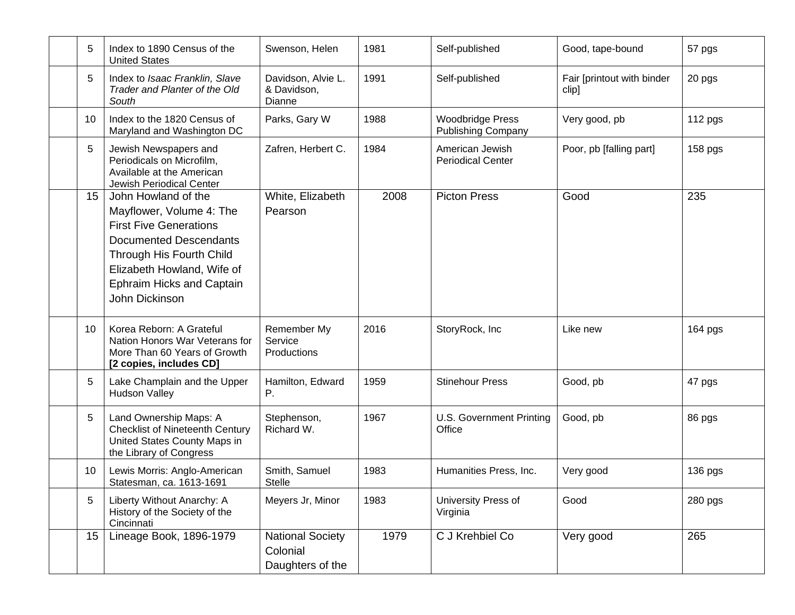| 5               | Index to 1890 Census of the<br><b>United States</b>                                                                                                                                                                               | Swenson, Helen                                          | 1981 | Self-published                                       | Good, tape-bound                    | 57 pgs    |
|-----------------|-----------------------------------------------------------------------------------------------------------------------------------------------------------------------------------------------------------------------------------|---------------------------------------------------------|------|------------------------------------------------------|-------------------------------------|-----------|
| 5               | Index to Isaac Franklin, Slave<br>Trader and Planter of the Old<br>South                                                                                                                                                          | Davidson, Alvie L.<br>& Davidson,<br>Dianne             | 1991 | Self-published                                       | Fair [printout with binder<br>clip] | 20 pgs    |
| 10              | Index to the 1820 Census of<br>Maryland and Washington DC                                                                                                                                                                         | Parks, Gary W                                           | 1988 | <b>Woodbridge Press</b><br><b>Publishing Company</b> | Very good, pb                       | 112 pgs   |
| 5               | Jewish Newspapers and<br>Periodicals on Microfilm,<br>Available at the American<br>Jewish Periodical Center                                                                                                                       | Zafren, Herbert C.                                      | 1984 | American Jewish<br><b>Periodical Center</b>          | Poor, pb [falling part]             | $158$ pgs |
| 15 <sub>1</sub> | John Howland of the<br>Mayflower, Volume 4: The<br><b>First Five Generations</b><br><b>Documented Descendants</b><br>Through His Fourth Child<br>Elizabeth Howland, Wife of<br><b>Ephraim Hicks and Captain</b><br>John Dickinson | White, Elizabeth<br>Pearson                             | 2008 | <b>Picton Press</b>                                  | Good                                | 235       |
| 10              | Korea Reborn: A Grateful<br>Nation Honors War Veterans for<br>More Than 60 Years of Growth<br>[2 copies, includes CD]                                                                                                             | Remember My<br>Service<br>Productions                   | 2016 | StoryRock, Inc                                       | Like new                            | 164 pgs   |
| 5               | Lake Champlain and the Upper<br><b>Hudson Valley</b>                                                                                                                                                                              | Hamilton, Edward<br>Ρ.                                  | 1959 | <b>Stinehour Press</b>                               | Good, pb                            | 47 pgs    |
| 5               | Land Ownership Maps: A<br><b>Checklist of Nineteenth Century</b><br>United States County Maps in<br>the Library of Congress                                                                                                       | Stephenson,<br>Richard W.                               | 1967 | U.S. Government Printing<br>Office                   | Good, pb                            | 86 pgs    |
| 10              | Lewis Morris: Anglo-American<br>Statesman, ca. 1613-1691                                                                                                                                                                          | Smith, Samuel<br><b>Stelle</b>                          | 1983 | Humanities Press, Inc.                               | Very good                           | 136 pgs   |
| 5               | Liberty Without Anarchy: A<br>History of the Society of the<br>Cincinnati                                                                                                                                                         | Meyers Jr, Minor                                        | 1983 | University Press of<br>Virginia                      | Good                                | 280 pgs   |
| 15              | Lineage Book, 1896-1979                                                                                                                                                                                                           | <b>National Society</b><br>Colonial<br>Daughters of the | 1979 | C J Krehbiel Co                                      | Very good                           | 265       |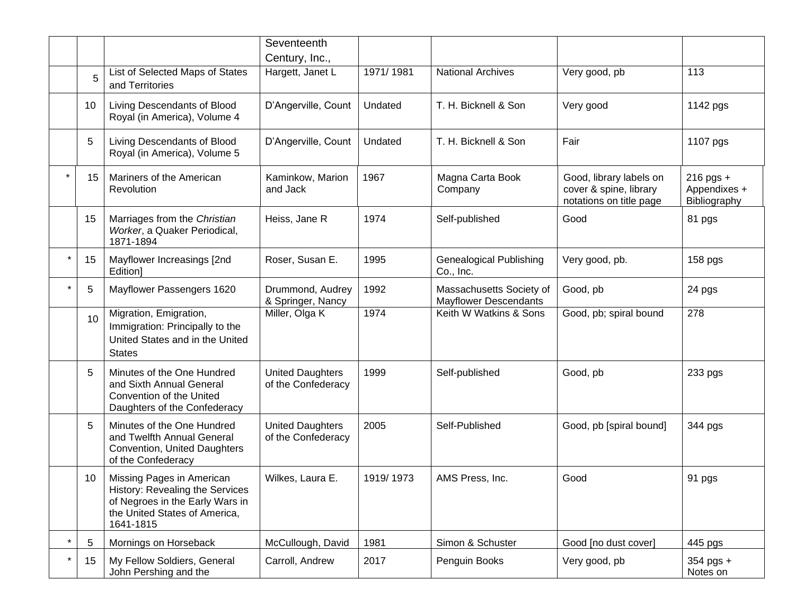|         |                 |                                                                                                                                               | Seventeenth                                   |           |                                                          |                                                                              |                                           |
|---------|-----------------|-----------------------------------------------------------------------------------------------------------------------------------------------|-----------------------------------------------|-----------|----------------------------------------------------------|------------------------------------------------------------------------------|-------------------------------------------|
|         |                 |                                                                                                                                               | Century, Inc.,                                |           |                                                          |                                                                              |                                           |
|         | 5               | List of Selected Maps of States<br>and Territories                                                                                            | Hargett, Janet L                              | 1971/1981 | <b>National Archives</b>                                 | Very good, pb                                                                | 113                                       |
|         | 10              | Living Descendants of Blood<br>Royal (in America), Volume 4                                                                                   | D'Angerville, Count                           | Undated   | T. H. Bicknell & Son                                     | Very good                                                                    | 1142 pgs                                  |
|         | 5               | Living Descendants of Blood<br>Royal (in America), Volume 5                                                                                   | D'Angerville, Count                           | Undated   | T. H. Bicknell & Son                                     | Fair                                                                         | 1107 pgs                                  |
|         | 15 <sub>1</sub> | Mariners of the American<br>Revolution                                                                                                        | Kaminkow, Marion<br>and Jack                  | 1967      | Magna Carta Book<br>Company                              | Good, library labels on<br>cover & spine, library<br>notations on title page | 216 pgs +<br>Appendixes +<br>Bibliography |
|         | 15              | Marriages from the Christian<br>Worker, a Quaker Periodical,<br>1871-1894                                                                     | Heiss, Jane R                                 | 1974      | Self-published                                           | Good                                                                         | 81 pgs                                    |
| $\star$ | 15              | Mayflower Increasings [2nd<br>Edition]                                                                                                        | Roser, Susan E.                               | 1995      | <b>Genealogical Publishing</b><br>Co., Inc.              | Very good, pb.                                                               | 158 pgs                                   |
| $\star$ | 5               | Mayflower Passengers 1620                                                                                                                     | Drummond, Audrey<br>& Springer, Nancy         | 1992      | Massachusetts Society of<br><b>Mayflower Descendants</b> | Good, pb                                                                     | 24 pgs                                    |
|         | 10              | Migration, Emigration,<br>Immigration: Principally to the<br>United States and in the United<br><b>States</b>                                 | Miller, Olga K                                | 1974      | Keith W Watkins & Sons                                   | Good, pb; spiral bound                                                       | 278                                       |
|         | 5               | Minutes of the One Hundred<br>and Sixth Annual General<br>Convention of the United<br>Daughters of the Confederacy                            | <b>United Daughters</b><br>of the Confederacy | 1999      | Self-published                                           | Good, pb                                                                     | 233 pgs                                   |
|         | 5               | Minutes of the One Hundred<br>and Twelfth Annual General<br>Convention, United Daughters<br>of the Confederacy                                | <b>United Daughters</b><br>of the Confederacy | 2005      | Self-Published                                           | Good, pb [spiral bound]                                                      | 344 pgs                                   |
|         | 10              | Missing Pages in American<br>History: Revealing the Services<br>of Negroes in the Early Wars in<br>the United States of America,<br>1641-1815 | Wilkes, Laura E.                              | 1919/1973 | AMS Press, Inc.                                          | Good                                                                         | 91 pgs                                    |
| $\star$ | 5               | Mornings on Horseback                                                                                                                         | McCullough, David                             | 1981      | Simon & Schuster                                         | Good [no dust cover]                                                         | 445 pgs                                   |
| $\star$ | 15              | My Fellow Soldiers, General<br>John Pershing and the                                                                                          | Carroll, Andrew                               | 2017      | Penguin Books                                            | Very good, pb                                                                | 354 pgs +<br>Notes on                     |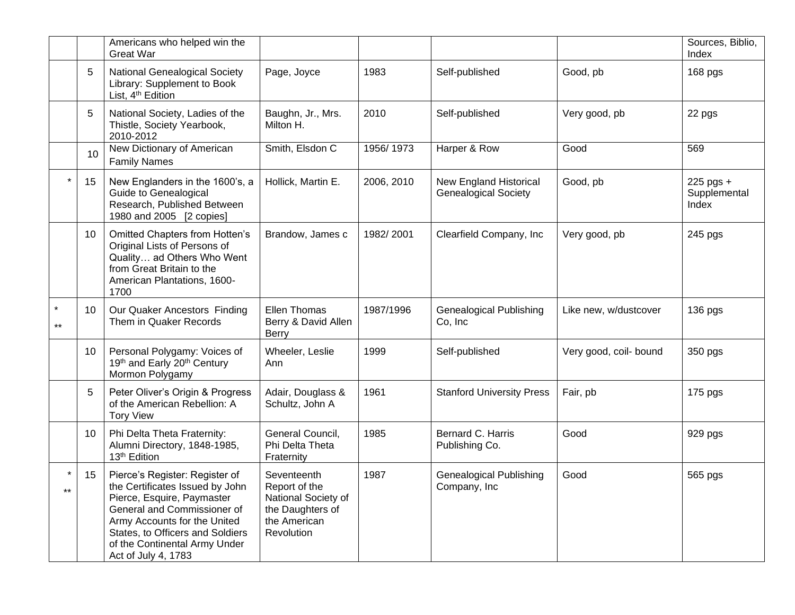|                  |    | Americans who helped win the<br><b>Great War</b>                                                                                                                                                                                                           |                                                                                                       |            |                                                       |                        | Sources, Biblio,<br>Index            |
|------------------|----|------------------------------------------------------------------------------------------------------------------------------------------------------------------------------------------------------------------------------------------------------------|-------------------------------------------------------------------------------------------------------|------------|-------------------------------------------------------|------------------------|--------------------------------------|
|                  | 5  | <b>National Genealogical Society</b><br>Library: Supplement to Book<br>List, 4 <sup>th</sup> Edition                                                                                                                                                       | Page, Joyce                                                                                           | 1983       | Self-published                                        | Good, pb               | 168 pgs                              |
|                  | 5  | National Society, Ladies of the<br>Thistle, Society Yearbook,<br>2010-2012                                                                                                                                                                                 | Baughn, Jr., Mrs.<br>Milton H.                                                                        | 2010       | Self-published                                        | Very good, pb          | 22 pgs                               |
|                  | 10 | New Dictionary of American<br><b>Family Names</b>                                                                                                                                                                                                          | Smith, Elsdon C                                                                                       | 1956/1973  | Harper & Row                                          | Good                   | 569                                  |
|                  | 15 | New Englanders in the 1600's, a<br>Guide to Genealogical<br>Research, Published Between<br>1980 and 2005 [2 copies]                                                                                                                                        | Hollick, Martin E.                                                                                    | 2006, 2010 | New England Historical<br><b>Genealogical Society</b> | Good, pb               | $225$ pgs +<br>Supplemental<br>Index |
|                  | 10 | <b>Omitted Chapters from Hotten's</b><br>Original Lists of Persons of<br>Quality ad Others Who Went<br>from Great Britain to the<br>American Plantations, 1600-<br>1700                                                                                    | Brandow, James c                                                                                      | 1982/2001  | Clearfield Company, Inc                               | Very good, pb          | 245 pgs                              |
| $\star$<br>$***$ | 10 | Our Quaker Ancestors Finding<br>Them in Quaker Records                                                                                                                                                                                                     | Ellen Thomas<br>Berry & David Allen<br><b>Berry</b>                                                   | 1987/1996  | <b>Genealogical Publishing</b><br>Co, Inc             | Like new, w/dustcover  | 136 pgs                              |
|                  | 10 | Personal Polygamy: Voices of<br>19th and Early 20th Century<br>Mormon Polygamy                                                                                                                                                                             | Wheeler, Leslie<br>Ann                                                                                | 1999       | Self-published                                        | Very good, coil- bound | 350 pgs                              |
|                  | 5  | Peter Oliver's Origin & Progress<br>of the American Rebellion: A<br><b>Tory View</b>                                                                                                                                                                       | Adair, Douglass &<br>Schultz, John A                                                                  | 1961       | <b>Stanford University Press</b>                      | Fair, pb               | 175 pgs                              |
|                  | 10 | Phi Delta Theta Fraternity:<br>Alumni Directory, 1848-1985,<br>13 <sup>th</sup> Edition                                                                                                                                                                    | General Council,<br>Phi Delta Theta<br>Fraternity                                                     | 1985       | Bernard C. Harris<br>Publishing Co.                   | Good                   | 929 pgs                              |
| $\ast$<br>$***$  | 15 | Pierce's Register: Register of<br>the Certificates Issued by John<br>Pierce, Esquire, Paymaster<br>General and Commissioner of<br>Army Accounts for the United<br>States, to Officers and Soldiers<br>of the Continental Army Under<br>Act of July 4, 1783 | Seventeenth<br>Report of the<br>National Society of<br>the Daughters of<br>the American<br>Revolution | 1987       | <b>Genealogical Publishing</b><br>Company, Inc.       | Good                   | 565 pgs                              |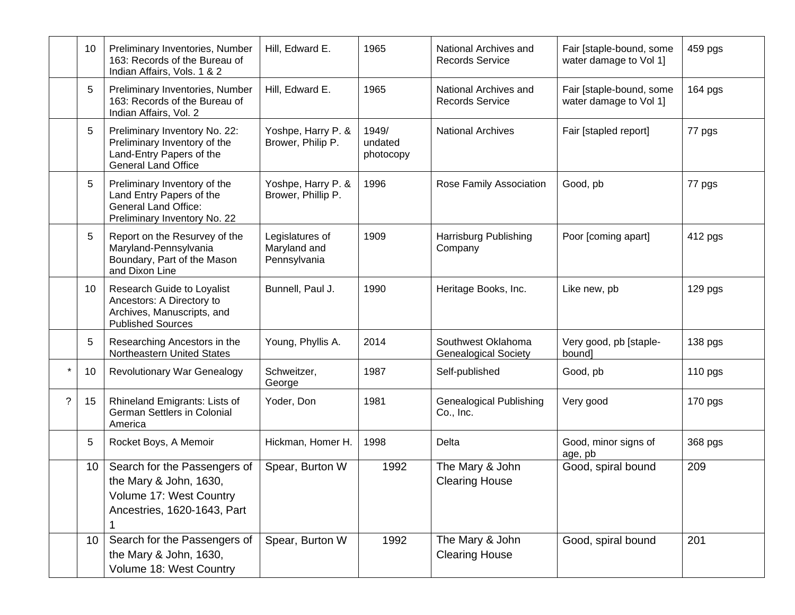|         | 10              | Preliminary Inventories, Number<br>163: Records of the Bureau of<br>Indian Affairs, Vols. 1 & 2                         | Hill, Edward E.                                 | 1965                          | National Archives and<br><b>Records Service</b>   | Fair [staple-bound, some<br>water damage to Vol 1] | 459 pgs |
|---------|-----------------|-------------------------------------------------------------------------------------------------------------------------|-------------------------------------------------|-------------------------------|---------------------------------------------------|----------------------------------------------------|---------|
|         | 5               | Preliminary Inventories, Number<br>163: Records of the Bureau of<br>Indian Affairs, Vol. 2                              | Hill, Edward E.                                 | 1965                          | National Archives and<br><b>Records Service</b>   | Fair [staple-bound, some<br>water damage to Vol 1] | 164 pgs |
|         | 5               | Preliminary Inventory No. 22:<br>Preliminary Inventory of the<br>Land-Entry Papers of the<br><b>General Land Office</b> | Yoshpe, Harry P. &<br>Brower, Philip P.         | 1949/<br>undated<br>photocopy | <b>National Archives</b>                          | Fair [stapled report]                              | 77 pgs  |
|         | 5               | Preliminary Inventory of the<br>Land Entry Papers of the<br><b>General Land Office:</b><br>Preliminary Inventory No. 22 | Yoshpe, Harry P. &<br>Brower, Phillip P.        | 1996                          | Rose Family Association                           | Good, pb                                           | 77 pgs  |
|         | 5               | Report on the Resurvey of the<br>Maryland-Pennsylvania<br>Boundary, Part of the Mason<br>and Dixon Line                 | Legislatures of<br>Maryland and<br>Pennsylvania | 1909                          | Harrisburg Publishing<br>Company                  | Poor [coming apart]                                | 412 pgs |
|         | 10              | Research Guide to Loyalist<br>Ancestors: A Directory to<br>Archives, Manuscripts, and<br><b>Published Sources</b>       | Bunnell, Paul J.                                | 1990                          | Heritage Books, Inc.                              | Like new, pb                                       | 129 pgs |
|         | 5               | Researching Ancestors in the<br>Northeastern United States                                                              | Young, Phyllis A.                               | 2014                          | Southwest Oklahoma<br><b>Genealogical Society</b> | Very good, pb [staple-<br>bound]                   | 138 pgs |
| $\star$ | 10              | <b>Revolutionary War Genealogy</b>                                                                                      | Schweitzer,<br>George                           | 1987                          | Self-published                                    | Good, pb                                           | 110 pgs |
| ?       | 15              | Rhineland Emigrants: Lists of<br>German Settlers in Colonial<br>America                                                 | Yoder, Don                                      | 1981                          | <b>Genealogical Publishing</b><br>Co., Inc.       | Very good                                          | 170 pgs |
|         | 5               | Rocket Boys, A Memoir                                                                                                   | Hickman, Homer H.                               | 1998                          | Delta                                             | Good, minor signs of<br>age, pb                    | 368 pgs |
|         | 10 <sup>°</sup> | Search for the Passengers of<br>the Mary & John, 1630,<br>Volume 17: West Country<br>Ancestries, 1620-1643, Part        | Spear, Burton W                                 | 1992                          | The Mary & John<br><b>Clearing House</b>          | Good, spiral bound                                 | 209     |
|         | 10 <sup>°</sup> | Search for the Passengers of<br>the Mary & John, 1630,<br>Volume 18: West Country                                       | Spear, Burton W                                 | 1992                          | The Mary & John<br><b>Clearing House</b>          | Good, spiral bound                                 | 201     |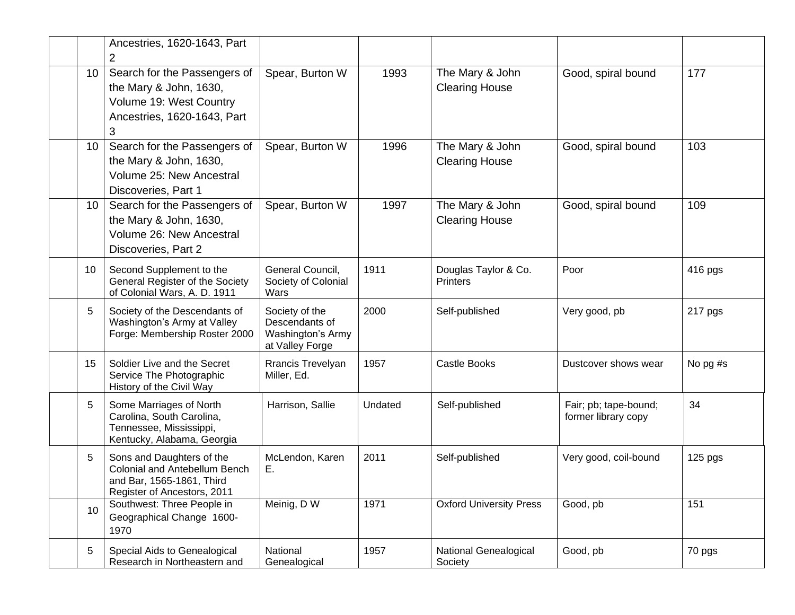|                 | Ancestries, 1620-1643, Part<br>2                                                                                              |                                                                          |         |                                          |                                              |          |
|-----------------|-------------------------------------------------------------------------------------------------------------------------------|--------------------------------------------------------------------------|---------|------------------------------------------|----------------------------------------------|----------|
| 10              | Search for the Passengers of<br>the Mary & John, 1630,<br>Volume 19: West Country<br>Ancestries, 1620-1643, Part<br>3         | Spear, Burton W                                                          | 1993    | The Mary & John<br><b>Clearing House</b> | Good, spiral bound                           | 177      |
| 10 <sup>°</sup> | Search for the Passengers of<br>the Mary & John, 1630,<br>Volume 25: New Ancestral<br>Discoveries, Part 1                     | Spear, Burton W                                                          | 1996    | The Mary & John<br><b>Clearing House</b> | Good, spiral bound                           | 103      |
| 10              | Search for the Passengers of<br>the Mary & John, 1630,<br>Volume 26: New Ancestral<br>Discoveries, Part 2                     | Spear, Burton W                                                          | 1997    | The Mary & John<br><b>Clearing House</b> | Good, spiral bound                           | 109      |
| 10              | Second Supplement to the<br>General Register of the Society<br>of Colonial Wars, A. D. 1911                                   | General Council,<br>Society of Colonial<br>Wars                          | 1911    | Douglas Taylor & Co.<br><b>Printers</b>  | Poor                                         | 416 pgs  |
| 5               | Society of the Descendants of<br>Washington's Army at Valley<br>Forge: Membership Roster 2000                                 | Society of the<br>Descendants of<br>Washington's Army<br>at Valley Forge | 2000    | Self-published                           | Very good, pb                                | 217 pgs  |
| 15              | Soldier Live and the Secret<br>Service The Photographic<br>History of the Civil Way                                           | Rrancis Trevelyan<br>Miller, Ed.                                         | 1957    | <b>Castle Books</b>                      | Dustcover shows wear                         | No pg #s |
| 5               | Some Marriages of North<br>Carolina, South Carolina,<br>Tennessee, Mississippi,<br>Kentucky, Alabama, Georgia                 | Harrison, Sallie                                                         | Undated | Self-published                           | Fair; pb; tape-bound;<br>former library copy | 34       |
| 5               | Sons and Daughters of the<br><b>Colonial and Antebellum Bench</b><br>and Bar, 1565-1861, Third<br>Register of Ancestors, 2011 | McLendon, Karen<br>Е.                                                    | 2011    | Self-published                           | Very good, coil-bound                        | 125 pgs  |
| 10              | Southwest: Three People in<br>Geographical Change 1600-<br>1970                                                               | Meinig, D W                                                              | 1971    | <b>Oxford University Press</b>           | Good, pb                                     | 151      |
| 5               | Special Aids to Genealogical<br>Research in Northeastern and                                                                  | National<br>Genealogical                                                 | 1957    | National Genealogical<br>Society         | Good, pb                                     | 70 pgs   |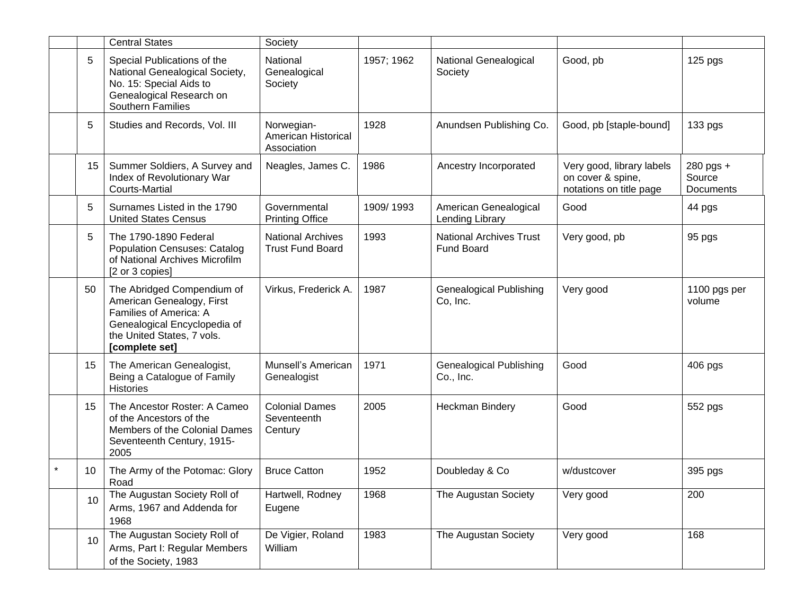|                 | <b>Central States</b>                                                                                                                                             | Society                                             |            |                                                     |                                                                           |                                  |
|-----------------|-------------------------------------------------------------------------------------------------------------------------------------------------------------------|-----------------------------------------------------|------------|-----------------------------------------------------|---------------------------------------------------------------------------|----------------------------------|
| 5               | Special Publications of the<br>National Genealogical Society,<br>No. 15: Special Aids to<br>Genealogical Research on<br><b>Southern Families</b>                  | National<br>Genealogical<br>Society                 | 1957; 1962 | National Genealogical<br>Society                    | Good, pb                                                                  | 125 pgs                          |
| 5               | Studies and Records, Vol. III                                                                                                                                     | Norwegian-<br>American Historical<br>Association    | 1928       | Anundsen Publishing Co.                             | Good, pb [staple-bound]                                                   | 133 pgs                          |
| 15 <sub>1</sub> | Summer Soldiers, A Survey and<br>Index of Revolutionary War<br><b>Courts-Martial</b>                                                                              | Neagles, James C.                                   | 1986       | Ancestry Incorporated                               | Very good, library labels<br>on cover & spine,<br>notations on title page | 280 pgs +<br>Source<br>Documents |
| 5               | Surnames Listed in the 1790<br><b>United States Census</b>                                                                                                        | Governmental<br><b>Printing Office</b>              | 1909/1993  | American Genealogical<br>Lending Library            | Good                                                                      | 44 pgs                           |
| 5               | The 1790-1890 Federal<br><b>Population Censuses: Catalog</b><br>of National Archives Microfilm<br>[2 or 3 copies]                                                 | <b>National Archives</b><br><b>Trust Fund Board</b> | 1993       | <b>National Archives Trust</b><br><b>Fund Board</b> | Very good, pb                                                             | 95 pgs                           |
| 50              | The Abridged Compendium of<br>American Genealogy, First<br>Families of America: A<br>Genealogical Encyclopedia of<br>the United States, 7 vols.<br>[complete set] | Virkus, Frederick A.                                | 1987       | <b>Genealogical Publishing</b><br>Co, Inc.          | Very good                                                                 | 1100 pgs per<br>volume           |
| 15              | The American Genealogist,<br>Being a Catalogue of Family<br>Histories                                                                                             | Munsell's American<br>Genealogist                   | 1971       | <b>Genealogical Publishing</b><br>Co., Inc.         | Good                                                                      | 406 pgs                          |
| 15              | The Ancestor Roster: A Cameo<br>of the Ancestors of the<br>Members of the Colonial Dames<br>Seventeenth Century, 1915-<br>2005                                    | <b>Colonial Dames</b><br>Seventeenth<br>Century     | 2005       | <b>Heckman Bindery</b>                              | Good                                                                      | 552 pgs                          |
| 10              | The Army of the Potomac: Glory<br>Road                                                                                                                            | <b>Bruce Catton</b>                                 | 1952       | Doubleday & Co                                      | w/dustcover                                                               | 395 pgs                          |
| 10              | The Augustan Society Roll of<br>Arms, 1967 and Addenda for<br>1968                                                                                                | Hartwell, Rodney<br>Eugene                          | 1968       | The Augustan Society                                | Very good                                                                 | 200                              |
| 10 <sup>°</sup> | The Augustan Society Roll of<br>Arms, Part I: Regular Members<br>of the Society, 1983                                                                             | De Vigier, Roland<br>William                        | 1983       | The Augustan Society                                | Very good                                                                 | 168                              |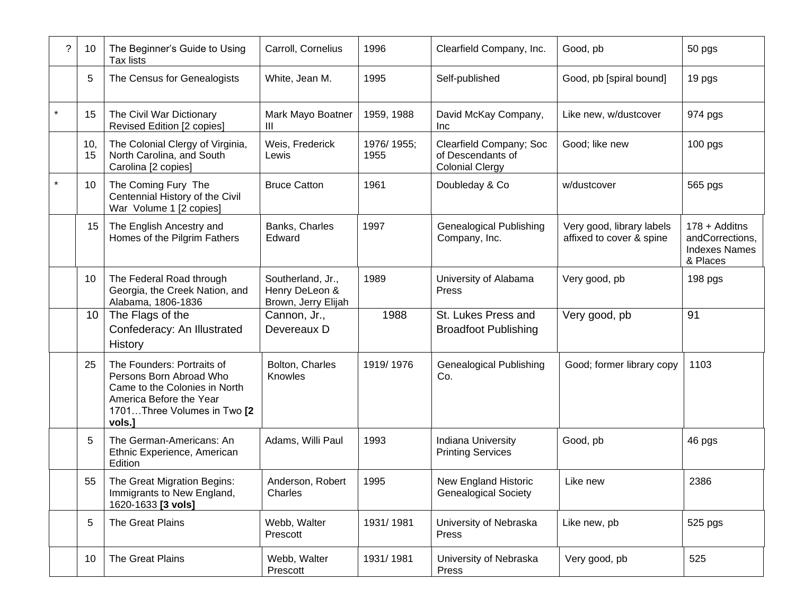| ? | 10        | The Beginner's Guide to Using<br><b>Tax lists</b>                                                                                                          | Carroll, Cornelius                                         | 1996               | Clearfield Company, Inc.                                               | Good, pb                                              | 50 pgs                                                               |
|---|-----------|------------------------------------------------------------------------------------------------------------------------------------------------------------|------------------------------------------------------------|--------------------|------------------------------------------------------------------------|-------------------------------------------------------|----------------------------------------------------------------------|
|   | 5         | The Census for Genealogists                                                                                                                                | White, Jean M.                                             | 1995               | Self-published                                                         | Good, pb [spiral bound]                               | 19 pgs                                                               |
|   | 15        | The Civil War Dictionary<br>Revised Edition [2 copies]                                                                                                     | Mark Mayo Boatner<br>Ш                                     | 1959, 1988         | David McKay Company,<br>Inc                                            | Like new, w/dustcover                                 | 974 pgs                                                              |
|   | 10,<br>15 | The Colonial Clergy of Virginia,<br>North Carolina, and South<br>Carolina [2 copies]                                                                       | Weis, Frederick<br>Lewis                                   | 1976/1955;<br>1955 | Clearfield Company; Soc<br>of Descendants of<br><b>Colonial Clergy</b> | Good; like new                                        | $100$ pgs                                                            |
| * | 10        | The Coming Fury The<br>Centennial History of the Civil<br>War Volume 1 [2 copies]                                                                          | <b>Bruce Catton</b>                                        | 1961               | Doubleday & Co                                                         | w/dustcover                                           | 565 pgs                                                              |
|   | 15        | The English Ancestry and<br>Homes of the Pilgrim Fathers                                                                                                   | Banks, Charles<br>Edward                                   | 1997               | <b>Genealogical Publishing</b><br>Company, Inc.                        | Very good, library labels<br>affixed to cover & spine | 178 + Additns<br>andCorrections,<br><b>Indexes Names</b><br>& Places |
|   | 10        | The Federal Road through<br>Georgia, the Creek Nation, and<br>Alabama, 1806-1836                                                                           | Southerland, Jr.,<br>Henry DeLeon &<br>Brown, Jerry Elijah | 1989               | University of Alabama<br>Press                                         | Very good, pb                                         | 198 pgs                                                              |
|   | 10        | The Flags of the<br>Confederacy: An Illustrated<br>History                                                                                                 | Cannon, Jr.,<br>Devereaux D                                | 1988               | St. Lukes Press and<br><b>Broadfoot Publishing</b>                     | Very good, pb                                         | 91                                                                   |
|   | 25        | The Founders: Portraits of<br>Persons Born Abroad Who<br>Came to the Colonies in North<br>America Before the Year<br>1701Three Volumes in Two [2<br>vols.] | Bolton, Charles<br>Knowles                                 | 1919/1976          | <b>Genealogical Publishing</b><br>Co.                                  | Good; former library copy                             | 1103                                                                 |
|   | 5         | The German-Americans: An<br>Ethnic Experience, American<br>Edition                                                                                         | Adams, Willi Paul                                          | 1993               | Indiana University<br><b>Printing Services</b>                         | Good, pb                                              | 46 pgs                                                               |
|   | 55        | The Great Migration Begins:<br>Immigrants to New England,<br>1620-1633 [3 vols]                                                                            | Anderson, Robert<br>Charles                                | 1995               | <b>New England Historic</b><br><b>Genealogical Society</b>             | Like new                                              | 2386                                                                 |
|   | 5         | The Great Plains                                                                                                                                           | Webb, Walter<br>Prescott                                   | 1931/1981          | University of Nebraska<br>Press                                        | Like new, pb                                          | 525 pgs                                                              |
|   | 10        | The Great Plains                                                                                                                                           | Webb, Walter<br>Prescott                                   | 1931/1981          | University of Nebraska<br>Press                                        | Very good, pb                                         | 525                                                                  |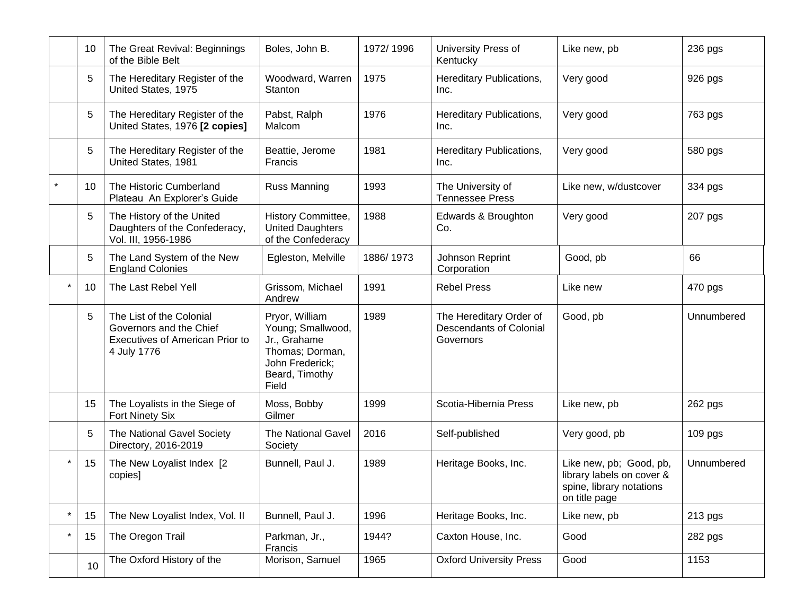|         | 10 | The Great Revival: Beginnings<br>of the Bible Belt                                                    | Boles, John B.                                                                                                       | 1972/1996 | University Press of<br>Kentucky                                        | Like new, pb                                                                                      | 236 pgs    |
|---------|----|-------------------------------------------------------------------------------------------------------|----------------------------------------------------------------------------------------------------------------------|-----------|------------------------------------------------------------------------|---------------------------------------------------------------------------------------------------|------------|
|         | 5  | The Hereditary Register of the<br>United States, 1975                                                 | Woodward, Warren<br>Stanton                                                                                          | 1975      | Hereditary Publications,<br>Inc.                                       | Very good                                                                                         | 926 pgs    |
|         | 5  | The Hereditary Register of the<br>United States, 1976 [2 copies]                                      | Pabst, Ralph<br>Malcom                                                                                               | 1976      | Hereditary Publications,<br>Inc.                                       | Very good                                                                                         | 763 pgs    |
|         | 5  | The Hereditary Register of the<br>United States, 1981                                                 | Beattie, Jerome<br>Francis                                                                                           | 1981      | Hereditary Publications,<br>Inc.                                       | Very good                                                                                         | 580 pgs    |
|         | 10 | The Historic Cumberland<br>Plateau An Explorer's Guide                                                | <b>Russ Manning</b>                                                                                                  | 1993      | The University of<br><b>Tennessee Press</b>                            | Like new, w/dustcover                                                                             | 334 pgs    |
|         | 5  | The History of the United<br>Daughters of the Confederacy,<br>Vol. III, 1956-1986                     | History Committee,<br><b>United Daughters</b><br>of the Confederacy                                                  | 1988      | Edwards & Broughton<br>Co.                                             | Very good                                                                                         | 207 pgs    |
|         | 5  | The Land System of the New<br><b>England Colonies</b>                                                 | Egleston, Melville                                                                                                   | 1886/1973 | Johnson Reprint<br>Corporation                                         | Good, pb                                                                                          | 66         |
| $\star$ | 10 | The Last Rebel Yell                                                                                   | Grissom, Michael<br>Andrew                                                                                           | 1991      | <b>Rebel Press</b>                                                     | Like new                                                                                          | 470 pgs    |
|         | 5  | The List of the Colonial<br>Governors and the Chief<br>Executives of American Prior to<br>4 July 1776 | Pryor, William<br>Young; Smallwood,<br>Jr., Grahame<br>Thomas; Dorman,<br>John Frederick;<br>Beard, Timothy<br>Field | 1989      | The Hereditary Order of<br><b>Descendants of Colonial</b><br>Governors | Good, pb                                                                                          | Unnumbered |
|         | 15 | The Loyalists in the Siege of<br>Fort Ninety Six                                                      | Moss, Bobby<br>Gilmer                                                                                                | 1999      | Scotia-Hibernia Press                                                  | Like new, pb                                                                                      | 262 pgs    |
|         | 5  | The National Gavel Society<br>Directory, 2016-2019                                                    | <b>The National Gavel</b><br>Society                                                                                 | 2016      | Self-published                                                         | Very good, pb                                                                                     | 109 pgs    |
| $\star$ | 15 | The New Loyalist Index [2<br>copies]                                                                  | Bunnell, Paul J.                                                                                                     | 1989      | Heritage Books, Inc.                                                   | Like new, pb; Good, pb,<br>library labels on cover &<br>spine, library notations<br>on title page | Unnumbered |
| $\star$ | 15 | The New Loyalist Index, Vol. II                                                                       | Bunnell, Paul J.                                                                                                     | 1996      | Heritage Books, Inc.                                                   | Like new, pb                                                                                      | 213 pgs    |
| $\star$ | 15 | The Oregon Trail                                                                                      | Parkman, Jr.,<br>Francis                                                                                             | 1944?     | Caxton House, Inc.                                                     | Good                                                                                              | 282 pgs    |
|         | 10 | The Oxford History of the                                                                             | Morison, Samuel                                                                                                      | 1965      | <b>Oxford University Press</b>                                         | Good                                                                                              | 1153       |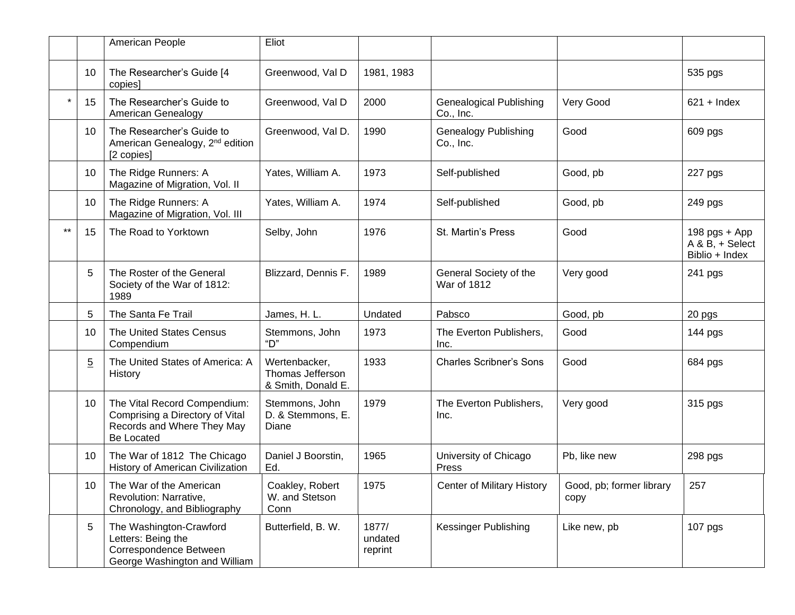|         |                 | American People                                                                                             | Eliot                                                   |                             |                                              |                                  |                                                      |
|---------|-----------------|-------------------------------------------------------------------------------------------------------------|---------------------------------------------------------|-----------------------------|----------------------------------------------|----------------------------------|------------------------------------------------------|
|         | 10              | The Researcher's Guide [4<br>copies]                                                                        | Greenwood, Val D                                        | 1981, 1983                  |                                              |                                  | 535 pgs                                              |
| $\star$ | 15              | The Researcher's Guide to<br>American Genealogy                                                             | Greenwood, Val D                                        | 2000                        | <b>Genealogical Publishing</b><br>Co., Inc.  | Very Good                        | $621 +$ Index                                        |
|         | 10              | The Researcher's Guide to<br>American Genealogy, 2 <sup>nd</sup> edition<br>[2 copies]                      | Greenwood, Val D.                                       | 1990                        | <b>Genealogy Publishing</b><br>Co., Inc.     | Good                             | 609 pgs                                              |
|         | 10              | The Ridge Runners: A<br>Magazine of Migration, Vol. II                                                      | Yates, William A.                                       | 1973                        | Self-published                               | Good, pb                         | 227 pgs                                              |
|         | 10              | The Ridge Runners: A<br>Magazine of Migration, Vol. III                                                     | Yates, William A.                                       | 1974                        | Self-published                               | Good, pb                         | 249 pgs                                              |
| $***$   | 15              | The Road to Yorktown                                                                                        | Selby, John                                             | 1976                        | St. Martin's Press                           | Good                             | $198$ pgs + App<br>A & B, + Select<br>Biblio + Index |
|         | 5               | The Roster of the General<br>Society of the War of 1812:<br>1989                                            | Blizzard, Dennis F.                                     | 1989                        | General Society of the<br><b>War of 1812</b> | Very good                        | 241 pgs                                              |
|         | 5               | The Santa Fe Trail                                                                                          | James, H. L.                                            | Undated                     | Pabsco                                       | Good, pb                         | 20 pgs                                               |
|         | 10              | The United States Census<br>Compendium                                                                      | Stemmons, John<br>"D"                                   | 1973                        | The Everton Publishers,<br>Inc.              | Good                             | 144 pgs                                              |
|         | $\overline{5}$  | The United States of America: A<br>History                                                                  | Wertenbacker,<br>Thomas Jefferson<br>& Smith, Donald E. | 1933                        | <b>Charles Scribner's Sons</b>               | Good                             | 684 pgs                                              |
|         | 10              | The Vital Record Compendium:<br>Comprising a Directory of Vital<br>Records and Where They May<br>Be Located | Stemmons, John<br>D. & Stemmons, E.<br>Diane            | 1979                        | The Everton Publishers,<br>Inc.              | Very good                        | 315 pgs                                              |
|         | 10              | The War of 1812 The Chicago<br>History of American Civilization                                             | Daniel J Boorstin,<br>Ed.                               | 1965                        | University of Chicago<br>Press               | Pb, like new                     | 298 pgs                                              |
|         | 10 <sup>1</sup> | The War of the American<br>Revolution: Narrative,<br>Chronology, and Bibliography                           | Coakley, Robert<br>W. and Stetson<br>Conn               | 1975                        | Center of Military History                   | Good, pb; former library<br>copy | 257                                                  |
|         | 5               | The Washington-Crawford<br>Letters: Being the<br>Correspondence Between<br>George Washington and William    | Butterfield, B. W.                                      | 1877/<br>undated<br>reprint | <b>Kessinger Publishing</b>                  | Like new, pb                     | 107 pgs                                              |